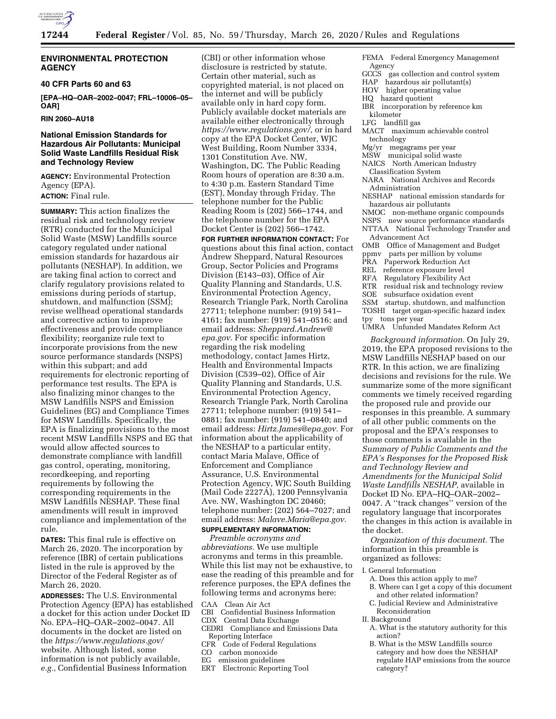

## **ENVIRONMENTAL PROTECTION AGENCY**

#### **40 CFR Parts 60 and 63**

**[EPA–HQ–OAR–2002–0047; FRL–10006–05– OAR]** 

## **RIN 2060–AU18**

## **National Emission Standards for Hazardous Air Pollutants: Municipal Solid Waste Landfills Residual Risk and Technology Review**

**AGENCY:** Environmental Protection Agency (EPA). **ACTION:** Final rule.

**SUMMARY:** This action finalizes the residual risk and technology review (RTR) conducted for the Municipal Solid Waste (MSW) Landfills source category regulated under national emission standards for hazardous air pollutants (NESHAP). In addition, we are taking final action to correct and clarify regulatory provisions related to emissions during periods of startup, shutdown, and malfunction (SSM); revise wellhead operational standards and corrective action to improve effectiveness and provide compliance flexibility; reorganize rule text to incorporate provisions from the new source performance standards (NSPS) within this subpart; and add requirements for electronic reporting of performance test results. The EPA is also finalizing minor changes to the MSW Landfills NSPS and Emission Guidelines (EG) and Compliance Times for MSW Landfills. Specifically, the EPA is finalizing provisions to the most recent MSW Landfills NSPS and EG that would allow affected sources to demonstrate compliance with landfill gas control, operating, monitoring, recordkeeping, and reporting requirements by following the corresponding requirements in the MSW Landfills NESHAP. These final amendments will result in improved compliance and implementation of the rule.

**DATES:** This final rule is effective on March 26, 2020. The incorporation by reference (IBR) of certain publications listed in the rule is approved by the Director of the Federal Register as of March 26, 2020.

**ADDRESSES:** The U.S. Environmental Protection Agency (EPA) has established a docket for this action under Docket ID No. EPA–HQ–OAR–2002–0047. All documents in the docket are listed on the *https://www.regulations.gov/*  website. Although listed, some information is not publicly available, *e.g.,* Confidential Business Information

(CBI) or other information whose disclosure is restricted by statute. Certain other material, such as copyrighted material, is not placed on the internet and will be publicly available only in hard copy form. Publicly available docket materials are available either electronically through *https://www.regulations.gov/,* or in hard copy at the EPA Docket Center, WJC West Building, Room Number 3334, 1301 Constitution Ave. NW, Washington, DC. The Public Reading Room hours of operation are 8:30 a.m. to 4:30 p.m. Eastern Standard Time (EST), Monday through Friday. The telephone number for the Public Reading Room is (202) 566–1744, and the telephone number for the EPA Docket Center is (202) 566–1742.

**FOR FURTHER INFORMATION CONTACT:** For questions about this final action, contact Andrew Sheppard, Natural Resources Group, Sector Policies and Programs Division (E143–03), Office of Air Quality Planning and Standards, U.S. Environmental Protection Agency, Research Triangle Park, North Carolina 27711; telephone number: (919) 541– 4161; fax number: (919) 541–0516; and email address: *Sheppard.Andrew@ epa.gov.* For specific information regarding the risk modeling methodology, contact James Hirtz, Health and Environmental Impacts Division (C539–02), Office of Air Quality Planning and Standards, U.S. Environmental Protection Agency, Research Triangle Park, North Carolina 27711; telephone number: (919) 541– 0881; fax number: (919) 541–0840; and email address: *Hirtz.James@epa.gov.* For information about the applicability of the NESHAP to a particular entity, contact Maria Malave, Office of Enforcement and Compliance Assurance, U.S. Environmental Protection Agency, WJC South Building (Mail Code 2227A), 1200 Pennsylvania Ave. NW, Washington DC 20460; telephone number: (202) 564–7027; and email address: *Malave.Maria@epa.gov.* 

## **SUPPLEMENTARY INFORMATION:**

*Preamble acronyms and abbreviations.* We use multiple acronyms and terms in this preamble. While this list may not be exhaustive, to ease the reading of this preamble and for reference purposes, the EPA defines the following terms and acronyms here:

## CAA Clean Air Act

- CBI Confidential Business Information
- CDX Central Data Exchange
- CEDRI Compliance and Emissions Data Reporting Interface
- CFR<sup>-</sup> Code of Federal Regulations
- CO carbon monoxide
- EG emission guidelines
- ERT Electronic Reporting Tool
- FEMA Federal Emergency Management Agency<br>GCCS ga
- gas collection and control system
- HAP hazardous air pollutant(s)
- HOV higher operating value
- HQ hazard quotient
- IBR incorporation by reference km kilometer
- LFG landfill gas
- MACT maximum achievable control technology
- Mg/yr megagrams per year
- MSW municipal solid waste
- NAICS North American Industry
- Classification System NARA National Archives and Records
- Administration
- NESHAP national emission standards for hazardous air pollutants
- NMOC non-methane organic compounds
- NSPS new source performance standards
- NTTAA National Technology Transfer and Advancement Act
- OMB Office of Management and Budget<br>ppmv parts per million by volume
- parts per million by volume
- PRA Paperwork Reduction Act
- REL reference exposure level<br>REA Regulatory Flexibility A
- Regulatory Flexibility Act
- RTR residual risk and technology review
- SOE subsurface oxidation event
- SSM startup, shutdown, and malfunction
- TOSHI target organ-specific hazard index
- tpy tons per year
- UMRA Unfunded Mandates Reform Act

*Background information.* On July 29, 2019, the EPA proposed revisions to the MSW Landfills NESHAP based on our RTR. In this action, we are finalizing decisions and revisions for the rule. We summarize some of the more significant comments we timely received regarding the proposed rule and provide our responses in this preamble. A summary of all other public comments on the proposal and the EPA's responses to those comments is available in the *Summary of Public Comments and the EPA's Responses for the Proposed Risk and Technology Review and Amendments for the Municipal Solid Waste Landfills NESHAP,* available in Docket ID No. EPA–HQ–OAR–2002– 0047. A ''track changes'' version of the regulatory language that incorporates the changes in this action is available in the docket.

*Organization of this document.* The information in this preamble is organized as follows:

- I. General Information
	- A. Does this action apply to me?
	- B. Where can I get a copy of this document and other related information?
- C. Judicial Review and Administrative Reconsideration
- II. Background
- A. What is the statutory authority for this action?
- B. What is the MSW Landfills source category and how does the NESHAP regulate HAP emissions from the source category?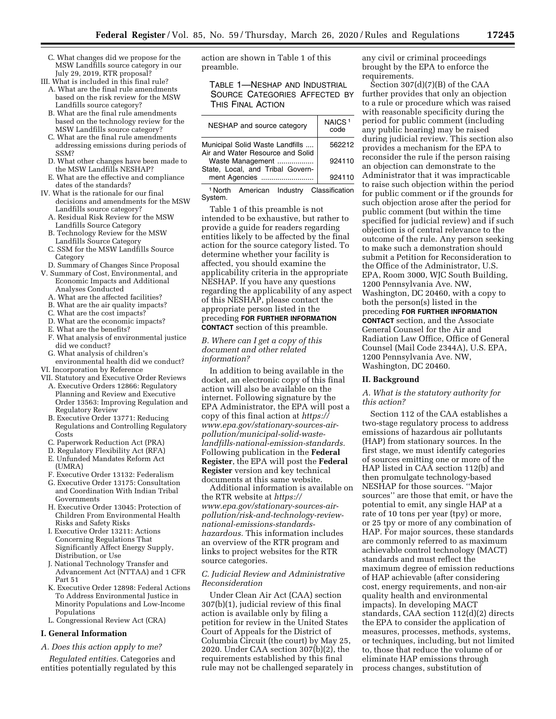- C. What changes did we propose for the MSW Landfills source category in our July 29, 2019, RTR proposal?
- III. What is included in this final rule?
	- A. What are the final rule amendments based on the risk review for the MSW Landfills source category?
	- B. What are the final rule amendments based on the technology review for the MSW Landfills source category?
	- C. What are the final rule amendments addressing emissions during periods of SSM?
	- D. What other changes have been made to the MSW Landfills NESHAP?
- E. What are the effective and compliance dates of the standards?
- IV. What is the rationale for our final decisions and amendments for the MSW Landfills source category?
	- A. Residual Risk Review for the MSW Landfills Source Category
	- B. Technology Review for the MSW Landfills Source Category
	- C. SSM for the MSW Landfills Source Category
	- D. Summary of Changes Since Proposal
- V. Summary of Cost, Environmental, and Economic Impacts and Additional Analyses Conducted
	- A. What are the affected facilities?
	- B. What are the air quality impacts?
	- C. What are the cost impacts?
	- D. What are the economic impacts?
	- E. What are the benefits?
	- F. What analysis of environmental justice did we conduct?
	- G. What analysis of children's
- environmental health did we conduct? VI. Incorporation by Reference
- VII. Statutory and Executive Order Reviews
	- A. Executive Orders 12866: Regulatory Planning and Review and Executive Order 13563: Improving Regulation and Regulatory Review
	- B. Executive Order 13771: Reducing Regulations and Controlling Regulatory Costs
	- C. Paperwork Reduction Act (PRA)
	- D. Regulatory Flexibility Act (RFA)
	- E. Unfunded Mandates Reform Act (UMRA)
	- F. Executive Order 13132: Federalism
	- G. Executive Order 13175: Consultation and Coordination With Indian Tribal Governments
	- H. Executive Order 13045: Protection of Children From Environmental Health Risks and Safety Risks
	- I. Executive Order 13211: Actions Concerning Regulations That Significantly Affect Energy Supply, Distribution, or Use
	- J. National Technology Transfer and Advancement Act (NTTAA) and 1 CFR Part 51
	- K. Executive Order 12898: Federal Actions To Address Environmental Justice in Minority Populations and Low-Income Populations
	- L. Congressional Review Act (CRA)

#### **I. General Information**

*A. Does this action apply to me?* 

*Regulated entities.* Categories and entities potentially regulated by this action are shown in Table 1 of this preamble.

TABLE 1—NESHAP AND INDUSTRIAL SOURCE CATEGORIES AFFECTED BY THIS FINAL ACTION

| NESHAP and source category                           | NAICS <sup>1</sup><br>code |
|------------------------------------------------------|----------------------------|
| Municipal Solid Waste Landfills                      | 562212                     |
| Air and Water Resource and Solid<br>Waste Management | 924110                     |
| State, Local, and Tribal Govern-<br>ment Agencies    | 924110                     |

1 North American Industry Classification System.

Table 1 of this preamble is not intended to be exhaustive, but rather to provide a guide for readers regarding entities likely to be affected by the final action for the source category listed. To determine whether your facility is affected, you should examine the applicability criteria in the appropriate NESHAP. If you have any questions regarding the applicability of any aspect of this NESHAP, please contact the appropriate person listed in the preceding **FOR FURTHER INFORMATION CONTACT** section of this preamble.

*B. Where can I get a copy of this document and other related information?* 

In addition to being available in the docket, an electronic copy of this final action will also be available on the internet. Following signature by the EPA Administrator, the EPA will post a copy of this final action at *https:// www.epa.gov/stationary-sources-airpollution/municipal-solid-wastelandfills-national-emission-standards.*  Following publication in the **Federal Register**, the EPA will post the **Federal Register** version and key technical documents at this same website.

Additional information is available on the RTR website at *https:// www.epa.gov/stationary-sources-airpollution/risk-and-technology-reviewnational-emissions-standardshazardous.* This information includes an overview of the RTR program and links to project websites for the RTR source categories.

## *C. Judicial Review and Administrative Reconsideration*

Under Clean Air Act (CAA) section 307(b)(1), judicial review of this final action is available only by filing a petition for review in the United States Court of Appeals for the District of Columbia Circuit (the court) by May 25, 2020. Under CAA section 307(b)(2), the requirements established by this final rule may not be challenged separately in any civil or criminal proceedings brought by the EPA to enforce the requirements.

Section 307(d)(7)(B) of the CAA further provides that only an objection to a rule or procedure which was raised with reasonable specificity during the period for public comment (including any public hearing) may be raised during judicial review. This section also provides a mechanism for the EPA to reconsider the rule if the person raising an objection can demonstrate to the Administrator that it was impracticable to raise such objection within the period for public comment or if the grounds for such objection arose after the period for public comment (but within the time specified for judicial review) and if such objection is of central relevance to the outcome of the rule. Any person seeking to make such a demonstration should submit a Petition for Reconsideration to the Office of the Administrator, U.S. EPA, Room 3000, WJC South Building, 1200 Pennsylvania Ave. NW, Washington, DC 20460, with a copy to both the person(s) listed in the preceding **FOR FURTHER INFORMATION CONTACT** section, and the Associate General Counsel for the Air and Radiation Law Office, Office of General Counsel (Mail Code 2344A), U.S. EPA, 1200 Pennsylvania Ave. NW, Washington, DC 20460.

#### **II. Background**

## *A. What is the statutory authority for this action?*

Section 112 of the CAA establishes a two-stage regulatory process to address emissions of hazardous air pollutants (HAP) from stationary sources. In the first stage, we must identify categories of sources emitting one or more of the HAP listed in CAA section 112(b) and then promulgate technology-based NESHAP for those sources. ''Major sources'' are those that emit, or have the potential to emit, any single HAP at a rate of 10 tons per year (tpy) or more, or 25 tpy or more of any combination of HAP. For major sources, these standards are commonly referred to as maximum achievable control technology (MACT) standards and must reflect the maximum degree of emission reductions of HAP achievable (after considering cost, energy requirements, and non-air quality health and environmental impacts). In developing MACT standards, CAA section 112(d)(2) directs the EPA to consider the application of measures, processes, methods, systems, or techniques, including, but not limited to, those that reduce the volume of or eliminate HAP emissions through process changes, substitution of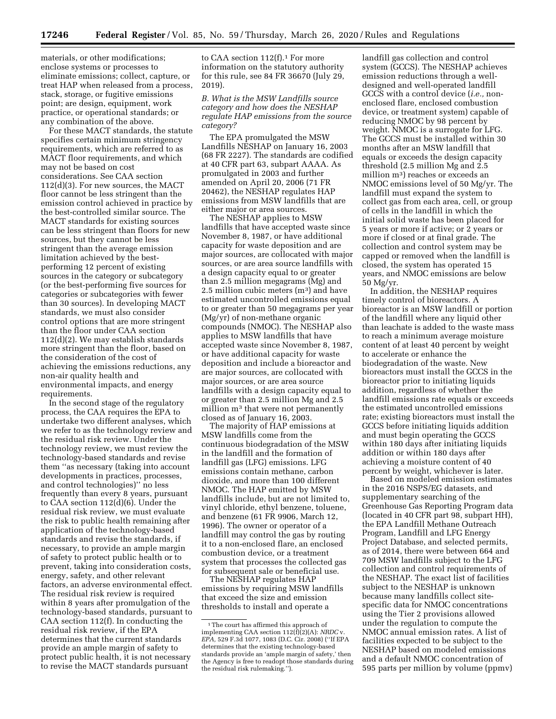materials, or other modifications; enclose systems or processes to eliminate emissions; collect, capture, or treat HAP when released from a process, stack, storage, or fugitive emissions point; are design, equipment, work practice, or operational standards; or any combination of the above.

For these MACT standards, the statute specifies certain minimum stringency requirements, which are referred to as MACT floor requirements, and which may not be based on cost considerations. See CAA section 112(d)(3). For new sources, the MACT floor cannot be less stringent than the emission control achieved in practice by the best-controlled similar source. The MACT standards for existing sources can be less stringent than floors for new sources, but they cannot be less stringent than the average emission limitation achieved by the bestperforming 12 percent of existing sources in the category or subcategory (or the best-performing five sources for categories or subcategories with fewer than 30 sources). In developing MACT standards, we must also consider control options that are more stringent than the floor under CAA section 112(d)(2). We may establish standards more stringent than the floor, based on the consideration of the cost of achieving the emissions reductions, any non-air quality health and environmental impacts, and energy requirements.

In the second stage of the regulatory process, the CAA requires the EPA to undertake two different analyses, which we refer to as the technology review and the residual risk review. Under the technology review, we must review the technology-based standards and revise them ''as necessary (taking into account developments in practices, processes, and control technologies)'' no less frequently than every 8 years, pursuant to CAA section 112(d)(6). Under the residual risk review, we must evaluate the risk to public health remaining after application of the technology-based standards and revise the standards, if necessary, to provide an ample margin of safety to protect public health or to prevent, taking into consideration costs, energy, safety, and other relevant factors, an adverse environmental effect. The residual risk review is required within 8 years after promulgation of the technology-based standards, pursuant to CAA section 112(f). In conducting the residual risk review, if the EPA determines that the current standards provide an ample margin of safety to protect public health, it is not necessary to revise the MACT standards pursuant

to CAA section  $112(f).<sup>1</sup>$  For more information on the statutory authority for this rule, see 84 FR 36670 (July 29, 2019).

*B. What is the MSW Landfills source category and how does the NESHAP regulate HAP emissions from the source category?* 

The EPA promulgated the MSW Landfills NESHAP on January 16, 2003 (68 FR 2227). The standards are codified at 40 CFR part 63, subpart AAAA. As promulgated in 2003 and further amended on April 20, 2006 (71 FR 20462), the NESHAP regulates HAP emissions from MSW landfills that are either major or area sources.

The NESHAP applies to MSW landfills that have accepted waste since November 8, 1987, or have additional capacity for waste deposition and are major sources, are collocated with major sources, or are area source landfills with a design capacity equal to or greater than 2.5 million megagrams (Mg) and 2.5 million cubic meters  $(m<sup>3</sup>)$  and have estimated uncontrolled emissions equal to or greater than 50 megagrams per year (Mg/yr) of non-methane organic compounds (NMOC). The NESHAP also applies to MSW landfills that have accepted waste since November 8, 1987, or have additional capacity for waste deposition and include a bioreactor and are major sources, are collocated with major sources, or are area source landfills with a design capacity equal to or greater than 2.5 million Mg and 2.5 million m<sup>3</sup> that were not permanently closed as of January 16, 2003.

The majority of HAP emissions at MSW landfills come from the continuous biodegradation of the MSW in the landfill and the formation of landfill gas (LFG) emissions. LFG emissions contain methane, carbon dioxide, and more than 100 different NMOC. The HAP emitted by MSW landfills include, but are not limited to, vinyl chloride, ethyl benzene, toluene, and benzene (61 FR 9906, March 12, 1996). The owner or operator of a landfill may control the gas by routing it to a non-enclosed flare, an enclosed combustion device, or a treatment system that processes the collected gas for subsequent sale or beneficial use.

The NESHAP regulates HAP emissions by requiring MSW landfills that exceed the size and emission thresholds to install and operate a

landfill gas collection and control system (GCCS). The NESHAP achieves emission reductions through a welldesigned and well-operated landfill GCCS with a control device (*i.e.,* nonenclosed flare, enclosed combustion device, or treatment system) capable of reducing NMOC by 98 percent by weight. NMOC is a surrogate for LFG. The GCCS must be installed within 30 months after an MSW landfill that equals or exceeds the design capacity threshold (2.5 million Mg and 2.5 million m3) reaches or exceeds an NMOC emissions level of 50 Mg/yr. The landfill must expand the system to collect gas from each area, cell, or group of cells in the landfill in which the initial solid waste has been placed for 5 years or more if active; or 2 years or more if closed or at final grade. The collection and control system may be capped or removed when the landfill is closed, the system has operated 15 years, and NMOC emissions are below 50 Mg/yr.

In addition, the NESHAP requires timely control of bioreactors. A bioreactor is an MSW landfill or portion of the landfill where any liquid other than leachate is added to the waste mass to reach a minimum average moisture content of at least 40 percent by weight to accelerate or enhance the biodegradation of the waste. New bioreactors must install the GCCS in the bioreactor prior to initiating liquids addition, regardless of whether the landfill emissions rate equals or exceeds the estimated uncontrolled emissions rate; existing bioreactors must install the GCCS before initiating liquids addition and must begin operating the GCCS within 180 days after initiating liquids addition or within 180 days after achieving a moisture content of 40 percent by weight, whichever is later.

Based on modeled emission estimates in the 2016 NSPS/EG datasets, and supplementary searching of the Greenhouse Gas Reporting Program data (located in 40 CFR part 98, subpart HH), the EPA Landfill Methane Outreach Program, Landfill and LFG Energy Project Database, and selected permits, as of 2014, there were between 664 and 709 MSW landfills subject to the LFG collection and control requirements of the NESHAP. The exact list of facilities subject to the NESHAP is unknown because many landfills collect sitespecific data for NMOC concentrations using the Tier 2 provisions allowed under the regulation to compute the NMOC annual emission rates. A list of facilities expected to be subject to the NESHAP based on modeled emissions and a default NMOC concentration of 595 parts per million by volume (ppmv)

<sup>1</sup>The court has affirmed this approach of implementing CAA section 112(f)(2)(A): *NRDC* v. *EPA,* 529 F.3d 1077, 1083 (D.C. Cir. 2008) (''If EPA determines that the existing technology-based standards provide an 'ample margin of safety,' then the Agency is free to readopt those standards during the residual risk rulemaking.'').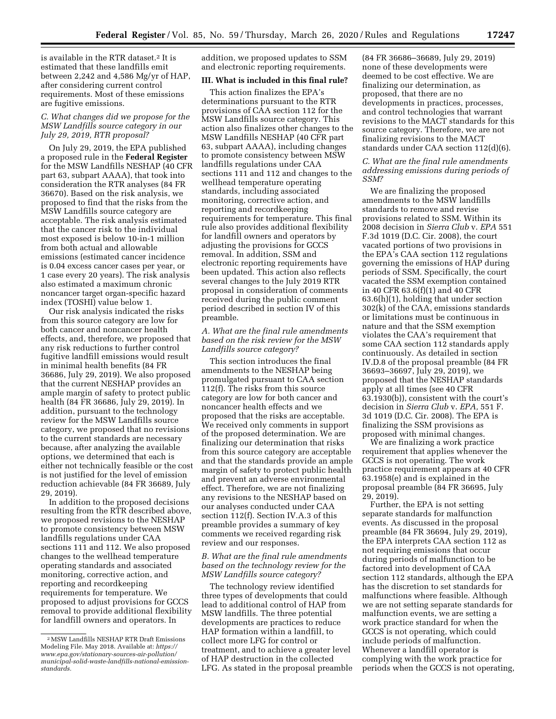is available in the RTR dataset.2 It is estimated that these landfills emit between 2,242 and 4,586 Mg/yr of HAP, after considering current control requirements. Most of these emissions are fugitive emissions.

## *C. What changes did we propose for the MSW Landfills source category in our July 29, 2019, RTR proposal?*

On July 29, 2019, the EPA published a proposed rule in the **Federal Register**  for the MSW Landfills NESHAP (40 CFR part 63, subpart AAAA), that took into consideration the RTR analyses (84 FR 36670). Based on the risk analysis, we proposed to find that the risks from the MSW Landfills source category are acceptable. The risk analysis estimated that the cancer risk to the individual most exposed is below 10-in-1 million from both actual and allowable emissions (estimated cancer incidence is 0.04 excess cancer cases per year, or 1 case every 20 years). The risk analysis also estimated a maximum chronic noncancer target organ-specific hazard index (TOSHI) value below 1.

Our risk analysis indicated the risks from this source category are low for both cancer and noncancer health effects, and, therefore, we proposed that any risk reductions to further control fugitive landfill emissions would result in minimal health benefits (84 FR 36686, July 29, 2019). We also proposed that the current NESHAP provides an ample margin of safety to protect public health (84 FR 36686, July 29, 2019). In addition, pursuant to the technology review for the MSW Landfills source category, we proposed that no revisions to the current standards are necessary because, after analyzing the available options, we determined that each is either not technically feasible or the cost is not justified for the level of emission reduction achievable (84 FR 36689, July 29, 2019).

In addition to the proposed decisions resulting from the RTR described above, we proposed revisions to the NESHAP to promote consistency between MSW landfills regulations under CAA sections 111 and 112. We also proposed changes to the wellhead temperature operating standards and associated monitoring, corrective action, and reporting and recordkeeping requirements for temperature. We proposed to adjust provisions for GCCS removal to provide additional flexibility for landfill owners and operators. In

addition, we proposed updates to SSM and electronic reporting requirements.

## **III. What is included in this final rule?**

This action finalizes the EPA's determinations pursuant to the RTR provisions of CAA section 112 for the MSW Landfills source category. This action also finalizes other changes to the MSW Landfills NESHAP (40 CFR part 63, subpart AAAA), including changes to promote consistency between MSW landfills regulations under CAA sections 111 and 112 and changes to the wellhead temperature operating standards, including associated monitoring, corrective action, and reporting and recordkeeping requirements for temperature. This final rule also provides additional flexibility for landfill owners and operators by adjusting the provisions for GCCS removal. In addition, SSM and electronic reporting requirements have been updated. This action also reflects several changes to the July 2019 RTR proposal in consideration of comments received during the public comment period described in section IV of this preamble.

## *A. What are the final rule amendments based on the risk review for the MSW Landfills source category?*

This section introduces the final amendments to the NESHAP being promulgated pursuant to CAA section 112(f). The risks from this source category are low for both cancer and noncancer health effects and we proposed that the risks are acceptable. We received only comments in support of the proposed determination. We are finalizing our determination that risks from this source category are acceptable and that the standards provide an ample margin of safety to protect public health and prevent an adverse environmental effect. Therefore, we are not finalizing any revisions to the NESHAP based on our analyses conducted under CAA section 112(f). Section IV.A.3 of this preamble provides a summary of key comments we received regarding risk review and our responses.

## *B. What are the final rule amendments based on the technology review for the MSW Landfills source category?*

The technology review identified three types of developments that could lead to additional control of HAP from MSW landfills. The three potential developments are practices to reduce HAP formation within a landfill, to collect more LFG for control or treatment, and to achieve a greater level of HAP destruction in the collected LFG. As stated in the proposal preamble

(84 FR 36686–36689, July 29, 2019) none of these developments were deemed to be cost effective. We are finalizing our determination, as proposed, that there are no developments in practices, processes, and control technologies that warrant revisions to the MACT standards for this source category. Therefore, we are not finalizing revisions to the MACT standards under CAA section 112(d)(6).

#### *C. What are the final rule amendments addressing emissions during periods of SSM?*

We are finalizing the proposed amendments to the MSW landfills standards to remove and revise provisions related to SSM. Within its 2008 decision in *Sierra Club* v. *EPA* 551 F.3d 1019 (D.C. Cir. 2008), the court vacated portions of two provisions in the EPA's CAA section 112 regulations governing the emissions of HAP during periods of SSM. Specifically, the court vacated the SSM exemption contained in 40 CFR 63.6(f)(1) and 40 CFR 63.6(h)(1), holding that under section 302(k) of the CAA, emissions standards or limitations must be continuous in nature and that the SSM exemption violates the CAA's requirement that some CAA section 112 standards apply continuously. As detailed in section IV.D.8 of the proposal preamble (84 FR 36693–36697, July 29, 2019), we proposed that the NESHAP standards apply at all times (see 40 CFR 63.1930(b)), consistent with the court's decision in *Sierra Club* v. *EPA,* 551 F. 3d 1019 (D.C. Cir. 2008). The EPA is finalizing the SSM provisions as proposed with minimal changes.

We are finalizing a work practice requirement that applies whenever the GCCS is not operating. The work practice requirement appears at 40 CFR 63.1958(e) and is explained in the proposal preamble (84 FR 36695, July 29, 2019).

Further, the EPA is not setting separate standards for malfunction events. As discussed in the proposal preamble (84 FR 36694, July 29, 2019), the EPA interprets CAA section 112 as not requiring emissions that occur during periods of malfunction to be factored into development of CAA section 112 standards, although the EPA has the discretion to set standards for malfunctions where feasible. Although we are not setting separate standards for malfunction events, we are setting a work practice standard for when the GCCS is not operating, which could include periods of malfunction. Whenever a landfill operator is complying with the work practice for periods when the GCCS is not operating,

<sup>2</sup>MSW Landfills NESHAP RTR Draft Emissions Modeling File. May 2018. Available at: *https:// www.epa.gov/stationary-sources-air-pollution/ municipal-solid-waste-landfills-national-emissionstandards.*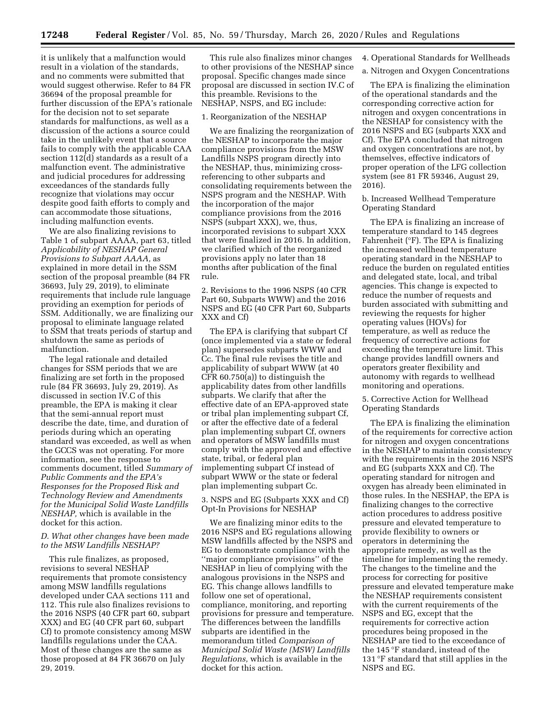it is unlikely that a malfunction would result in a violation of the standards, and no comments were submitted that would suggest otherwise. Refer to 84 FR 36694 of the proposal preamble for further discussion of the EPA's rationale for the decision not to set separate standards for malfunctions, as well as a discussion of the actions a source could take in the unlikely event that a source fails to comply with the applicable CAA section 112(d) standards as a result of a malfunction event. The administrative and judicial procedures for addressing exceedances of the standards fully recognize that violations may occur despite good faith efforts to comply and can accommodate those situations, including malfunction events.

We are also finalizing revisions to Table 1 of subpart AAAA, part 63, titled *Applicability of NESHAP General Provisions to Subpart AAAA,* as explained in more detail in the SSM section of the proposal preamble (84 FR 36693, July 29, 2019), to eliminate requirements that include rule language providing an exemption for periods of SSM. Additionally, we are finalizing our proposal to eliminate language related to SSM that treats periods of startup and shutdown the same as periods of malfunction.

The legal rationale and detailed changes for SSM periods that we are finalizing are set forth in the proposed rule (84 FR 36693, July 29, 2019). As discussed in section IV.C of this preamble, the EPA is making it clear that the semi-annual report must describe the date, time, and duration of periods during which an operating standard was exceeded, as well as when the GCCS was not operating. For more information, see the response to comments document, titled *Summary of Public Comments and the EPA's Responses for the Proposed Risk and Technology Review and Amendments for the Municipal Solid Waste Landfills NESHAP,* which is available in the docket for this action.

## *D. What other changes have been made to the MSW Landfills NESHAP?*

This rule finalizes, as proposed, revisions to several NESHAP requirements that promote consistency among MSW landfills regulations developed under CAA sections 111 and 112. This rule also finalizes revisions to the 2016 NSPS (40 CFR part 60, subpart XXX) and EG (40 CFR part 60, subpart Cf) to promote consistency among MSW landfills regulations under the CAA. Most of these changes are the same as those proposed at 84 FR 36670 on July 29, 2019.

This rule also finalizes minor changes to other provisions of the NESHAP since proposal. Specific changes made since proposal are discussed in section IV.C of this preamble. Revisions to the NESHAP, NSPS, and EG include:

#### 1. Reorganization of the NESHAP

We are finalizing the reorganization of the NESHAP to incorporate the major compliance provisions from the MSW Landfills NSPS program directly into the NESHAP, thus, minimizing crossreferencing to other subparts and consolidating requirements between the NSPS program and the NESHAP. With the incorporation of the major compliance provisions from the 2016 NSPS (subpart XXX), we, thus, incorporated revisions to subpart XXX that were finalized in 2016. In addition, we clarified which of the reorganized provisions apply no later than 18 months after publication of the final rule.

2. Revisions to the 1996 NSPS (40 CFR Part 60, Subparts WWW) and the 2016 NSPS and EG (40 CFR Part 60, Subparts XXX and Cf)

The EPA is clarifying that subpart Cf (once implemented via a state or federal plan) supersedes subparts WWW and Cc. The final rule revises the title and applicability of subpart WWW (at 40 CFR 60.750(a)) to distinguish the applicability dates from other landfills subparts. We clarify that after the effective date of an EPA-approved state or tribal plan implementing subpart Cf, or after the effective date of a federal plan implementing subpart Cf, owners and operators of MSW landfills must comply with the approved and effective state, tribal, or federal plan implementing subpart Cf instead of subpart WWW or the state or federal plan implementing subpart Cc.

## 3. NSPS and EG (Subparts XXX and Cf) Opt-In Provisions for NESHAP

We are finalizing minor edits to the 2016 NSPS and EG regulations allowing MSW landfills affected by the NSPS and EG to demonstrate compliance with the ''major compliance provisions'' of the NESHAP in lieu of complying with the analogous provisions in the NSPS and EG. This change allows landfills to follow one set of operational, compliance, monitoring, and reporting provisions for pressure and temperature. The differences between the landfills subparts are identified in the memorandum titled *Comparison of Municipal Solid Waste (MSW) Landfills Regulations,* which is available in the docket for this action.

4. Operational Standards for Wellheads

a. Nitrogen and Oxygen Concentrations

The EPA is finalizing the elimination of the operational standards and the corresponding corrective action for nitrogen and oxygen concentrations in the NESHAP for consistency with the 2016 NSPS and EG (subparts XXX and Cf). The EPA concluded that nitrogen and oxygen concentrations are not, by themselves, effective indicators of proper operation of the LFG collection system (see 81 FR 59346, August 29, 2016).

b. Increased Wellhead Temperature Operating Standard

The EPA is finalizing an increase of temperature standard to 145 degrees Fahrenheit (°F). The EPA is finalizing the increased wellhead temperature operating standard in the NESHAP to reduce the burden on regulated entities and delegated state, local, and tribal agencies. This change is expected to reduce the number of requests and burden associated with submitting and reviewing the requests for higher operating values (HOVs) for temperature, as well as reduce the frequency of corrective actions for exceeding the temperature limit. This change provides landfill owners and operators greater flexibility and autonomy with regards to wellhead monitoring and operations.

5. Corrective Action for Wellhead Operating Standards

The EPA is finalizing the elimination of the requirements for corrective action for nitrogen and oxygen concentrations in the NESHAP to maintain consistency with the requirements in the 2016 NSPS and EG (subparts XXX and Cf). The operating standard for nitrogen and oxygen has already been eliminated in those rules. In the NESHAP, the EPA is finalizing changes to the corrective action procedures to address positive pressure and elevated temperature to provide flexibility to owners or operators in determining the appropriate remedy, as well as the timeline for implementing the remedy. The changes to the timeline and the process for correcting for positive pressure and elevated temperature make the NESHAP requirements consistent with the current requirements of the NSPS and EG, except that the requirements for corrective action procedures being proposed in the NESHAP are tied to the exceedance of the 145 °F standard, instead of the 131 °F standard that still applies in the NSPS and EG.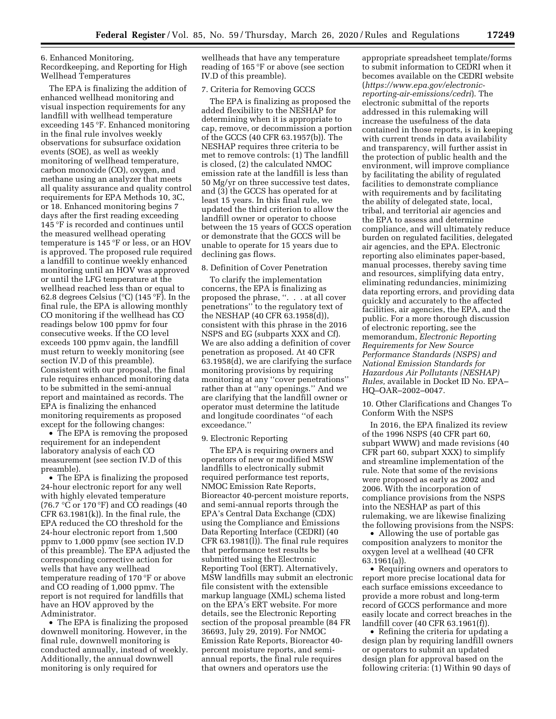6. Enhanced Monitoring, Recordkeeping, and Reporting for High Wellhead Temperatures

The EPA is finalizing the addition of enhanced wellhead monitoring and visual inspection requirements for any landfill with wellhead temperature exceeding 145 °F. Enhanced monitoring in the final rule involves weekly observations for subsurface oxidation events (SOE), as well as weekly monitoring of wellhead temperature, carbon monoxide (CO), oxygen, and methane using an analyzer that meets all quality assurance and quality control requirements for EPA Methods 10, 3C, or 18. Enhanced monitoring begins 7 days after the first reading exceeding 145 °F is recorded and continues until the measured wellhead operating temperature is 145 °F or less, or an HOV is approved. The proposed rule required a landfill to continue weekly enhanced monitoring until an HOV was approved or until the LFG temperature at the wellhead reached less than or equal to 62.8 degrees Celsius (°C) (145 °F). In the final rule, the EPA is allowing monthly CO monitoring if the wellhead has CO readings below 100 ppmv for four consecutive weeks. If the CO level exceeds 100 ppmv again, the landfill must return to weekly monitoring (see section IV.D of this preamble). Consistent with our proposal, the final rule requires enhanced monitoring data to be submitted in the semi-annual report and maintained as records. The EPA is finalizing the enhanced monitoring requirements as proposed except for the following changes:

• The EPA is removing the proposed requirement for an independent laboratory analysis of each CO measurement (see section IV.D of this preamble).

• The EPA is finalizing the proposed 24-hour electronic report for any well with highly elevated temperature (76.7  $\mathrm{C}$  or 170  $\mathrm{F}$ ) and CO readings (40  $CFR 63.1981(k)$ . In the final rule, the EPA reduced the CO threshold for the 24-hour electronic report from 1,500 ppmv to 1,000 ppmv (see section IV.D of this preamble). The EPA adjusted the corresponding corrective action for wells that have any wellhead temperature reading of 170 °F or above and CO reading of 1,000 ppmv. The report is not required for landfills that have an HOV approved by the Administrator.

• The EPA is finalizing the proposed downwell monitoring. However, in the final rule, downwell monitoring is conducted annually, instead of weekly. Additionally, the annual downwell monitoring is only required for

wellheads that have any temperature reading of 165 °F or above (see section IV.D of this preamble).

#### 7. Criteria for Removing GCCS

The EPA is finalizing as proposed the added flexibility to the NESHAP for determining when it is appropriate to cap, remove, or decommission a portion of the GCCS (40 CFR 63.1957(b)). The NESHAP requires three criteria to be met to remove controls: (1) The landfill is closed, (2) the calculated NMOC emission rate at the landfill is less than 50 Mg/yr on three successive test dates, and (3) the GCCS has operated for at least 15 years. In this final rule, we updated the third criterion to allow the landfill owner or operator to choose between the 15 years of GCCS operation or demonstrate that the GCCS will be unable to operate for 15 years due to declining gas flows.

## 8. Definition of Cover Penetration

To clarify the implementation concerns, the EPA is finalizing as proposed the phrase, ''. . . at all cover penetrations'' to the regulatory text of the NESHAP (40 CFR 63.1958(d)), consistent with this phrase in the 2016 NSPS and EG (subparts XXX and Cf). We are also adding a definition of cover penetration as proposed. At 40 CFR 63.1958(d), we are clarifying the surface monitoring provisions by requiring monitoring at any ''cover penetrations'' rather than at ''any openings.'' And we are clarifying that the landfill owner or operator must determine the latitude and longitude coordinates ''of each exceedance.''

#### 9. Electronic Reporting

The EPA is requiring owners and operators of new or modified MSW landfills to electronically submit required performance test reports, NMOC Emission Rate Reports, Bioreactor 40-percent moisture reports, and semi-annual reports through the EPA's Central Data Exchange (CDX) using the Compliance and Emissions Data Reporting Interface (CEDRI) (40 CFR 63.1981(l)). The final rule requires that performance test results be submitted using the Electronic Reporting Tool (ERT). Alternatively, MSW landfills may submit an electronic file consistent with the extensible markup language (XML) schema listed on the EPA's ERT website. For more details, see the Electronic Reporting section of the proposal preamble (84 FR 36693, July 29, 2019). For NMOC Emission Rate Reports, Bioreactor 40 percent moisture reports, and semiannual reports, the final rule requires that owners and operators use the

appropriate spreadsheet template/forms to submit information to CEDRI when it becomes available on the CEDRI website (*https://www.epa.gov/electronicreporting-air-emissions/cedri*). The electronic submittal of the reports addressed in this rulemaking will increase the usefulness of the data contained in those reports, is in keeping with current trends in data availability and transparency, will further assist in the protection of public health and the environment, will improve compliance by facilitating the ability of regulated facilities to demonstrate compliance with requirements and by facilitating the ability of delegated state, local, tribal, and territorial air agencies and the EPA to assess and determine compliance, and will ultimately reduce burden on regulated facilities, delegated air agencies, and the EPA. Electronic reporting also eliminates paper-based, manual processes, thereby saving time and resources, simplifying data entry, eliminating redundancies, minimizing data reporting errors, and providing data quickly and accurately to the affected facilities, air agencies, the EPA, and the public. For a more thorough discussion of electronic reporting, see the memorandum, *Electronic Reporting Requirements for New Source Performance Standards (NSPS) and National Emission Standards for Hazardous Air Pollutants (NESHAP) Rules,* available in Docket ID No. EPA– HQ–OAR–2002–0047.

10. Other Clarifications and Changes To Conform With the NSPS

In 2016, the EPA finalized its review of the 1996 NSPS (40 CFR part 60, subpart WWW) and made revisions (40 CFR part 60, subpart XXX) to simplify and streamline implementation of the rule. Note that some of the revisions were proposed as early as 2002 and 2006. With the incorporation of compliance provisions from the NSPS into the NESHAP as part of this rulemaking, we are likewise finalizing the following provisions from the NSPS:

• Allowing the use of portable gas composition analyzers to monitor the oxygen level at a wellhead (40 CFR 63.1961(a)).

• Requiring owners and operators to report more precise locational data for each surface emissions exceedance to provide a more robust and long-term record of GCCS performance and more easily locate and correct breaches in the landfill cover (40 CFR 63.1961(f)).

• Refining the criteria for updating a design plan by requiring landfill owners or operators to submit an updated design plan for approval based on the following criteria: (1) Within 90 days of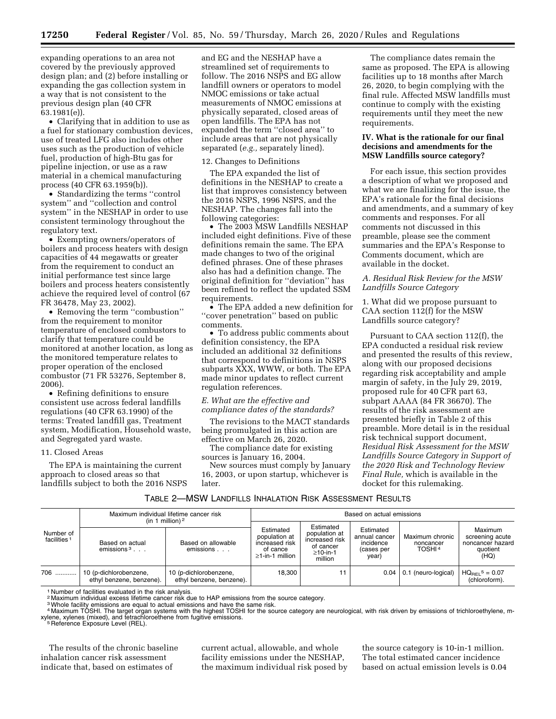expanding operations to an area not covered by the previously approved design plan; and (2) before installing or expanding the gas collection system in a way that is not consistent to the previous design plan (40 CFR 63.1981(e)).

• Clarifying that in addition to use as a fuel for stationary combustion devices, use of treated LFG also includes other uses such as the production of vehicle fuel, production of high-Btu gas for pipeline injection, or use as a raw material in a chemical manufacturing process (40 CFR 63.1959(b)).

• Standardizing the terms ''control system'' and ''collection and control system'' in the NESHAP in order to use consistent terminology throughout the regulatory text.

• Exempting owners/operators of boilers and process heaters with design capacities of 44 megawatts or greater from the requirement to conduct an initial performance test since large boilers and process heaters consistently achieve the required level of control (67 FR 36478, May 23, 2002).

• Removing the term ''combustion'' from the requirement to monitor temperature of enclosed combustors to clarify that temperature could be monitored at another location, as long as the monitored temperature relates to proper operation of the enclosed combustor (71 FR 53276, September 8, 2006).

• Refining definitions to ensure consistent use across federal landfills regulations (40 CFR 63.1990) of the terms: Treated landfill gas, Treatment system, Modification, Household waste, and Segregated yard waste.

## 11. Closed Areas

The EPA is maintaining the current approach to closed areas so that landfills subject to both the 2016 NSPS and EG and the NESHAP have a streamlined set of requirements to follow. The 2016 NSPS and EG allow landfill owners or operators to model NMOC emissions or take actual measurements of NMOC emissions at physically separated, closed areas of open landfills. The EPA has not expanded the term ''closed area'' to include areas that are not physically separated (*e.g.,* separately lined).

#### 12. Changes to Definitions

The EPA expanded the list of definitions in the NESHAP to create a list that improves consistency between the 2016 NSPS, 1996 NSPS, and the NESHAP. The changes fall into the following categories:

• The 2003 MSW Landfills NESHAP included eight definitions. Five of these definitions remain the same. The EPA made changes to two of the original defined phrases. One of these phrases also has had a definition change. The original definition for ''deviation'' has been refined to reflect the updated SSM requirements.

• The EPA added a new definition for ''cover penetration'' based on public comments.

• To address public comments about definition consistency, the EPA included an additional 32 definitions that correspond to definitions in NSPS subparts XXX, WWW, or both. The EPA made minor updates to reflect current regulation references.

## *E. What are the effective and compliance dates of the standards?*

The revisions to the MACT standards being promulgated in this action are effective on March 26, 2020.

The compliance date for existing sources is January 16, 2004.

New sources must comply by January 16, 2003, or upon startup, whichever is later.

The compliance dates remain the same as proposed. The EPA is allowing facilities up to 18 months after March 26, 2020, to begin complying with the final rule. Affected MSW landfills must continue to comply with the existing requirements until they meet the new requirements.

## **IV. What is the rationale for our final decisions and amendments for the MSW Landfills source category?**

For each issue, this section provides a description of what we proposed and what we are finalizing for the issue, the EPA's rationale for the final decisions and amendments, and a summary of key comments and responses. For all comments not discussed in this preamble, please see the comment summaries and the EPA's Response to Comments document, which are available in the docket.

## *A. Residual Risk Review for the MSW Landfills Source Category*

1. What did we propose pursuant to CAA section 112(f) for the MSW Landfills source category?

Pursuant to CAA section 112(f), the EPA conducted a residual risk review and presented the results of this review, along with our proposed decisions regarding risk acceptability and ample margin of safety, in the July 29, 2019, proposed rule for 40 CFR part 63, subpart AAAA (84 FR 36670). The results of the risk assessment are presented briefly in Table 2 of this preamble. More detail is in the residual risk technical support document, *Residual Risk Assessment for the MSW Landfills Source Category in Support of the 2020 Risk and Technology Review Final Rule,* which is available in the docket for this rulemaking.

## TABLE 2—MSW LANDFILLS INHALATION RISK ASSESSMENT RESULTS

|                                      | Maximum individual lifetime cancer risk<br>(in 1 million) $2$ |                                                    | Based on actual emissions                                                      |                                                                                        |                                                                |                                                    |                                                                    |  |
|--------------------------------------|---------------------------------------------------------------|----------------------------------------------------|--------------------------------------------------------------------------------|----------------------------------------------------------------------------------------|----------------------------------------------------------------|----------------------------------------------------|--------------------------------------------------------------------|--|
| Number of<br>facilities <sup>1</sup> | Based on actual<br>emissions $3 \ldots$                       | Based on allowable<br>emissions                    | Estimated<br>population at<br>increased risk<br>of cance<br>$>1$ -in-1 million | Estimated<br>population at<br>increased risk<br>of cancer<br>$\geq$ 10-in-1<br>million | Estimated<br>annual cancer<br>incidence<br>(cases per<br>year) | Maximum chronic<br>noncancer<br>TOSHI <sup>4</sup> | Maximum<br>screening acute<br>noncancer hazard<br>quotient<br>(HQ) |  |
| 706                                  | 10 (p-dichlorobenzene,<br>ethyl benzene, benzene).            | 10 (p-dichlorobenzene,<br>ethyl benzene, benzene). | 18.300                                                                         | 11                                                                                     | 0.04                                                           | 0.1 (neuro-logical)                                | $HQ_{BFL}$ <sup>5</sup> = 0.07<br>(chloroform).                    |  |

<sup>1</sup> Number of facilities evaluated in the risk analysis.

2 Maximum individual excess lifetime cancer risk due to HAP emissions from the source category. 3Whole facility emissions are equal to actual emissions and have the same risk.

4 Maximum TOSHI. The target organ systems with the highest TOSHI for the source category are neurological, with risk driven by emissions of trichloroethylene, mxylene, xylenes (mixed), and tetrachloroethene from fugitive emissions.<br><sup>5</sup> Reference Exposure Level (REL).

The results of the chronic baseline inhalation cancer risk assessment indicate that, based on estimates of

current actual, allowable, and whole facility emissions under the NESHAP, the maximum individual risk posed by the source category is 10-in-1 million. The total estimated cancer incidence based on actual emission levels is 0.04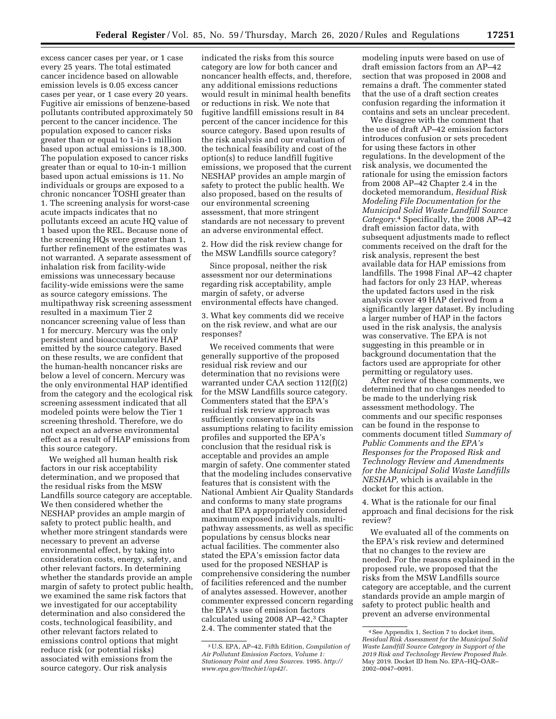excess cancer cases per year, or 1 case every 25 years. The total estimated cancer incidence based on allowable emission levels is 0.05 excess cancer cases per year, or 1 case every 20 years. Fugitive air emissions of benzene-based pollutants contributed approximately 50 percent to the cancer incidence. The population exposed to cancer risks greater than or equal to 1-in-1 million based upon actual emissions is 18,300. The population exposed to cancer risks greater than or equal to 10-in-1 million based upon actual emissions is 11. No individuals or groups are exposed to a chronic noncancer TOSHI greater than 1. The screening analysis for worst-case acute impacts indicates that no pollutants exceed an acute HQ value of 1 based upon the REL. Because none of the screening HQs were greater than 1, further refinement of the estimates was not warranted. A separate assessment of inhalation risk from facility-wide emissions was unnecessary because facility-wide emissions were the same as source category emissions. The multipathway risk screening assessment resulted in a maximum Tier 2 noncancer screening value of less than 1 for mercury. Mercury was the only persistent and bioaccumulative HAP emitted by the source category. Based on these results, we are confident that the human-health noncancer risks are below a level of concern. Mercury was the only environmental HAP identified from the category and the ecological risk screening assessment indicated that all modeled points were below the Tier 1 screening threshold. Therefore, we do not expect an adverse environmental effect as a result of HAP emissions from this source category.

We weighed all human health risk factors in our risk acceptability determination, and we proposed that the residual risks from the MSW Landfills source category are acceptable. We then considered whether the NESHAP provides an ample margin of safety to protect public health, and whether more stringent standards were necessary to prevent an adverse environmental effect, by taking into consideration costs, energy, safety, and other relevant factors. In determining whether the standards provide an ample margin of safety to protect public health, we examined the same risk factors that we investigated for our acceptability determination and also considered the costs, technological feasibility, and other relevant factors related to emissions control options that might reduce risk (or potential risks) associated with emissions from the source category. Our risk analysis

indicated the risks from this source category are low for both cancer and noncancer health effects, and, therefore, any additional emissions reductions would result in minimal health benefits or reductions in risk. We note that fugitive landfill emissions result in 84 percent of the cancer incidence for this source category. Based upon results of the risk analysis and our evaluation of the technical feasibility and cost of the option(s) to reduce landfill fugitive emissions, we proposed that the current NESHAP provides an ample margin of safety to protect the public health. We also proposed, based on the results of our environmental screening assessment, that more stringent standards are not necessary to prevent an adverse environmental effect.

2. How did the risk review change for the MSW Landfills source category?

Since proposal, neither the risk assessment nor our determinations regarding risk acceptability, ample margin of safety, or adverse environmental effects have changed.

3. What key comments did we receive on the risk review, and what are our responses?

We received comments that were generally supportive of the proposed residual risk review and our determination that no revisions were warranted under CAA section 112(f)(2) for the MSW Landfills source category. Commenters stated that the EPA's residual risk review approach was sufficiently conservative in its assumptions relating to facility emission profiles and supported the EPA's conclusion that the residual risk is acceptable and provides an ample margin of safety. One commenter stated that the modeling includes conservative features that is consistent with the National Ambient Air Quality Standards and conforms to many state programs and that EPA appropriately considered maximum exposed individuals, multipathway assessments, as well as specific populations by census blocks near actual facilities. The commenter also stated the EPA's emission factor data used for the proposed NESHAP is comprehensive considering the number of facilities referenced and the number of analytes assessed. However, another commenter expressed concern regarding the EPA's use of emission factors calculated using 2008 AP-42,<sup>3</sup> Chapter 2.4. The commenter stated that the

modeling inputs were based on use of draft emission factors from an AP–42 section that was proposed in 2008 and remains a draft. The commenter stated that the use of a draft section creates confusion regarding the information it contains and sets an unclear precedent.

We disagree with the comment that the use of draft AP–42 emission factors introduces confusion or sets precedent for using these factors in other regulations. In the development of the risk analysis, we documented the rationale for using the emission factors from 2008 AP–42 Chapter 2.4 in the docketed memorandum, *Residual Risk Modeling File Documentation for the Municipal Solid Waste Landfill Source Category.*4 Specifically, the 2008 AP–42 draft emission factor data, with subsequent adjustments made to reflect comments received on the draft for the risk analysis, represent the best available data for HAP emissions from landfills. The 1998 Final AP–42 chapter had factors for only 23 HAP, whereas the updated factors used in the risk analysis cover 49 HAP derived from a significantly larger dataset. By including a larger number of HAP in the factors used in the risk analysis, the analysis was conservative. The EPA is not suggesting in this preamble or in background documentation that the factors used are appropriate for other permitting or regulatory uses.

After review of these comments, we determined that no changes needed to be made to the underlying risk assessment methodology. The comments and our specific responses can be found in the response to comments document titled *Summary of Public Comments and the EPA's Responses for the Proposed Risk and Technology Review and Amendments for the Municipal Solid Waste Landfills NESHAP,* which is available in the docket for this action.

4. What is the rationale for our final approach and final decisions for the risk review?

We evaluated all of the comments on the EPA's risk review and determined that no changes to the review are needed. For the reasons explained in the proposed rule, we proposed that the risks from the MSW Landfills source category are acceptable, and the current standards provide an ample margin of safety to protect public health and prevent an adverse environmental

<sup>3</sup>U.S. EPA, AP–42, Fifth Edition, *Compilation of Air Pollutant Emission Factors, Volume 1: Stationary Point and Area Sources.* 1995. *http:// www.epa.gov/ttnchie1/ap42*/.

<sup>4</sup>See Appendix 1, Section 7 to docket item, *Residual Risk Assessment for the Municipal Solid Waste Landfill Source Category in Support of the 2019 Risk and Technology Review Proposed Rule.*  May 2019. Docket ID Item No. EPA–HQ–OAR– 2002–0047–0091.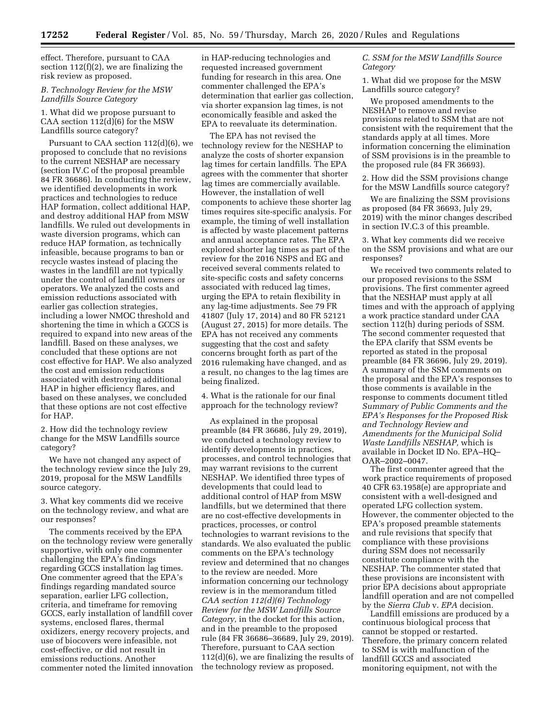effect. Therefore, pursuant to CAA section 112(f)(2), we are finalizing the risk review as proposed.

## *B. Technology Review for the MSW Landfills Source Category*

## 1. What did we propose pursuant to CAA section 112(d)(6) for the MSW Landfills source category?

Pursuant to CAA section 112(d)(6), we proposed to conclude that no revisions to the current NESHAP are necessary (section IV.C of the proposal preamble 84 FR 36686). In conducting the review, we identified developments in work practices and technologies to reduce HAP formation, collect additional HAP, and destroy additional HAP from MSW landfills. We ruled out developments in waste diversion programs, which can reduce HAP formation, as technically infeasible, because programs to ban or recycle wastes instead of placing the wastes in the landfill are not typically under the control of landfill owners or operators. We analyzed the costs and emission reductions associated with earlier gas collection strategies, including a lower NMOC threshold and shortening the time in which a GCCS is required to expand into new areas of the landfill. Based on these analyses, we concluded that these options are not cost effective for HAP. We also analyzed the cost and emission reductions associated with destroying additional HAP in higher efficiency flares, and based on these analyses, we concluded that these options are not cost effective for HAP.

2. How did the technology review change for the MSW Landfills source category?

We have not changed any aspect of the technology review since the July 29, 2019, proposal for the MSW Landfills source category.

3. What key comments did we receive on the technology review, and what are our responses?

The comments received by the EPA on the technology review were generally supportive, with only one commenter challenging the EPA's findings regarding GCCS installation lag times. One commenter agreed that the EPA's findings regarding mandated source separation, earlier LFG collection, criteria, and timeframe for removing GCCS, early installation of landfill cover systems, enclosed flares, thermal oxidizers, energy recovery projects, and use of biocovers were infeasible, not cost-effective, or did not result in emissions reductions. Another commenter noted the limited innovation in HAP-reducing technologies and requested increased government funding for research in this area. One commenter challenged the EPA's determination that earlier gas collection, via shorter expansion lag times, is not economically feasible and asked the EPA to reevaluate its determination.

The EPA has not revised the technology review for the NESHAP to analyze the costs of shorter expansion lag times for certain landfills. The EPA agrees with the commenter that shorter lag times are commercially available. However, the installation of well components to achieve these shorter lag times requires site-specific analysis. For example, the timing of well installation is affected by waste placement patterns and annual acceptance rates. The EPA explored shorter lag times as part of the review for the 2016 NSPS and EG and received several comments related to site-specific costs and safety concerns associated with reduced lag times, urging the EPA to retain flexibility in any lag-time adjustments. See 79 FR 41807 (July 17, 2014) and 80 FR 52121 (August 27, 2015) for more details. The EPA has not received any comments suggesting that the cost and safety concerns brought forth as part of the 2016 rulemaking have changed, and as a result, no changes to the lag times are being finalized.

4. What is the rationale for our final approach for the technology review?

As explained in the proposal preamble (84 FR 36686, July 29, 2019), we conducted a technology review to identify developments in practices, processes, and control technologies that may warrant revisions to the current NESHAP. We identified three types of developments that could lead to additional control of HAP from MSW landfills, but we determined that there are no cost-effective developments in practices, processes, or control technologies to warrant revisions to the standards. We also evaluated the public comments on the EPA's technology review and determined that no changes to the review are needed. More information concerning our technology review is in the memorandum titled *CAA section 112(d)(6) Technology Review for the MSW Landfills Source Category,* in the docket for this action, and in the preamble to the proposed rule (84 FR 36686–36689, July 29, 2019). Therefore, pursuant to CAA section 112(d)(6), we are finalizing the results of the technology review as proposed.

## *C. SSM for the MSW Landfills Source Category*

1. What did we propose for the MSW Landfills source category?

We proposed amendments to the NESHAP to remove and revise provisions related to SSM that are not consistent with the requirement that the standards apply at all times. More information concerning the elimination of SSM provisions is in the preamble to the proposed rule (84 FR 36693).

2. How did the SSM provisions change for the MSW Landfills source category?

We are finalizing the SSM provisions as proposed (84 FR 36693, July 29, 2019) with the minor changes described in section IV.C.3 of this preamble.

3. What key comments did we receive on the SSM provisions and what are our responses?

We received two comments related to our proposed revisions to the SSM provisions. The first commenter agreed that the NESHAP must apply at all times and with the approach of applying a work practice standard under CAA section 112(h) during periods of SSM. The second commenter requested that the EPA clarify that SSM events be reported as stated in the proposal preamble (84 FR 36696, July 29, 2019). A summary of the SSM comments on the proposal and the EPA's responses to those comments is available in the response to comments document titled *Summary of Public Comments and the EPA's Responses for the Proposed Risk and Technology Review and Amendments for the Municipal Solid Waste Landfills NESHAP,* which is available in Docket ID No. EPA–HQ– OAR–2002–0047.

The first commenter agreed that the work practice requirements of proposed 40 CFR 63.1958(e) are appropriate and consistent with a well-designed and operated LFG collection system. However, the commenter objected to the EPA's proposed preamble statements and rule revisions that specify that compliance with these provisions during SSM does not necessarily constitute compliance with the NESHAP. The commenter stated that these provisions are inconsistent with prior EPA decisions about appropriate landfill operation and are not compelled by the *Sierra Club* v. *EPA* decision.

Landfill emissions are produced by a continuous biological process that cannot be stopped or restarted. Therefore, the primary concern related to SSM is with malfunction of the landfill GCCS and associated monitoring equipment, not with the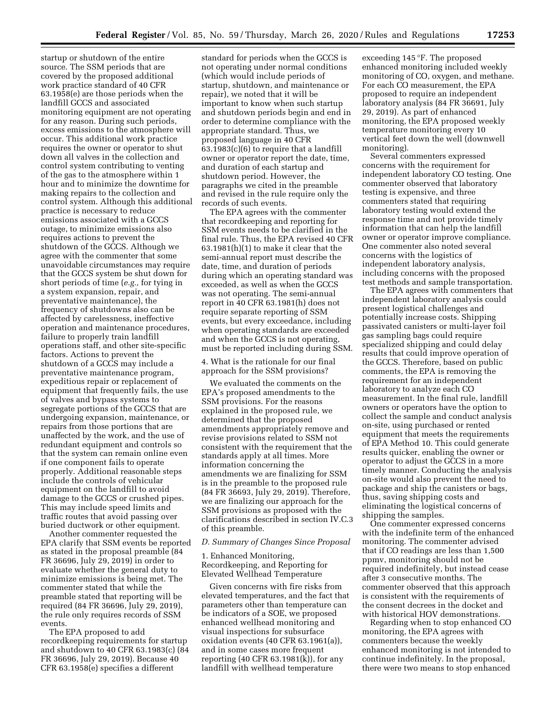startup or shutdown of the entire source. The SSM periods that are covered by the proposed additional work practice standard of 40 CFR 63.1958(e) are those periods when the landfill GCCS and associated monitoring equipment are not operating for any reason. During such periods, excess emissions to the atmosphere will occur. This additional work practice requires the owner or operator to shut down all valves in the collection and control system contributing to venting of the gas to the atmosphere within 1 hour and to minimize the downtime for making repairs to the collection and control system. Although this additional practice is necessary to reduce emissions associated with a GCCS outage, to minimize emissions also requires actions to prevent the shutdown of the GCCS. Although we agree with the commenter that some unavoidable circumstances may require that the GCCS system be shut down for short periods of time (*e.g.,* for tying in a system expansion, repair, and preventative maintenance), the frequency of shutdowns also can be affected by carelessness, ineffective operation and maintenance procedures, failure to properly train landfill operations staff, and other site-specific factors. Actions to prevent the shutdown of a GCCS may include a preventative maintenance program, expeditious repair or replacement of equipment that frequently fails, the use of valves and bypass systems to segregate portions of the GCCS that are undergoing expansion, maintenance, or repairs from those portions that are unaffected by the work, and the use of redundant equipment and controls so that the system can remain online even if one component fails to operate properly. Additional reasonable steps include the controls of vehicular equipment on the landfill to avoid damage to the GCCS or crushed pipes. This may include speed limits and traffic routes that avoid passing over buried ductwork or other equipment.

Another commenter requested the EPA clarify that SSM events be reported as stated in the proposal preamble (84 FR 36696, July 29, 2019) in order to evaluate whether the general duty to minimize emissions is being met. The commenter stated that while the preamble stated that reporting will be required (84 FR 36696, July 29, 2019), the rule only requires records of SSM events.

The EPA proposed to add recordkeeping requirements for startup and shutdown to 40 CFR 63.1983(c) (84 FR 36696, July 29, 2019). Because 40 CFR 63.1958(e) specifies a different

standard for periods when the GCCS is not operating under normal conditions (which would include periods of startup, shutdown, and maintenance or repair), we noted that it will be important to know when such startup and shutdown periods begin and end in order to determine compliance with the appropriate standard. Thus, we proposed language in 40 CFR 63.1983(c)(6) to require that a landfill owner or operator report the date, time, and duration of each startup and shutdown period. However, the paragraphs we cited in the preamble and revised in the rule require only the records of such events.

The EPA agrees with the commenter that recordkeeping and reporting for SSM events needs to be clarified in the final rule. Thus, the EPA revised 40 CFR 63.1981(h)(1) to make it clear that the semi-annual report must describe the date, time, and duration of periods during which an operating standard was exceeded, as well as when the GCCS was not operating. The semi-annual report in 40 CFR 63.1981(h) does not require separate reporting of SSM events, but every exceedance, including when operating standards are exceeded and when the GCCS is not operating, must be reported including during SSM.

4. What is the rationale for our final approach for the SSM provisions?

We evaluated the comments on the EPA's proposed amendments to the SSM provisions. For the reasons explained in the proposed rule, we determined that the proposed amendments appropriately remove and revise provisions related to SSM not consistent with the requirement that the standards apply at all times. More information concerning the amendments we are finalizing for SSM is in the preamble to the proposed rule (84 FR 36693, July 29, 2019). Therefore, we are finalizing our approach for the SSM provisions as proposed with the clarifications described in section IV.C.3 of this preamble.

## *D. Summary of Changes Since Proposal*

1. Enhanced Monitoring, Recordkeeping, and Reporting for Elevated Wellhead Temperature

Given concerns with fire risks from elevated temperatures, and the fact that parameters other than temperature can be indicators of a SOE, we proposed enhanced wellhead monitoring and visual inspections for subsurface oxidation events (40 CFR 63.1961(a)), and in some cases more frequent reporting (40 CFR 63.1981(k)), for any landfill with wellhead temperature

exceeding 145 °F. The proposed enhanced monitoring included weekly monitoring of CO, oxygen, and methane. For each CO measurement, the EPA proposed to require an independent laboratory analysis (84 FR 36691, July 29, 2019). As part of enhanced monitoring, the EPA proposed weekly temperature monitoring every 10 vertical feet down the well (downwell monitoring).

Several commenters expressed concerns with the requirement for independent laboratory CO testing. One commenter observed that laboratory testing is expensive, and three commenters stated that requiring laboratory testing would extend the response time and not provide timely information that can help the landfill owner or operator improve compliance. One commenter also noted several concerns with the logistics of independent laboratory analysis, including concerns with the proposed test methods and sample transportation.

The EPA agrees with commenters that independent laboratory analysis could present logistical challenges and potentially increase costs. Shipping passivated canisters or multi-layer foil gas sampling bags could require specialized shipping and could delay results that could improve operation of the GCCS. Therefore, based on public comments, the EPA is removing the requirement for an independent laboratory to analyze each CO measurement. In the final rule, landfill owners or operators have the option to collect the sample and conduct analysis on-site, using purchased or rented equipment that meets the requirements of EPA Method 10. This could generate results quicker, enabling the owner or operator to adjust the GCCS in a more timely manner. Conducting the analysis on-site would also prevent the need to package and ship the canisters or bags, thus, saving shipping costs and eliminating the logistical concerns of shipping the samples.

One commenter expressed concerns with the indefinite term of the enhanced monitoring. The commenter advised that if CO readings are less than 1,500 ppmv, monitoring should not be required indefinitely, but instead cease after 3 consecutive months. The commenter observed that this approach is consistent with the requirements of the consent decrees in the docket and with historical HOV demonstrations.

Regarding when to stop enhanced CO monitoring, the EPA agrees with commenters because the weekly enhanced monitoring is not intended to continue indefinitely. In the proposal, there were two means to stop enhanced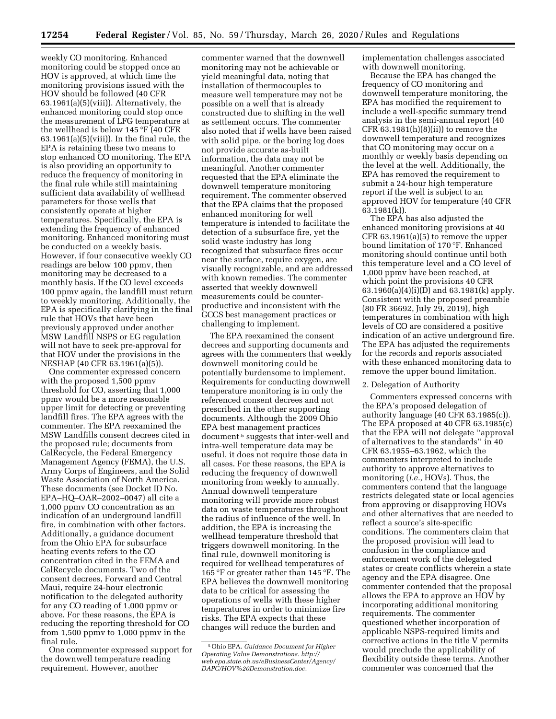weekly CO monitoring. Enhanced monitoring could be stopped once an HOV is approved, at which time the monitoring provisions issued with the HOV should be followed (40 CFR 63.1961(a)(5)(viii)). Alternatively, the enhanced monitoring could stop once the measurement of LFG temperature at the wellhead is below 145 °F (40 CFR  $63.1961(a)(5)(viii)$ . In the final rule, the EPA is retaining these two means to stop enhanced CO monitoring. The EPA is also providing an opportunity to reduce the frequency of monitoring in the final rule while still maintaining sufficient data availability of wellhead parameters for those wells that consistently operate at higher temperatures. Specifically, the EPA is extending the frequency of enhanced monitoring. Enhanced monitoring must be conducted on a weekly basis. However, if four consecutive weekly CO readings are below 100 ppmv, then monitoring may be decreased to a monthly basis. If the CO level exceeds 100 ppmv again, the landfill must return to weekly monitoring. Additionally, the EPA is specifically clarifying in the final rule that HOVs that have been previously approved under another MSW Landfill NSPS or EG regulation will not have to seek pre-approval for that HOV under the provisions in the NESHAP (40 CFR 63.1961(a)(5)).

One commenter expressed concern with the proposed 1,500 ppmv threshold for CO, asserting that 1,000 ppmv would be a more reasonable upper limit for detecting or preventing landfill fires. The EPA agrees with the commenter. The EPA reexamined the MSW Landfills consent decrees cited in the proposed rule; documents from CalRecycle, the Federal Emergency Management Agency (FEMA), the U.S. Army Corps of Engineers, and the Solid Waste Association of North America. These documents (see Docket ID No. EPA–HQ–OAR–2002–0047) all cite a 1,000 ppmv CO concentration as an indication of an underground landfill fire, in combination with other factors. Additionally, a guidance document from the Ohio EPA for subsurface heating events refers to the CO concentration cited in the FEMA and CalRecycle documents. Two of the consent decrees, Forward and Central Maui, require 24-hour electronic notification to the delegated authority for any CO reading of 1,000 ppmv or above. For these reasons, the EPA is reducing the reporting threshold for CO from 1,500 ppmv to 1,000 ppmv in the final rule.

One commenter expressed support for the downwell temperature reading requirement. However, another

commenter warned that the downwell monitoring may not be achievable or yield meaningful data, noting that installation of thermocouples to measure well temperature may not be possible on a well that is already constructed due to shifting in the well as settlement occurs. The commenter also noted that if wells have been raised with solid pipe, or the boring log does not provide accurate as-built information, the data may not be meaningful. Another commenter requested that the EPA eliminate the downwell temperature monitoring requirement. The commenter observed that the EPA claims that the proposed enhanced monitoring for well temperature is intended to facilitate the detection of a subsurface fire, yet the solid waste industry has long recognized that subsurface fires occur near the surface, require oxygen, are visually recognizable, and are addressed with known remedies. The commenter asserted that weekly downwell measurements could be counterproductive and inconsistent with the GCCS best management practices or challenging to implement.

The EPA reexamined the consent decrees and supporting documents and agrees with the commenters that weekly downwell monitoring could be potentially burdensome to implement. Requirements for conducting downwell temperature monitoring is in only the referenced consent decrees and not prescribed in the other supporting documents. Although the 2009 Ohio EPA best management practices document<sup>5</sup> suggests that inter-well and intra-well temperature data may be useful, it does not require those data in all cases. For these reasons, the EPA is reducing the frequency of downwell monitoring from weekly to annually. Annual downwell temperature monitoring will provide more robust data on waste temperatures throughout the radius of influence of the well. In addition, the EPA is increasing the wellhead temperature threshold that triggers downwell monitoring. In the final rule, downwell monitoring is required for wellhead temperatures of 165 °F or greater rather than 145 °F. The EPA believes the downwell monitoring data to be critical for assessing the operations of wells with these higher temperatures in order to minimize fire risks. The EPA expects that these changes will reduce the burden and

implementation challenges associated with downwell monitoring.

Because the EPA has changed the frequency of CO monitoring and downwell temperature monitoring, the EPA has modified the requirement to include a well-specific summary trend analysis in the semi-annual report (40 CFR  $63.1981(h)(8)(ii)$  to remove the downwell temperature and recognizes that CO monitoring may occur on a monthly or weekly basis depending on the level at the well. Additionally, the EPA has removed the requirement to submit a 24-hour high temperature report if the well is subject to an approved HOV for temperature (40 CFR 63.1981(k)).

The EPA has also adjusted the enhanced monitoring provisions at 40 CFR 63.1961(a)(5) to remove the upper bound limitation of 170 °F. Enhanced monitoring should continue until both this temperature level and a CO level of 1,000 ppmv have been reached, at which point the provisions 40 CFR 63.1960(a)(4)(i)(D) and 63.1981(k) apply. Consistent with the proposed preamble (80 FR 36692, July 29, 2019), high temperatures in combination with high levels of CO are considered a positive indication of an active underground fire. The EPA has adjusted the requirements for the records and reports associated with these enhanced monitoring data to remove the upper bound limitation.

#### 2. Delegation of Authority

Commenters expressed concerns with the EPA's proposed delegation of authority language (40 CFR 63.1985(c)). The EPA proposed at 40 CFR 63.1985(c) that the EPA will not delegate ''approval of alternatives to the standards'' in 40 CFR 63.1955–63.1962, which the commenters interpreted to include authority to approve alternatives to monitoring (*i.e.,* HOVs). Thus, the commenters contend that the language restricts delegated state or local agencies from approving or disapproving HOVs and other alternatives that are needed to reflect a source's site-specific conditions. The commenters claim that the proposed provision will lead to confusion in the compliance and enforcement work of the delegated states or create conflicts wherein a state agency and the EPA disagree. One commenter contended that the proposal allows the EPA to approve an HOV by incorporating additional monitoring requirements. The commenter questioned whether incorporation of applicable NSPS-required limits and corrective actions in the title V permits would preclude the applicability of flexibility outside these terms. Another commenter was concerned that the

<sup>5</sup>Ohio EPA. *Guidance Document for Higher Operating Value Demonstrations. http:// web.epa.state.oh.us/eBusinessCenter/Agency/ DAPC/HOV%20Demonstration.doc.*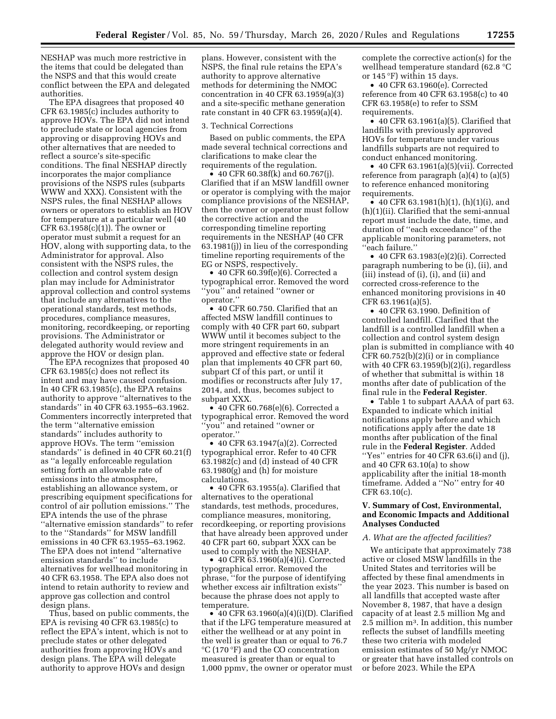NESHAP was much more restrictive in the items that could be delegated than the NSPS and that this would create conflict between the EPA and delegated authorities.

The EPA disagrees that proposed 40 CFR 63.1985(c) includes authority to approve HOVs. The EPA did not intend to preclude state or local agencies from approving or disapproving HOVs and other alternatives that are needed to reflect a source's site-specific conditions. The final NESHAP directly incorporates the major compliance provisions of the NSPS rules (subparts WWW and XXX). Consistent with the NSPS rules, the final NESHAP allows owners or operators to establish an HOV for temperature at a particular well (40 CFR 63.1958(c)(1)). The owner or operator must submit a request for an HOV, along with supporting data, to the Administrator for approval. Also consistent with the NSPS rules, the collection and control system design plan may include for Administrator approval collection and control systems that include any alternatives to the operational standards, test methods, procedures, compliance measures, monitoring, recordkeeping, or reporting provisions. The Administrator or delegated authority would review and approve the HOV or design plan.

The EPA recognizes that proposed 40 CFR 63.1985(c) does not reflect its intent and may have caused confusion. In 40 CFR  $63.1985(c)$ , the EPA retains authority to approve ''alternatives to the standards'' in 40 CFR 63.1955–63.1962. Commenters incorrectly interpreted that the term ''alternative emission standards'' includes authority to approve HOVs. The term ''emission standards'' is defined in 40 CFR 60.21(f) as ''a legally enforceable regulation setting forth an allowable rate of emissions into the atmosphere, establishing an allowance system, or prescribing equipment specifications for control of air pollution emissions.'' The EPA intends the use of the phrase ''alternative emission standards'' to refer to the ''Standards'' for MSW landfill emissions in 40 CFR 63.1955–63.1962. The EPA does not intend ''alternative emission standards'' to include alternatives for wellhead monitoring in 40 CFR 63.1958. The EPA also does not intend to retain authority to review and approve gas collection and control design plans.

Thus, based on public comments, the EPA is revising 40 CFR 63.1985(c) to reflect the EPA's intent, which is not to preclude states or other delegated authorities from approving HOVs and design plans. The EPA will delegate authority to approve HOVs and design

plans. However, consistent with the NSPS, the final rule retains the EPA's authority to approve alternative methods for determining the NMOC concentration in 40 CFR 63.1959(a)(3) and a site-specific methane generation rate constant in 40 CFR 63.1959(a)(4).

#### 3. Technical Corrections

Based on public comments, the EPA made several technical corrections and clarifications to make clear the requirements of the regulation.

• 40 CFR 60.38f(k) and 60.767(j). Clarified that if an MSW landfill owner or operator is complying with the major compliance provisions of the NESHAP, then the owner or operator must follow the corrective action and the corresponding timeline reporting requirements in the NESHAP (40 CFR 63.1981(j)) in lieu of the corresponding timeline reporting requirements of the EG or NSPS, respectively.

• 40 CFR 60.39f(e)(6). Corrected a typographical error. Removed the word ''you'' and retained ''owner or operator.''

• 40 CFR 60.750. Clarified that an affected MSW landfill continues to comply with 40 CFR part 60, subpart WWW until it becomes subject to the more stringent requirements in an approved and effective state or federal plan that implements 40 CFR part 60, subpart Cf of this part, or until it modifies or reconstructs after July 17, 2014, and, thus, becomes subject to subpart XXX.

• 40 CFR 60.768(e)(6). Corrected a typographical error. Removed the word ''you'' and retained ''owner or operator.''

• 40 CFR 63.1947(a)(2). Corrected typographical error. Refer to 40 CFR 63.1982(c) and (d) instead of 40 CFR 63.1980(g) and (h) for moisture calculations.

• 40 CFR 63.1955(a). Clarified that alternatives to the operational standards, test methods, procedures, compliance measures, monitoring, recordkeeping, or reporting provisions that have already been approved under 40 CFR part 60, subpart XXX can be used to comply with the NESHAP.

• 40 CFR 63.1960(a)(4)(i). Corrected typographical error. Removed the phrase, ''for the purpose of identifying whether excess air infiltration exists'' because the phrase does not apply to temperature.

• 40 CFR 63.1960(a)(4)(i)(D). Clarified that if the LFG temperature measured at either the wellhead or at any point in the well is greater than or equal to 76.7 °C (170 °F) and the CO concentration measured is greater than or equal to 1,000 ppmv, the owner or operator must

complete the corrective action(s) for the wellhead temperature standard (62.8 °C or 145 °F) within 15 days.

• 40 CFR 63.1960(e). Corrected reference from 40 CFR 63.1958(c) to 40 CFR 63.1958(e) to refer to SSM requirements.

• 40 CFR 63.1961(a)(5). Clarified that landfills with previously approved HOVs for temperature under various landfills subparts are not required to conduct enhanced monitoring.

• 40 CFR 63.1961(a)(5)(vii). Corrected reference from paragraph (a)(4) to (a)(5) to reference enhanced monitoring requirements.

• 40 CFR 63.1981(h)(1), (h)(1)(i), and (h)(1)(ii). Clarified that the semi-annual report must include the date, time, and duration of ''each exceedance'' of the applicable monitoring parameters, not ''each failure.''

• 40 CFR 63.1983(e)(2)(i). Corrected paragraph numbering to be (i), (ii), and (iii) instead of (i), (i), and (ii) and corrected cross-reference to the enhanced monitoring provisions in 40 CFR 63.1961(a)(5).

• 40 CFR 63.1990. Definition of controlled landfill. Clarified that the landfill is a controlled landfill when a collection and control system design plan is submitted in compliance with 40 CFR 60.752(b)(2)(i) or in compliance with 40 CFR 63.1959(b)(2)(i), regardless of whether that submittal is within 18 months after date of publication of the final rule in the **Federal Register**.

• Table 1 to subpart AAAA of part 63. Expanded to indicate which initial notifications apply before and which notifications apply after the date 18 months after publication of the final rule in the **Federal Register**. Added ''Yes'' entries for 40 CFR 63.6(i) and (j), and 40 CFR 63.10(a) to show applicability after the initial 18-month timeframe. Added a ''No'' entry for 40 CFR 63.10(c).

## **V. Summary of Cost, Environmental, and Economic Impacts and Additional Analyses Conducted**

#### *A. What are the affected facilities?*

We anticipate that approximately 738 active or closed MSW landfills in the United States and territories will be affected by these final amendments in the year 2023. This number is based on all landfills that accepted waste after November 8, 1987, that have a design capacity of at least 2.5 million Mg and 2.5 million m3. In addition, this number reflects the subset of landfills meeting these two criteria with modeled emission estimates of 50 Mg/yr NMOC or greater that have installed controls on or before 2023. While the EPA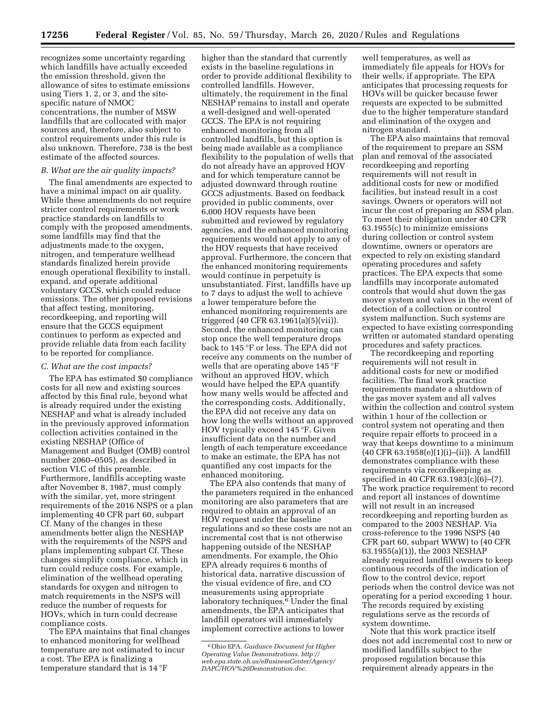recognizes some uncertainty regarding which landfills have actually exceeded the emission threshold, given the allowance of sites to estimate emissions using Tiers 1, 2, or 3, and the sitespecific nature of NMOC concentrations, the number of MSW landfills that are collocated with major sources and, therefore, also subject to control requirements under this rule is also unknown. Therefore, 738 is the best estimate of the affected sources.

### *B. What are the air quality impacts?*

The final amendments are expected to have a minimal impact on air quality. While these amendments do not require stricter control requirements or work practice standards on landfills to comply with the proposed amendments, some landfills may find that the adjustments made to the oxygen, nitrogen, and temperature wellhead standards finalized herein provide enough operational flexibility to install, expand, and operate additional voluntary GCCS, which could reduce emissions. The other proposed revisions that affect testing, monitoring, recordkeeping, and reporting will ensure that the GCCS equipment continues to perform as expected and provide reliable data from each facility to be reported for compliance.

#### *C. What are the cost impacts?*

The EPA has estimated \$0 compliance costs for all new and existing sources affected by this final rule, beyond what is already required under the existing NESHAP and what is already included in the previously approved information collection activities contained in the existing NESHAP (Office of Management and Budget (OMB) control number 2060–0505), as described in section VI.C of this preamble. Furthermore, landfills accepting waste after November 8, 1987, must comply with the similar, yet, more stringent requirements of the 2016 NSPS or a plan implementing 40 CFR part 60, subpart Cf. Many of the changes in these amendments better align the NESHAP with the requirements of the NSPS and plans implementing subpart Cf. These changes simplify compliance, which in turn could reduce costs. For example, elimination of the wellhead operating standards for oxygen and nitrogen to match requirements in the NSPS will reduce the number of requests for HOVs, which in turn could decrease compliance costs.

The EPA maintains that final changes to enhanced monitoring for wellhead temperature are not estimated to incur a cost. The EPA is finalizing a temperature standard that is 14 °F

higher than the standard that currently exists in the baseline regulations in order to provide additional flexibility to controlled landfills. However, ultimately, the requirement in the final NESHAP remains to install and operate a well-designed and well-operated GCCS. The EPA is not requiring enhanced monitoring from all controlled landfills, but this option is being made available as a compliance flexibility to the population of wells that do not already have an approved HOV and for which temperature cannot be adjusted downward through routine GCCS adjustments. Based on feedback provided in public comments, over 6,000 HOV requests have been submitted and reviewed by regulatory agencies, and the enhanced monitoring requirements would not apply to any of the HOV requests that have received approval. Furthermore, the concern that the enhanced monitoring requirements would continue in perpetuity is unsubstantiated. First, landfills have up to 7 days to adjust the well to achieve a lower temperature before the enhanced monitoring requirements are triggered (40 CFR 63.1961(a)(5)(vii)). Second, the enhanced monitoring can stop once the well temperature drops back to 145 °F or less. The EPA did not receive any comments on the number of wells that are operating above 145 °F without an approved HOV, which would have helped the EPA quantify how many wells would be affected and the corresponding costs. Additionally, the EPA did not receive any data on how long the wells without an approved HOV typically exceed 145 °F. Given insufficient data on the number and length of each temperature exceedance to make an estimate, the EPA has not quantified any cost impacts for the enhanced monitoring.

The EPA also contends that many of the parameters required in the enhanced monitoring are also parameters that are required to obtain an approval of an HOV request under the baseline regulations and so these costs are not an incremental cost that is not otherwise happening outside of the NESHAP amendments. For example, the Ohio EPA already requires 6 months of historical data, narrative discussion of the visual evidence of fire, and CO measurements using appropriate laboratory techniques.<sup>6</sup> Under the final amendments, the EPA anticipates that landfill operators will immediately implement corrective actions to lower

well temperatures, as well as immediately file appeals for HOVs for their wells, if appropriate. The EPA anticipates that processing requests for HOVs will be quicker because fewer requests are expected to be submitted due to the higher temperature standard and elimination of the oxygen and nitrogen standard.

The EPA also maintains that removal of the requirement to prepare an SSM plan and removal of the associated recordkeeping and reporting requirements will not result in additional costs for new or modified facilities, but instead result in a cost savings. Owners or operators will not incur the cost of preparing an SSM plan. To meet their obligation under 40 CFR 63.1955(c) to minimize emissions during collection or control system downtime, owners or operators are expected to rely on existing standard operating procedures and safety practices. The EPA expects that some landfills may incorporate automated controls that would shut down the gas mover system and valves in the event of detection of a collection or control system malfunction. Such systems are expected to have existing corresponding written or automated standard operating procedures and safety practices.

The recordkeeping and reporting requirements will not result in additional costs for new or modified facilities. The final work practice requirements mandate a shutdown of the gas mover system and all valves within the collection and control system within 1 hour of the collection or control system not operating and then require repair efforts to proceed in a way that keeps downtime to a minimum (40 CFR 63.1958(e)(1)(i)–(ii)). A landfill demonstrates compliance with these requirements via recordkeeping as specified in 40 CFR 63.1983(c)(6)–(7). The work practice requirement to record and report all instances of downtime will not result in an increased recordkeeping and reporting burden as compared to the 2003 NESHAP. Via cross-reference to the 1996 NSPS (40 CFR part 60, subpart WWW) to (40 CFR 63.1955(a)(1)), the 2003 NESHAP already required landfill owners to keep continuous records of the indication of flow to the control device, report periods when the control device was not operating for a period exceeding 1 hour. The records required by existing regulations serve as the records of system downtime.

Note that this work practice itself does not add incremental cost to new or modified landfills subject to the proposed regulation because this requirement already appears in the

<sup>6</sup>Ohio EPA. *Guidance Document for Higher Operating Value Demonstrations. http:// web.epa.state.oh.us/eBusinessCenter/Agency/ DAPC/HOV%20Demonstration.doc.*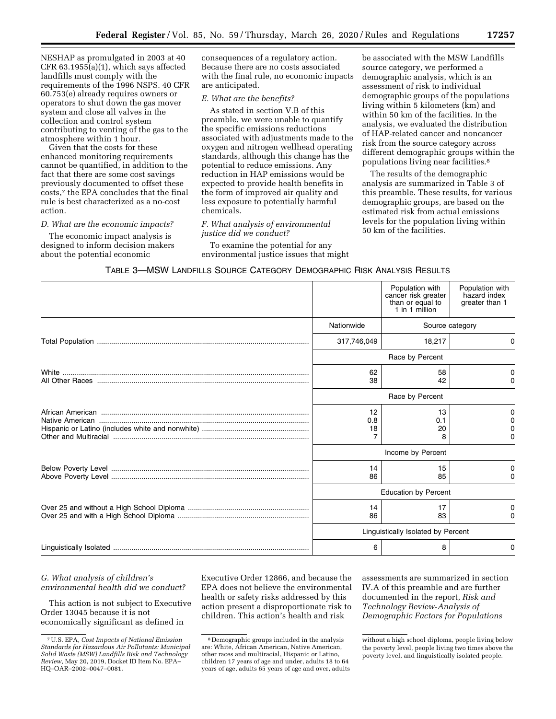NESHAP as promulgated in 2003 at 40 CFR 63.1955(a)(1), which says affected landfills must comply with the requirements of the 1996 NSPS. 40 CFR 60.753(e) already requires owners or operators to shut down the gas mover system and close all valves in the collection and control system contributing to venting of the gas to the atmosphere within 1 hour.

Given that the costs for these enhanced monitoring requirements cannot be quantified, in addition to the fact that there are some cost savings previously documented to offset these costs,7 the EPA concludes that the final rule is best characterized as a no-cost action.

#### *D. What are the economic impacts?*

The economic impact analysis is designed to inform decision makers about the potential economic

consequences of a regulatory action. Because there are no costs associated with the final rule, no economic impacts are anticipated.

## *E. What are the benefits?*

As stated in section V.B of this preamble, we were unable to quantify the specific emissions reductions associated with adjustments made to the oxygen and nitrogen wellhead operating standards, although this change has the potential to reduce emissions. Any reduction in HAP emissions would be expected to provide health benefits in the form of improved air quality and less exposure to potentially harmful chemicals.

## *F. What analysis of environmental justice did we conduct?*

To examine the potential for any environmental justice issues that might be associated with the MSW Landfills source category, we performed a demographic analysis, which is an assessment of risk to individual demographic groups of the populations living within 5 kilometers (km) and within 50 km of the facilities. In the analysis, we evaluated the distribution of HAP-related cancer and noncancer risk from the source category across different demographic groups within the populations living near facilities.8

The results of the demographic analysis are summarized in Table 3 of this preamble. These results, for various demographic groups, are based on the estimated risk from actual emissions levels for the population living within 50 km of the facilities.

| TABLE 3—MSW LANDFILLS SOURCE CATEGORY DEMOGRAPHIC RISK ANALYSIS RESULTS |  |  |
|-------------------------------------------------------------------------|--|--|
|-------------------------------------------------------------------------|--|--|

|                 | Population with<br>cancer risk greater<br>than or equal to<br>1 in 1 million | Population with<br>hazard index<br>greater than 1 |  |
|-----------------|------------------------------------------------------------------------------|---------------------------------------------------|--|
| Nationwide      | Source category                                                              |                                                   |  |
| 317,746,049     | 18,217                                                                       | 0                                                 |  |
| Race by Percent |                                                                              |                                                   |  |
| 62<br>38        | 58<br>42                                                                     | 0<br>0                                            |  |
| Race by Percent |                                                                              |                                                   |  |
| 12<br>0.8<br>18 | 13<br>0.1<br>20<br>8                                                         | 0<br>0                                            |  |
|                 | Income by Percent                                                            |                                                   |  |
| 14<br>86        | 15<br>85                                                                     | 0<br>0                                            |  |
|                 | <b>Education by Percent</b>                                                  |                                                   |  |
| 14<br>86        | 17<br>83                                                                     | 0<br><sup>0</sup>                                 |  |
|                 | Linguistically Isolated by Percent                                           |                                                   |  |
| 6               | 8                                                                            | 0                                                 |  |

## *G. What analysis of children's environmental health did we conduct?*

This action is not subject to Executive Order 13045 because it is not economically significant as defined in

Executive Order 12866, and because the EPA does not believe the environmental health or safety risks addressed by this action present a disproportionate risk to children. This action's health and risk

assessments are summarized in section IV.A of this preamble and are further documented in the report, *Risk and Technology Review-Analysis of Demographic Factors for Populations* 

<sup>7</sup>U.S. EPA, *Cost Impacts of National Emission Standards for Hazardous Air Pollutants: Municipal Solid Waste (MSW) Landfills Risk and Technology Review,* May 20, 2019, Docket ID Item No. EPA– HQ–OAR–2002–0047–0081.

<sup>8</sup> Demographic groups included in the analysis are: White, African American, Native American, other races and multiracial, Hispanic or Latino, children 17 years of age and under, adults 18 to 64 years of age, adults 65 years of age and over, adults

without a high school diploma, people living below the poverty level, people living two times above the poverty level, and linguistically isolated people.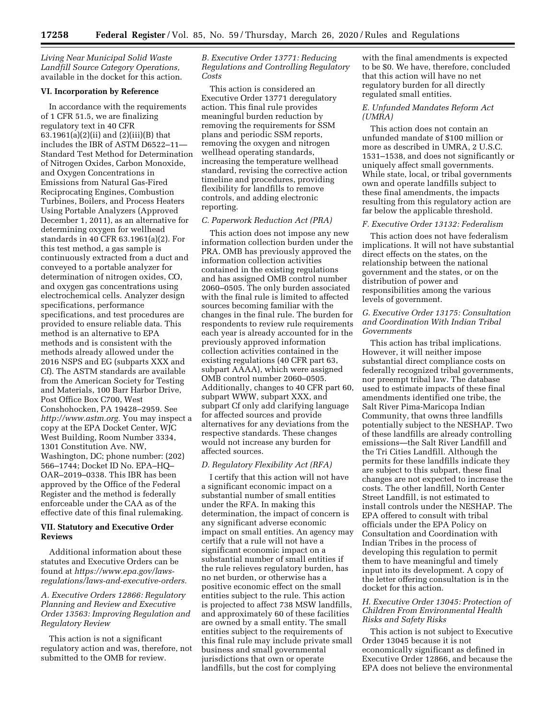*Living Near Municipal Solid Waste Landfill Source Category Operations,*  available in the docket for this action.

#### **VI. Incorporation by Reference**

In accordance with the requirements of 1 CFR 51.5, we are finalizing regulatory text in 40 CFR 63.1961(a)(2)(ii) and (2)(iii)(B) that includes the IBR of ASTM D6522–11— Standard Test Method for Determination of Nitrogen Oxides, Carbon Monoxide, and Oxygen Concentrations in Emissions from Natural Gas-Fired Reciprocating Engines, Combustion Turbines, Boilers, and Process Heaters Using Portable Analyzers (Approved December 1, 2011), as an alternative for determining oxygen for wellhead standards in 40 CFR 63.1961(a)(2). For this test method, a gas sample is continuously extracted from a duct and conveyed to a portable analyzer for determination of nitrogen oxides, CO, and oxygen gas concentrations using electrochemical cells. Analyzer design specifications, performance specifications, and test procedures are provided to ensure reliable data. This method is an alternative to EPA methods and is consistent with the methods already allowed under the 2016 NSPS and EG (subparts XXX and Cf). The ASTM standards are available from the American Society for Testing and Materials, 100 Barr Harbor Drive, Post Office Box C700, West Conshohocken, PA 19428–2959. See *http://www.astm.org.* You may inspect a copy at the EPA Docket Center, WJC West Building, Room Number 3334, 1301 Constitution Ave. NW, Washington, DC; phone number: (202) 566–1744; Docket ID No. EPA–HQ– OAR–2019–0338. This IBR has been approved by the Office of the Federal Register and the method is federally enforceable under the CAA as of the effective date of this final rulemaking.

## **VII. Statutory and Executive Order Reviews**

Additional information about these statutes and Executive Orders can be found at *https://www.epa.gov/lawsregulations/laws-and-executive-orders.* 

## *A. Executive Orders 12866: Regulatory Planning and Review and Executive Order 13563: Improving Regulation and Regulatory Review*

This action is not a significant regulatory action and was, therefore, not submitted to the OMB for review.

*B. Executive Order 13771: Reducing Regulations and Controlling Regulatory Costs* 

This action is considered an Executive Order 13771 deregulatory action. This final rule provides meaningful burden reduction by removing the requirements for SSM plans and periodic SSM reports, removing the oxygen and nitrogen wellhead operating standards, increasing the temperature wellhead standard, revising the corrective action timeline and procedures, providing flexibility for landfills to remove controls, and adding electronic reporting.

## *C. Paperwork Reduction Act (PRA)*

This action does not impose any new information collection burden under the PRA. OMB has previously approved the information collection activities contained in the existing regulations and has assigned OMB control number 2060–0505. The only burden associated with the final rule is limited to affected sources becoming familiar with the changes in the final rule. The burden for respondents to review rule requirements each year is already accounted for in the previously approved information collection activities contained in the existing regulations (40 CFR part 63, subpart AAAA), which were assigned OMB control number 2060–0505. Additionally, changes to 40 CFR part 60, subpart WWW, subpart XXX, and subpart Cf only add clarifying language for affected sources and provide alternatives for any deviations from the respective standards. These changes would not increase any burden for affected sources.

### *D. Regulatory Flexibility Act (RFA)*

I certify that this action will not have a significant economic impact on a substantial number of small entities under the RFA. In making this determination, the impact of concern is any significant adverse economic impact on small entities. An agency may certify that a rule will not have a significant economic impact on a substantial number of small entities if the rule relieves regulatory burden, has no net burden, or otherwise has a positive economic effect on the small entities subject to the rule. This action is projected to affect 738 MSW landfills, and approximately 60 of these facilities are owned by a small entity. The small entities subject to the requirements of this final rule may include private small business and small governmental jurisdictions that own or operate landfills, but the cost for complying

with the final amendments is expected to be \$0. We have, therefore, concluded that this action will have no net regulatory burden for all directly regulated small entities.

## *E. Unfunded Mandates Reform Act (UMRA)*

This action does not contain an unfunded mandate of \$100 million or more as described in UMRA, 2 U.S.C. 1531–1538, and does not significantly or uniquely affect small governments. While state, local, or tribal governments own and operate landfills subject to these final amendments, the impacts resulting from this regulatory action are far below the applicable threshold.

#### *F. Executive Order 13132: Federalism*

This action does not have federalism implications. It will not have substantial direct effects on the states, on the relationship between the national government and the states, or on the distribution of power and responsibilities among the various levels of government.

## *G. Executive Order 13175: Consultation and Coordination With Indian Tribal Governments*

This action has tribal implications. However, it will neither impose substantial direct compliance costs on federally recognized tribal governments, nor preempt tribal law. The database used to estimate impacts of these final amendments identified one tribe, the Salt River Pima-Maricopa Indian Community, that owns three landfills potentially subject to the NESHAP. Two of these landfills are already controlling emissions—the Salt River Landfill and the Tri Cities Landfill. Although the permits for these landfills indicate they are subject to this subpart, these final changes are not expected to increase the costs. The other landfill, North Center Street Landfill, is not estimated to install controls under the NESHAP. The EPA offered to consult with tribal officials under the EPA Policy on Consultation and Coordination with Indian Tribes in the process of developing this regulation to permit them to have meaningful and timely input into its development. A copy of the letter offering consultation is in the docket for this action.

## *H. Executive Order 13045: Protection of Children From Environmental Health Risks and Safety Risks*

This action is not subject to Executive Order 13045 because it is not economically significant as defined in Executive Order 12866, and because the EPA does not believe the environmental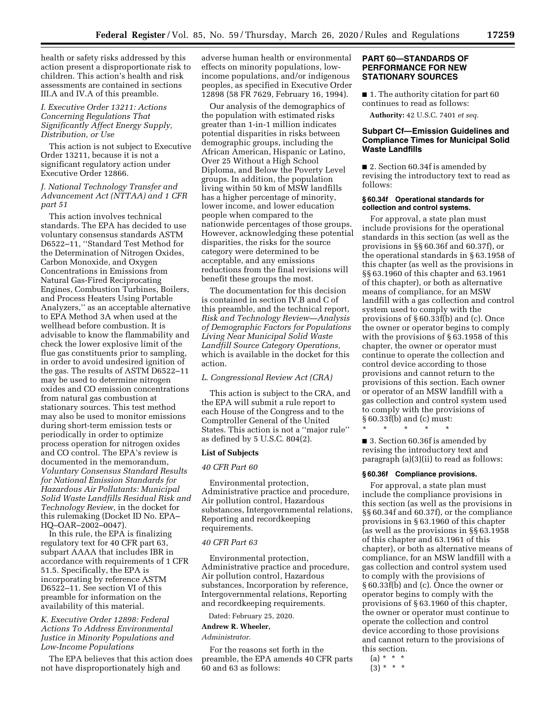health or safety risks addressed by this action present a disproportionate risk to children. This action's health and risk assessments are contained in sections III.A and IV.A of this preamble.

## *I. Executive Order 13211: Actions Concerning Regulations That Significantly Affect Energy Supply, Distribution, or Use*

This action is not subject to Executive Order 13211, because it is not a significant regulatory action under Executive Order 12866.

## *J. National Technology Transfer and Advancement Act (NTTAA) and 1 CFR part 51*

This action involves technical standards. The EPA has decided to use voluntary consensus standards ASTM D6522–11, ''Standard Test Method for the Determination of Nitrogen Oxides, Carbon Monoxide, and Oxygen Concentrations in Emissions from Natural Gas-Fired Reciprocating Engines, Combustion Turbines, Boilers, and Process Heaters Using Portable Analyzers,'' as an acceptable alternative to EPA Method 3A when used at the wellhead before combustion. It is advisable to know the flammability and check the lower explosive limit of the flue gas constituents prior to sampling, in order to avoid undesired ignition of the gas. The results of ASTM D6522–11 may be used to determine nitrogen oxides and CO emission concentrations from natural gas combustion at stationary sources. This test method may also be used to monitor emissions during short-term emission tests or periodically in order to optimize process operation for nitrogen oxides and CO control. The EPA's review is documented in the memorandum, *Voluntary Consensus Standard Results for National Emission Standards for Hazardous Air Pollutants: Municipal Solid Waste Landfills Residual Risk and Technology Review,* in the docket for this rulemaking (Docket ID No. EPA– HQ–OAR–2002–0047).

In this rule, the EPA is finalizing regulatory text for 40 CFR part 63, subpart AAAA that includes IBR in accordance with requirements of 1 CFR 51.5. Specifically, the EPA is incorporating by reference ASTM D6522–11. See section VI of this preamble for information on the availability of this material.

## *K. Executive Order 12898: Federal Actions To Address Environmental Justice in Minority Populations and Low-Income Populations*

The EPA believes that this action does not have disproportionately high and

adverse human health or environmental effects on minority populations, lowincome populations, and/or indigenous peoples, as specified in Executive Order 12898 (58 FR 7629, February 16, 1994).

Our analysis of the demographics of the population with estimated risks greater than 1-in-1 million indicates potential disparities in risks between demographic groups, including the African American, Hispanic or Latino, Over 25 Without a High School Diploma, and Below the Poverty Level groups. In addition, the population living within 50 km of MSW landfills has a higher percentage of minority, lower income, and lower education people when compared to the nationwide percentages of those groups. However, acknowledging these potential disparities, the risks for the source category were determined to be acceptable, and any emissions reductions from the final revisions will benefit these groups the most.

The documentation for this decision is contained in section IV.B and C of this preamble, and the technical report, *Risk and Technology Review—Analysis of Demographic Factors for Populations Living Near Municipal Solid Waste Landfill Source Category Operations,*  which is available in the docket for this action.

### *L. Congressional Review Act (CRA)*

This action is subject to the CRA, and the EPA will submit a rule report to each House of the Congress and to the Comptroller General of the United States. This action is not a ''major rule'' as defined by 5 U.S.C. 804(2).

#### **List of Subjects**

#### *40 CFR Part 60*

Environmental protection, Administrative practice and procedure, Air pollution control, Hazardous substances, Intergovernmental relations, Reporting and recordkeeping requirements.

#### *40 CFR Part 63*

Environmental protection, Administrative practice and procedure, Air pollution control, Hazardous substances, Incorporation by reference, Intergovernmental relations, Reporting and recordkeeping requirements.

Dated: February 25, 2020.

## **Andrew R. Wheeler,**

## *Administrator.*

For the reasons set forth in the preamble, the EPA amends 40 CFR parts 60 and 63 as follows:

## **PART 60—STANDARDS OF PERFORMANCE FOR NEW STATIONARY SOURCES**

■ 1. The authority citation for part 60 continues to read as follows:

**Authority:** 42 U.S.C. 7401 *et seq.* 

## **Subpart Cf—Emission Guidelines and Compliance Times for Municipal Solid Waste Landfills**

■ 2. Section 60.34f is amended by revising the introductory text to read as follows:

#### **§ 60.34f Operational standards for collection and control systems.**

For approval, a state plan must include provisions for the operational standards in this section (as well as the provisions in §§ 60.36f and 60.37f), or the operational standards in § 63.1958 of this chapter (as well as the provisions in §§ 63.1960 of this chapter and 63.1961 of this chapter), or both as alternative means of compliance, for an MSW landfill with a gas collection and control system used to comply with the provisions of § 60.33f(b) and (c). Once the owner or operator begins to comply with the provisions of § 63.1958 of this chapter, the owner or operator must continue to operate the collection and control device according to those provisions and cannot return to the provisions of this section. Each owner or operator of an MSW landfill with a gas collection and control system used to comply with the provisions of § 60.33f(b) and (c) must:

\* \* \* \* \*

■ 3. Section 60.36f is amended by revising the introductory text and paragraph (a)(3)(ii) to read as follows:

#### **§ 60.36f Compliance provisions.**

For approval, a state plan must include the compliance provisions in this section (as well as the provisions in §§ 60.34f and 60.37f), or the compliance provisions in § 63.1960 of this chapter (as well as the provisions in §§ 63.1958 of this chapter and 63.1961 of this chapter), or both as alternative means of compliance, for an MSW landfill with a gas collection and control system used to comply with the provisions of § 60.33f(b) and (c). Once the owner or operator begins to comply with the provisions of § 63.1960 of this chapter, the owner or operator must continue to operate the collection and control device according to those provisions and cannot return to the provisions of this section.

- $(a) * * * *$
- $(3) * * * *$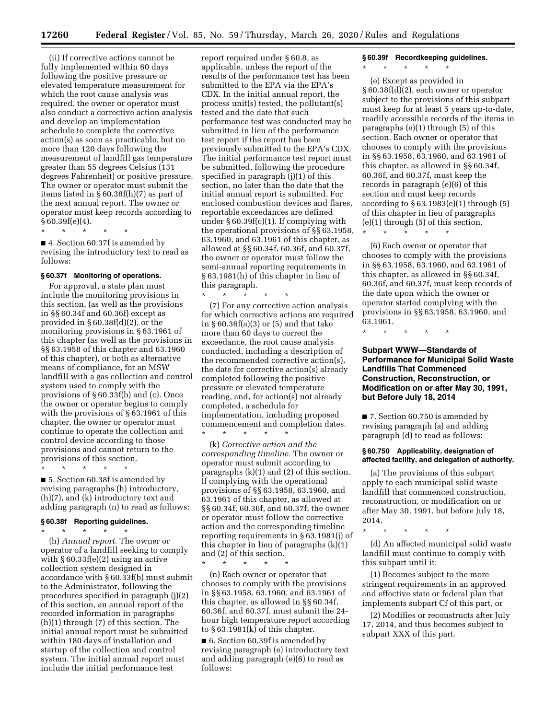(ii) If corrective actions cannot be fully implemented within 60 days following the positive pressure or elevated temperature measurement for which the root cause analysis was required, the owner or operator must also conduct a corrective action analysis and develop an implementation schedule to complete the corrective action(s) as soon as practicable, but no more than 120 days following the measurement of landfill gas temperature greater than 55 degrees Celsius (131 degrees Fahrenheit) or positive pressure. The owner or operator must submit the items listed in § 60.38f(h)(7) as part of the next annual report. The owner or operator must keep records according to § 60.39f(e)(4).

\* \* \* \* \*

■ 4. Section 60.37f is amended by revising the introductory text to read as follows:

#### **§ 60.37f Monitoring of operations.**

For approval, a state plan must include the monitoring provisions in this section, (as well as the provisions in §§ 60.34f and 60.36f) except as provided in § 60.38f(d)(2), or the monitoring provisions in § 63.1961 of this chapter (as well as the provisions in §§ 63.1958 of this chapter and 63.1960 of this chapter), or both as alternative means of compliance, for an MSW landfill with a gas collection and control system used to comply with the provisions of § 60.33f(b) and (c). Once the owner or operator begins to comply with the provisions of § 63.1961 of this chapter, the owner or operator must continue to operate the collection and control device according to those provisions and cannot return to the provisions of this section.

\* \* \* \* \*

■ 5. Section 60.38f is amended by revising paragraphs (h) introductory, (h)(7), and (k) introductory text and adding paragraph (n) to read as follows:

#### **§ 60.38f Reporting guidelines.**

\* \* \* \* \* (h) *Annual report.* The owner or operator of a landfill seeking to comply with § 60.33f(e)(2) using an active collection system designed in accordance with § 60.33f(b) must submit to the Administrator, following the procedures specified in paragraph (j)(2) of this section, an annual report of the recorded information in paragraphs (h)(1) through (7) of this section. The initial annual report must be submitted within 180 days of installation and startup of the collection and control system. The initial annual report must include the initial performance test

report required under § 60.8, as applicable, unless the report of the results of the performance test has been submitted to the EPA via the EPA's CDX. In the initial annual report, the process unit(s) tested, the pollutant(s) tested and the date that such performance test was conducted may be submitted in lieu of the performance test report if the report has been previously submitted to the EPA's CDX. The initial performance test report must be submitted, following the procedure specified in paragraph (j)(1) of this section, no later than the date that the initial annual report is submitted. For enclosed combustion devices and flares, reportable exceedances are defined under § 60.39f(c)(1). If complying with the operational provisions of §§ 63.1958, 63.1960, and 63.1961 of this chapter, as allowed at §§ 60.34f, 60.36f, and 60.37f, the owner or operator must follow the semi-annual reporting requirements in § 63.1981(h) of this chapter in lieu of this paragraph.

\* \* \* \* \*

(7) For any corrective action analysis for which corrective actions are required in § 60.36f(a)(3) or (5) and that take more than 60 days to correct the exceedance, the root cause analysis conducted, including a description of the recommended corrective action(s), the date for corrective action(s) already completed following the positive pressure or elevated temperature reading, and, for action(s) not already completed, a schedule for implementation, including proposed commencement and completion dates. \* \* \* \* \*

(k) *Corrective action and the corresponding timeline.* The owner or operator must submit according to paragraphs (k)(1) and (2) of this section. If complying with the operational provisions of §§ 63.1958, 63.1960, and 63.1961 of this chapter, as allowed at §§ 60.34f, 60.36f, and 60.37f, the owner or operator must follow the corrective action and the corresponding timeline reporting requirements in § 63.1981(j) of this chapter in lieu of paragraphs (k)(1) and (2) of this section.

\* \* \* \* \* (n) Each owner or operator that chooses to comply with the provisions in §§ 63.1958, 63.1960, and 63.1961 of this chapter, as allowed in §§ 60.34f, 60.36f, and 60.37f, must submit the 24 hour high temperature report according to § 63.1981(k) of this chapter.

■ 6. Section 60.39f is amended by revising paragraph (e) introductory text and adding paragraph (e)(6) to read as follows:

**§ 60.39f Recordkeeping guidelines.** 

\* \* \* \* \*

(e) Except as provided in § 60.38f(d)(2), each owner or operator subject to the provisions of this subpart must keep for at least 5 years up-to-date, readily accessible records of the items in paragraphs (e)(1) through (5) of this section. Each owner or operator that chooses to comply with the provisions in §§ 63.1958, 63.1960, and 63.1961 of this chapter, as allowed in §§ 60.34f, 60.36f, and 60.37f, must keep the records in paragraph (e)(6) of this section and must keep records according to  $§ 63.1983(e)(1)$  through  $(5)$ of this chapter in lieu of paragraphs (e)(1) through (5) of this section.

(6) Each owner or operator that chooses to comply with the provisions in §§ 63.1958, 63.1960, and 63.1961 of this chapter, as allowed in §§ 60.34f, 60.36f, and 60.37f, must keep records of the date upon which the owner or operator started complying with the provisions in §§ 63.1958, 63.1960, and 63.1961.

\* \* \* \* \*

\* \* \* \* \*

## **Subpart WWW—Standards of Performance for Municipal Solid Waste Landfills That Commenced Construction, Reconstruction, or Modification on or after May 30, 1991, but Before July 18, 2014**

■ 7. Section 60.750 is amended by revising paragraph (a) and adding paragraph (d) to read as follows:

### **§ 60.750 Applicability, designation of affected facility, and delegation of authority.**

(a) The provisions of this subpart apply to each municipal solid waste landfill that commenced construction, reconstruction, or modification on or after May 30, 1991, but before July 18, 2014.

\* \* \* \* \*

(d) An affected municipal solid waste landfill must continue to comply with this subpart until it:

(1) Becomes subject to the more stringent requirements in an approved and effective state or federal plan that implements subpart Cf of this part, or

(2) Modifies or reconstructs after July 17, 2014, and thus becomes subject to subpart XXX of this part.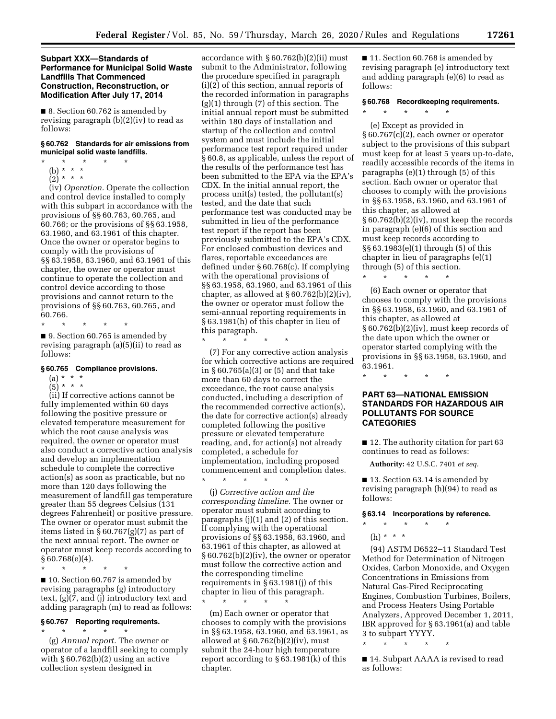## **Subpart XXX—Standards of Performance for Municipal Solid Waste Landfills That Commenced Construction, Reconstruction, or Modification After July 17, 2014**

■ 8. Section 60.762 is amended by revising paragraph (b)(2)(iv) to read as follows:

## **§ 60.762 Standards for air emissions from municipal solid waste landfills.**

- \* \* \* \* \*
	- (b) \* \* \*
	- $\left(2\right)$  \* \* \*

(iv) *Operation.* Operate the collection and control device installed to comply with this subpart in accordance with the provisions of §§ 60.763, 60.765, and 60.766; or the provisions of §§ 63.1958, 63.1960, and 63.1961 of this chapter. Once the owner or operator begins to comply with the provisions of §§ 63.1958, 63.1960, and 63.1961 of this chapter, the owner or operator must continue to operate the collection and control device according to those provisions and cannot return to the provisions of §§ 60.763, 60.765, and 60.766.

\* \* \* \* \*

■ 9. Section 60.765 is amended by revising paragraph (a)(5)(ii) to read as follows:

## **§ 60.765 Compliance provisions.**

## $(a) * * * *$

 $(5)^*$  \* \* \*

(ii) If corrective actions cannot be fully implemented within 60 days following the positive pressure or elevated temperature measurement for which the root cause analysis was required, the owner or operator must also conduct a corrective action analysis and develop an implementation schedule to complete the corrective action(s) as soon as practicable, but no more than 120 days following the measurement of landfill gas temperature greater than 55 degrees Celsius (131 degrees Fahrenheit) or positive pressure. The owner or operator must submit the items listed in § 60.767(g)(7) as part of the next annual report. The owner or operator must keep records according to § 60.768(e)(4).

\* \* \* \* \*

■ 10. Section 60.767 is amended by revising paragraphs (g) introductory text, (g)(7, and (j) introductory text and adding paragraph (m) to read as follows:

## **§ 60.767 Reporting requirements.**

\* \* \* \* \*

(g) *Annual report.* The owner or operator of a landfill seeking to comply with  $§ 60.762(b)(2)$  using an active collection system designed in

accordance with § 60.762(b)(2)(ii) must submit to the Administrator, following the procedure specified in paragraph (i)(2) of this section, annual reports of the recorded information in paragraphs (g)(1) through (7) of this section. The initial annual report must be submitted within 180 days of installation and startup of the collection and control system and must include the initial performance test report required under § 60.8, as applicable, unless the report of the results of the performance test has been submitted to the EPA via the EPA's CDX. In the initial annual report, the process unit(s) tested, the pollutant(s) tested, and the date that such performance test was conducted may be submitted in lieu of the performance test report if the report has been previously submitted to the EPA's CDX. For enclosed combustion devices and flares, reportable exceedances are defined under § 60.768(c). If complying with the operational provisions of §§ 63.1958, 63.1960, and 63.1961 of this chapter, as allowed at  $\S 60.762(b)(2)(iv)$ , the owner or operator must follow the semi-annual reporting requirements in § 63.1981(h) of this chapter in lieu of this paragraph.

\* \* \* \* \* (7) For any corrective action analysis for which corrective actions are required in § 60.765(a)(3) or (5) and that take more than 60 days to correct the exceedance, the root cause analysis conducted, including a description of the recommended corrective action(s), the date for corrective action(s) already completed following the positive pressure or elevated temperature reading, and, for action(s) not already completed, a schedule for implementation, including proposed commencement and completion dates.

(j) *Corrective action and the corresponding timeline.* The owner or operator must submit according to paragraphs (j)(1) and (2) of this section. If complying with the operational provisions of §§ 63.1958, 63.1960, and 63.1961 of this chapter, as allowed at § 60.762(b)(2)(iv), the owner or operator must follow the corrective action and the corresponding timeline requirements in § 63.1981(j) of this chapter in lieu of this paragraph. \* \* \* \* \*

\* \* \* \* \*

(m) Each owner or operator that chooses to comply with the provisions in §§ 63.1958, 63.1960, and 63.1961, as allowed at  $\S 60.762(b)(2)(iv)$ , must submit the 24-hour high temperature report according to § 63.1981(k) of this chapter.

■ 11. Section 60.768 is amended by revising paragraph (e) introductory text and adding paragraph (e)(6) to read as follows:

## **§ 60.768 Recordkeeping requirements.**

## \* \* \* \* \*

(e) Except as provided in § 60.767(c)(2), each owner or operator subject to the provisions of this subpart must keep for at least 5 years up-to-date, readily accessible records of the items in paragraphs (e)(1) through (5) of this section. Each owner or operator that chooses to comply with the provisions in §§ 63.1958, 63.1960, and 63.1961 of this chapter, as allowed at § 60.762(b)(2)(iv), must keep the records in paragraph (e)(6) of this section and must keep records according to §§ 63.1983(e)(1) through (5) of this chapter in lieu of paragraphs (e)(1) through (5) of this section.

\* \* \* \* \* (6) Each owner or operator that chooses to comply with the provisions in §§ 63.1958, 63.1960, and 63.1961 of this chapter, as allowed at § 60.762(b)(2)(iv), must keep records of the date upon which the owner or operator started complying with the provisions in §§ 63.1958, 63.1960, and 63.1961.

\* \* \* \* \*

## **PART 63—NATIONAL EMISSION STANDARDS FOR HAZARDOUS AIR POLLUTANTS FOR SOURCE CATEGORIES**

■ 12. The authority citation for part 63 continues to read as follows:

**Authority:** 42 U.S.C. 7401 *et seq.* 

■ 13. Section 63.14 is amended by revising paragraph (h)(94) to read as follows:

## **§ 63.14 Incorporations by reference.**

- \* \* \* \* \*
	- (h) \* \* \*

(94) ASTM D6522–11 Standard Test Method for Determination of Nitrogen Oxides, Carbon Monoxide, and Oxygen Concentrations in Emissions from Natural Gas-Fired Reciprocating Engines, Combustion Turbines, Boilers, and Process Heaters Using Portable Analyzers, Approved December 1, 2011, IBR approved for § 63.1961(a) and table 3 to subpart YYYY.

\* \* \* \* \*

■ 14. Subpart AAAA is revised to read as follows: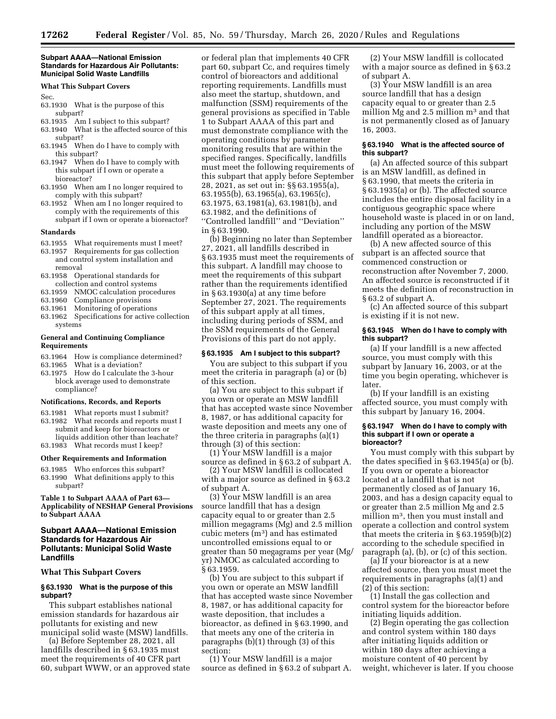#### **Subpart AAAA—National Emission Standards for Hazardous Air Pollutants: Municipal Solid Waste Landfills**

#### **What This Subpart Covers**

Sec.

- 63.1930 What is the purpose of this subpart?
- 63.1935 Am I subject to this subpart?
- 63.1940 What is the affected source of this subpart?
- 63.1945 When do I have to comply with this subpart?
- 63.1947 When do I have to comply with this subpart if I own or operate a bioreactor?
- 63.1950 When am I no longer required to comply with this subpart?
- 63.1952 When am I no longer required to comply with the requirements of this subpart if I own or operate a bioreactor?

#### **Standards**

- 63.1955 What requirements must I meet?
- 63.1957 Requirements for gas collection and control system installation and removal
- 63.1958 Operational standards for collection and control systems
- 63.1959 NMOC calculation procedures
- 63.1960 Compliance provisions
- 63.1961 Monitoring of operations
- 63.1962 Specifications for active collection systems

## **General and Continuing Compliance Requirements**

- 63.1964 How is compliance determined?<br>63.1965 What is a deviation?
- What is a deviation?
- 63.1975 How do I calculate the 3-hour block average used to demonstrate compliance?

#### **Notifications, Records, and Reports**

- 63.1981 What reports must I submit?
- 63.1982 What records and reports must I submit and keep for bioreactors or liquids addition other than leachate?
- 63.1983 What records must I keep?

## **Other Requirements and Information**

63.1985 Who enforces this subpart? 63.1990 What definitions apply to this subpart?

**Table 1 to Subpart AAAA of Part 63— Applicability of NESHAP General Provisions to Subpart AAAA** 

## **Subpart AAAA—National Emission Standards for Hazardous Air Pollutants: Municipal Solid Waste Landfills**

## **What This Subpart Covers**

#### **§ 63.1930 What is the purpose of this subpart?**

This subpart establishes national emission standards for hazardous air pollutants for existing and new municipal solid waste (MSW) landfills.

(a) Before September 28, 2021, all landfills described in § 63.1935 must meet the requirements of 40 CFR part 60, subpart WWW, or an approved state

or federal plan that implements 40 CFR part 60, subpart Cc, and requires timely control of bioreactors and additional reporting requirements. Landfills must also meet the startup, shutdown, and malfunction (SSM) requirements of the general provisions as specified in Table 1 to Subpart AAAA of this part and must demonstrate compliance with the operating conditions by parameter monitoring results that are within the specified ranges. Specifically, landfills must meet the following requirements of this subpart that apply before September 28, 2021, as set out in: §§ 63.1955(a), 63.1955(b), 63.1965(a), 63.1965(c), 63.1975, 63.1981(a), 63.1981(b), and 63.1982, and the definitions of ''Controlled landfill'' and ''Deviation'' in § 63.1990.

(b) Beginning no later than September 27, 2021, all landfills described in § 63.1935 must meet the requirements of this subpart. A landfill may choose to meet the requirements of this subpart rather than the requirements identified in § 63.1930(a) at any time before September 27, 2021. The requirements of this subpart apply at all times, including during periods of SSM, and the SSM requirements of the General Provisions of this part do not apply.

## **§ 63.1935 Am I subject to this subpart?**

You are subject to this subpart if you meet the criteria in paragraph (a) or (b) of this section.

(a) You are subject to this subpart if you own or operate an MSW landfill that has accepted waste since November 8, 1987, or has additional capacity for waste deposition and meets any one of the three criteria in paragraphs (a)(1) through (3) of this section:

(1) Your MSW landfill is a major source as defined in § 63.2 of subpart A.

(2) Your MSW landfill is collocated with a major source as defined in § 63.2 of subpart A.

 $(3)$  Your MSW landfill is an area source landfill that has a design capacity equal to or greater than 2.5 million megagrams (Mg) and 2.5 million cubic meters (m3) and has estimated uncontrolled emissions equal to or greater than 50 megagrams per year (Mg/ yr) NMOC as calculated according to § 63.1959.

(b) You are subject to this subpart if you own or operate an MSW landfill that has accepted waste since November 8, 1987, or has additional capacity for waste deposition, that includes a bioreactor, as defined in § 63.1990, and that meets any one of the criteria in paragraphs (b)(1) through (3) of this section:

(1) Your MSW landfill is a major source as defined in § 63.2 of subpart A.

(2) Your MSW landfill is collocated with a major source as defined in §63.2 of subpart A.

(3)  $\bar{Y}$ our MSW landfill is an area source landfill that has a design capacity equal to or greater than 2.5 million Mg and 2.5 million  $m<sup>3</sup>$  and that is not permanently closed as of January 16, 2003.

## **§ 63.1940 What is the affected source of this subpart?**

(a) An affected source of this subpart is an MSW landfill, as defined in § 63.1990, that meets the criteria in § 63.1935(a) or (b). The affected source includes the entire disposal facility in a contiguous geographic space where household waste is placed in or on land, including any portion of the MSW landfill operated as a bioreactor.

(b) A new affected source of this subpart is an affected source that commenced construction or reconstruction after November 7, 2000. An affected source is reconstructed if it meets the definition of reconstruction in § 63.2 of subpart A.

(c) An affected source of this subpart is existing if it is not new.

#### **§ 63.1945 When do I have to comply with this subpart?**

(a) If your landfill is a new affected source, you must comply with this subpart by January 16, 2003, or at the time you begin operating, whichever is later.

(b) If your landfill is an existing affected source, you must comply with this subpart by January 16, 2004.

#### **§ 63.1947 When do I have to comply with this subpart if I own or operate a bioreactor?**

You must comply with this subpart by the dates specified in § 63.1945(a) or (b). If you own or operate a bioreactor located at a landfill that is not permanently closed as of January 16, 2003, and has a design capacity equal to or greater than 2.5 million Mg and 2.5 million m3, then you must install and operate a collection and control system that meets the criteria in § 63.1959(b)(2) according to the schedule specified in paragraph (a), (b), or (c) of this section.

(a) If your bioreactor is at a new affected source, then you must meet the requirements in paragraphs (a)(1) and (2) of this section:

(1) Install the gas collection and control system for the bioreactor before initiating liquids addition.

(2) Begin operating the gas collection and control system within 180 days after initiating liquids addition or within 180 days after achieving a moisture content of 40 percent by weight, whichever is later. If you choose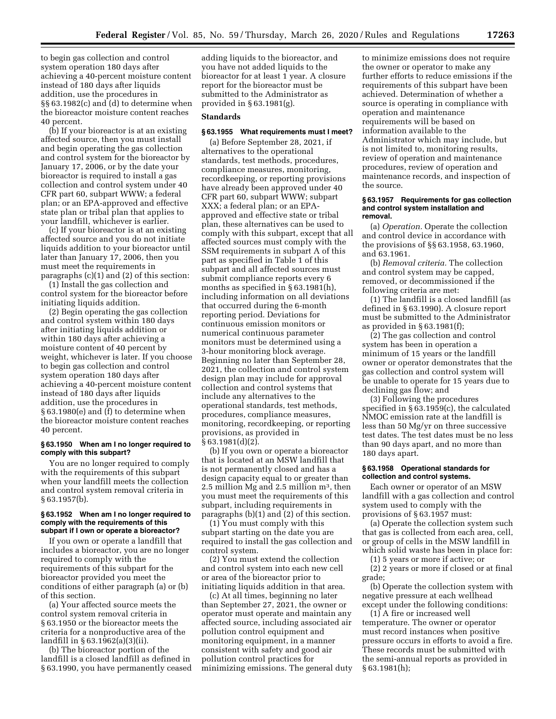to begin gas collection and control system operation 180 days after achieving a 40-percent moisture content instead of 180 days after liquids addition, use the procedures in §§ 63.1982(c) and (d) to determine when the bioreactor moisture content reaches 40 percent.

(b) If your bioreactor is at an existing affected source, then you must install and begin operating the gas collection and control system for the bioreactor by January 17, 2006, or by the date your bioreactor is required to install a gas collection and control system under 40 CFR part 60, subpart WWW; a federal plan; or an EPA-approved and effective state plan or tribal plan that applies to your landfill, whichever is earlier.

(c) If your bioreactor is at an existing affected source and you do not initiate liquids addition to your bioreactor until later than January 17, 2006, then you must meet the requirements in paragraphs (c)(1) and (2) of this section:

(1) Install the gas collection and control system for the bioreactor before initiating liquids addition.

(2) Begin operating the gas collection and control system within 180 days after initiating liquids addition or within 180 days after achieving a moisture content of 40 percent by weight, whichever is later. If you choose to begin gas collection and control system operation 180 days after achieving a 40-percent moisture content instead of 180 days after liquids addition, use the procedures in § 63.1980(e) and (f) to determine when the bioreactor moisture content reaches 40 percent.

#### **§ 63.1950 When am I no longer required to comply with this subpart?**

You are no longer required to comply with the requirements of this subpart when your landfill meets the collection and control system removal criteria in § 63.1957(b).

#### **§ 63.1952 When am I no longer required to comply with the requirements of this subpart if I own or operate a bioreactor?**

If you own or operate a landfill that includes a bioreactor, you are no longer required to comply with the requirements of this subpart for the bioreactor provided you meet the conditions of either paragraph (a) or (b) of this section.

(a) Your affected source meets the control system removal criteria in § 63.1950 or the bioreactor meets the criteria for a nonproductive area of the landfill in § 63.1962(a)(3)(ii).

(b) The bioreactor portion of the landfill is a closed landfill as defined in § 63.1990, you have permanently ceased

adding liquids to the bioreactor, and you have not added liquids to the bioreactor for at least 1 year. A closure report for the bioreactor must be submitted to the Administrator as provided in § 63.1981(g).

#### **Standards**

#### **§ 63.1955 What requirements must I meet?**

(a) Before September 28, 2021, if alternatives to the operational standards, test methods, procedures, compliance measures, monitoring, recordkeeping, or reporting provisions have already been approved under 40 CFR part 60, subpart WWW; subpart XXX; a federal plan; or an EPAapproved and effective state or tribal plan, these alternatives can be used to comply with this subpart, except that all affected sources must comply with the SSM requirements in subpart A of this part as specified in Table 1 of this subpart and all affected sources must submit compliance reports every 6 months as specified in § 63.1981(h), including information on all deviations that occurred during the 6-month reporting period. Deviations for continuous emission monitors or numerical continuous parameter monitors must be determined using a 3-hour monitoring block average. Beginning no later than September 28, 2021, the collection and control system design plan may include for approval collection and control systems that include any alternatives to the operational standards, test methods, procedures, compliance measures, monitoring, recordkeeping, or reporting provisions, as provided in § 63.1981(d)(2).

(b) If you own or operate a bioreactor that is located at an MSW landfill that is not permanently closed and has a design capacity equal to or greater than 2.5 million Mg and 2.5 million m3, then you must meet the requirements of this subpart, including requirements in paragraphs (b)(1) and (2) of this section.

(1) You must comply with this subpart starting on the date you are required to install the gas collection and control system.

(2) You must extend the collection and control system into each new cell or area of the bioreactor prior to initiating liquids addition in that area.

(c) At all times, beginning no later than September 27, 2021, the owner or operator must operate and maintain any affected source, including associated air pollution control equipment and monitoring equipment, in a manner consistent with safety and good air pollution control practices for minimizing emissions. The general duty to minimize emissions does not require the owner or operator to make any further efforts to reduce emissions if the requirements of this subpart have been achieved. Determination of whether a source is operating in compliance with operation and maintenance requirements will be based on information available to the Administrator which may include, but is not limited to, monitoring results, review of operation and maintenance procedures, review of operation and maintenance records, and inspection of the source.

#### **§ 63.1957 Requirements for gas collection and control system installation and removal.**

(a) *Operation.* Operate the collection and control device in accordance with the provisions of §§ 63.1958, 63.1960, and 63.1961.

(b) *Removal criteria.* The collection and control system may be capped, removed, or decommissioned if the following criteria are met:

(1) The landfill is a closed landfill (as defined in § 63.1990). A closure report must be submitted to the Administrator as provided in § 63.1981(f);

(2) The gas collection and control system has been in operation a minimum of 15 years or the landfill owner or operator demonstrates that the gas collection and control system will be unable to operate for 15 years due to declining gas flow; and

(3) Following the procedures specified in § 63.1959(c), the calculated NMOC emission rate at the landfill is less than 50 Mg/yr on three successive test dates. The test dates must be no less than 90 days apart, and no more than 180 days apart.

#### **§ 63.1958 Operational standards for collection and control systems.**

Each owner or operator of an MSW landfill with a gas collection and control system used to comply with the provisions of § 63.1957 must:

(a) Operate the collection system such that gas is collected from each area, cell, or group of cells in the MSW landfill in which solid waste has been in place for:

(1) 5 years or more if active; or

(2) 2 years or more if closed or at final grade;

(b) Operate the collection system with negative pressure at each wellhead except under the following conditions:

(1) A fire or increased well temperature. The owner or operator must record instances when positive pressure occurs in efforts to avoid a fire. These records must be submitted with the semi-annual reports as provided in § 63.1981(h);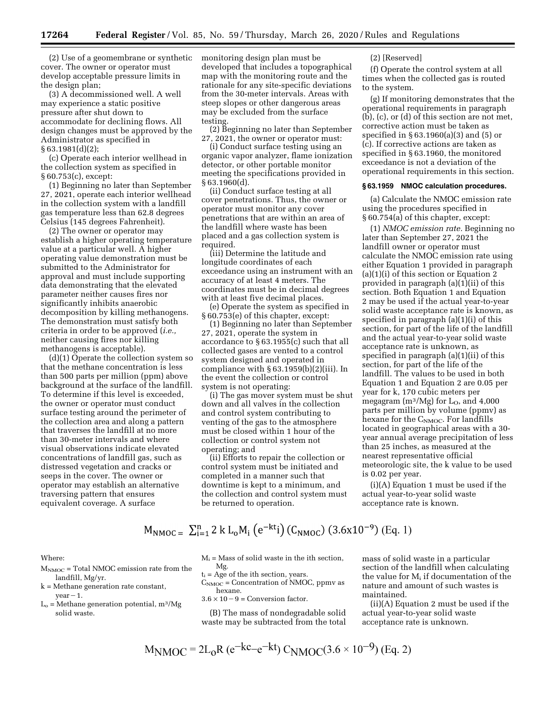(2) Use of a geomembrane or synthetic cover. The owner or operator must develop acceptable pressure limits in the design plan;

(3) A decommissioned well. A well may experience a static positive pressure after shut down to accommodate for declining flows. All design changes must be approved by the Administrator as specified in § 63.1981(d)(2);

(c) Operate each interior wellhead in the collection system as specified in § 60.753(c), except:

(1) Beginning no later than September 27, 2021, operate each interior wellhead in the collection system with a landfill gas temperature less than 62.8 degrees Celsius (145 degrees Fahrenheit).

(2) The owner or operator may establish a higher operating temperature value at a particular well. A higher operating value demonstration must be submitted to the Administrator for approval and must include supporting data demonstrating that the elevated parameter neither causes fires nor significantly inhibits anaerobic decomposition by killing methanogens. The demonstration must satisfy both criteria in order to be approved (*i.e.,*  neither causing fires nor killing methanogens is acceptable).

(d)(1) Operate the collection system so that the methane concentration is less than 500 parts per million (ppm) above background at the surface of the landfill. To determine if this level is exceeded, the owner or operator must conduct surface testing around the perimeter of the collection area and along a pattern that traverses the landfill at no more than 30-meter intervals and where visual observations indicate elevated concentrations of landfill gas, such as distressed vegetation and cracks or seeps in the cover. The owner or operator may establish an alternative traversing pattern that ensures equivalent coverage. A surface

monitoring design plan must be developed that includes a topographical map with the monitoring route and the rationale for any site-specific deviations from the 30-meter intervals. Areas with steep slopes or other dangerous areas may be excluded from the surface testing.

(2) Beginning no later than September 27, 2021, the owner or operator must:

(i) Conduct surface testing using an organic vapor analyzer, flame ionization detector, or other portable monitor meeting the specifications provided in § 63.1960(d).

(ii) Conduct surface testing at all cover penetrations. Thus, the owner or operator must monitor any cover penetrations that are within an area of the landfill where waste has been placed and a gas collection system is required.

(iii) Determine the latitude and longitude coordinates of each exceedance using an instrument with an accuracy of at least 4 meters. The coordinates must be in decimal degrees with at least five decimal places.

(e) Operate the system as specified in § 60.753(e) of this chapter, except:

(1) Beginning no later than September 27, 2021, operate the system in accordance to § 63.1955(c) such that all collected gases are vented to a control system designed and operated in compliance with § 63.1959(b)(2)(iii). In the event the collection or control system is not operating:

(i) The gas mover system must be shut down and all valves in the collection and control system contributing to venting of the gas to the atmosphere must be closed within 1 hour of the collection or control system not operating; and

(ii) Efforts to repair the collection or control system must be initiated and completed in a manner such that downtime is kept to a minimum, and the collection and control system must be returned to operation.

### (2) [Reserved]

(f) Operate the control system at all times when the collected gas is routed to the system.

(g) If monitoring demonstrates that the operational requirements in paragraph (b), (c), or (d) of this section are not met, corrective action must be taken as specified in § 63.1960(a)(3) and (5) or (c). If corrective actions are taken as specified in § 63.1960, the monitored exceedance is not a deviation of the operational requirements in this section.

## **§ 63.1959 NMOC calculation procedures.**

(a) Calculate the NMOC emission rate using the procedures specified in § 60.754(a) of this chapter, except:

(1) *NMOC emission rate.* Beginning no later than September 27, 2021 the landfill owner or operator must calculate the NMOC emission rate using either Equation 1 provided in paragraph (a)(1)(i) of this section or Equation 2 provided in paragraph  $(a)(1)(ii)$  of this section. Both Equation 1 and Equation 2 may be used if the actual year-to-year solid waste acceptance rate is known, as specified in paragraph (a)(1)(i) of this section, for part of the life of the landfill and the actual year-to-year solid waste acceptance rate is unknown, as specified in paragraph (a)(1)(ii) of this section, for part of the life of the landfill. The values to be used in both Equation 1 and Equation 2 are 0.05 per year for k, 170 cubic meters per megagram  $(m^3/Mg)$  for  $L<sub>O</sub>$ , and 4,000 parts per million by volume (ppmv) as hexane for the  $C_{\text{NMOC}}$ . For landfills located in geographical areas with a 30 year annual average precipitation of less than 25 inches, as measured at the nearest representative official meteorologic site, the k value to be used is 0.02 per year.

(i)(A) Equation 1 must be used if the actual year-to-year solid waste acceptance rate is known.

## $M_{\text{NMOC}} = \sum_{i=1}^{n} 2 k L_0 M_i (e^{-kt}i) (C_{\text{NMOC}}) (3.6x10^{-9})$  (Eq. 1)

Where:

- $M_{\text{NMOC}}$  = Total NMOC emission rate from the landfill, Mg/yr.
- k = Methane generation rate constant,  $year - 1.$
- $L<sub>o</sub>$  = Methane generation potential, m<sup>3</sup>/Mg solid waste.

 $M_i$  = Mass of solid waste in the ith section, Mg.

 $t_i$  = Age of the ith section, years.

- $C_{\text{NMOC}}$  = Concentration of NMOC, ppmv as hexane.
- $3.6 \times 10 9 =$  Conversion factor.

(B) The mass of nondegradable solid waste may be subtracted from the total

mass of solid waste in a particular section of the landfill when calculating the value for  $M_i$  if documentation of the nature and amount of such wastes is maintained.

(ii)(A) Equation 2 must be used if the actual year-to-year solid waste acceptance rate is unknown.

$$
M_{\text{NMOC}} = 2L_0 R (e^{-kC} - e^{-kt}) C_{\text{NMOC}} (3.6 \times 10^{-9})
$$
 (Eq. 2)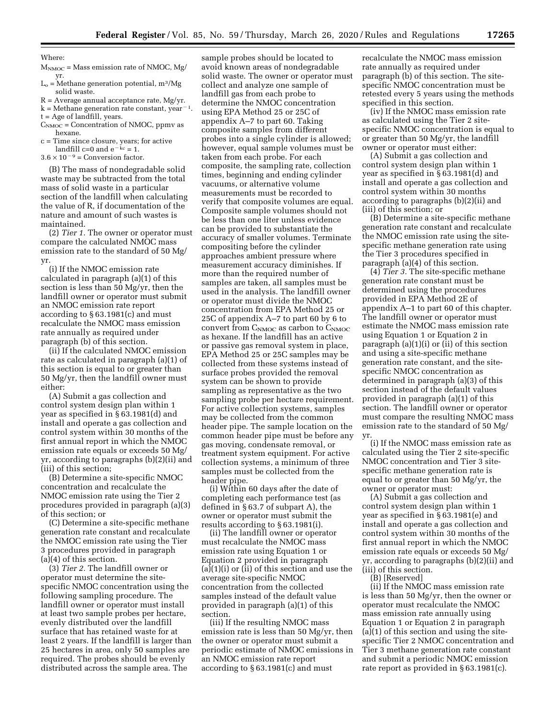Where:

 $M_{\text{NMOC}}$  = Mass emission rate of NMOC, Mg/ yr.

 $L<sub>o</sub>$  = Methane generation potential, m<sup>3</sup>/Mg solid waste.

 $R =$  Average annual acceptance rate, Mg/yr.

- k = Methane generation rate constant, year<sup>-1</sup>.
- t = Age of landfill, years.

 $C_{\text{NMOC}}$  = Concentration of NMOC, ppmv as hexane.

c = Time since closure, years; for active landfill c=0 and  $e^{-kc} = 1$ .

 $3.6 \times 10^{-9}$  = Conversion factor.

(B) The mass of nondegradable solid waste may be subtracted from the total mass of solid waste in a particular section of the landfill when calculating the value of R, if documentation of the nature and amount of such wastes is maintained.

(2) *Tier 1.* The owner or operator must compare the calculated NMOC mass emission rate to the standard of 50 Mg/ yr.

(i) If the NMOC emission rate calculated in paragraph (a)(1) of this section is less than 50 Mg/yr, then the landfill owner or operator must submit an NMOC emission rate report according to § 63.1981(c) and must recalculate the NMOC mass emission rate annually as required under paragraph (b) of this section.

(ii) If the calculated NMOC emission rate as calculated in paragraph (a)(1) of this section is equal to or greater than 50 Mg/yr, then the landfill owner must either:

(A) Submit a gas collection and control system design plan within 1 year as specified in § 63.1981(d) and install and operate a gas collection and control system within 30 months of the first annual report in which the NMOC emission rate equals or exceeds 50 Mg/ yr, according to paragraphs (b)(2)(ii) and (iii) of this section;

(B) Determine a site-specific NMOC concentration and recalculate the NMOC emission rate using the Tier 2 procedures provided in paragraph (a)(3) of this section; or

(C) Determine a site-specific methane generation rate constant and recalculate the NMOC emission rate using the Tier 3 procedures provided in paragraph (a)(4) of this section.

(3) *Tier 2.* The landfill owner or operator must determine the sitespecific NMOC concentration using the following sampling procedure. The landfill owner or operator must install at least two sample probes per hectare, evenly distributed over the landfill surface that has retained waste for at least 2 years. If the landfill is larger than 25 hectares in area, only 50 samples are required. The probes should be evenly distributed across the sample area. The

sample probes should be located to avoid known areas of nondegradable solid waste. The owner or operator must collect and analyze one sample of landfill gas from each probe to determine the NMOC concentration using EPA Method 25 or 25C of appendix A–7 to part 60. Taking composite samples from different probes into a single cylinder is allowed; however, equal sample volumes must be taken from each probe. For each composite, the sampling rate, collection times, beginning and ending cylinder vacuums, or alternative volume measurements must be recorded to verify that composite volumes are equal. Composite sample volumes should not be less than one liter unless evidence can be provided to substantiate the accuracy of smaller volumes. Terminate compositing before the cylinder approaches ambient pressure where measurement accuracy diminishes. If more than the required number of samples are taken, all samples must be used in the analysis. The landfill owner or operator must divide the NMOC concentration from EPA Method 25 or 25C of appendix A–7 to part 60 by 6 to convert from  $C_{\text{NMOC}}$  as carbon to  $C_{\text{NMOC}}$ as hexane. If the landfill has an active or passive gas removal system in place, EPA Method 25 or 25C samples may be collected from these systems instead of surface probes provided the removal system can be shown to provide sampling as representative as the two sampling probe per hectare requirement. For active collection systems, samples may be collected from the common header pipe. The sample location on the common header pipe must be before any gas moving, condensate removal, or treatment system equipment. For active collection systems, a minimum of three samples must be collected from the header pipe.

(i) Within 60 days after the date of completing each performance test (as defined in § 63.7 of subpart A), the owner or operator must submit the results according to § 63.1981(i).

(ii) The landfill owner or operator must recalculate the NMOC mass emission rate using Equation 1 or Equation 2 provided in paragraph (a)(1)(i) or (ii) of this section and use the average site-specific NMOC concentration from the collected samples instead of the default value provided in paragraph (a)(1) of this section.

(iii) If the resulting NMOC mass emission rate is less than 50 Mg/yr, then the owner or operator must submit a periodic estimate of NMOC emissions in an NMOC emission rate report according to § 63.1981(c) and must

recalculate the NMOC mass emission rate annually as required under paragraph (b) of this section. The sitespecific NMOC concentration must be retested every 5 years using the methods specified in this section.

(iv) If the NMOC mass emission rate as calculated using the Tier 2 sitespecific NMOC concentration is equal to or greater than 50 Mg/yr, the landfill owner or operator must either:

(A) Submit a gas collection and control system design plan within 1 year as specified in § 63.1981(d) and install and operate a gas collection and control system within 30 months according to paragraphs (b)(2)(ii) and (iii) of this section; or

(B) Determine a site-specific methane generation rate constant and recalculate the NMOC emission rate using the sitespecific methane generation rate using the Tier 3 procedures specified in paragraph (a)(4) of this section.

(4) *Tier 3.* The site-specific methane generation rate constant must be determined using the procedures provided in EPA Method 2E of appendix A–1 to part 60 of this chapter. The landfill owner or operator must estimate the NMOC mass emission rate using Equation 1 or Equation 2 in paragraph (a)(1)(i) or (ii) of this section and using a site-specific methane generation rate constant, and the sitespecific NMOC concentration as determined in paragraph (a)(3) of this section instead of the default values provided in paragraph (a)(1) of this section. The landfill owner or operator must compare the resulting NMOC mass emission rate to the standard of 50 Mg/ yr.

(i) If the NMOC mass emission rate as calculated using the Tier 2 site-specific NMOC concentration and Tier 3 sitespecific methane generation rate is equal to or greater than 50 Mg/yr, the owner or operator must:

(A) Submit a gas collection and control system design plan within 1 year as specified in § 63.1981(e) and install and operate a gas collection and control system within 30 months of the first annual report in which the NMOC emission rate equals or exceeds 50 Mg/ yr, according to paragraphs (b)(2)(ii) and (iii) of this section.

(B) [Reserved]

(ii) If the NMOC mass emission rate is less than 50 Mg/yr, then the owner or operator must recalculate the NMOC mass emission rate annually using Equation 1 or Equation 2 in paragraph (a)(1) of this section and using the sitespecific Tier 2 NMOC concentration and Tier 3 methane generation rate constant and submit a periodic NMOC emission rate report as provided in § 63.1981(c).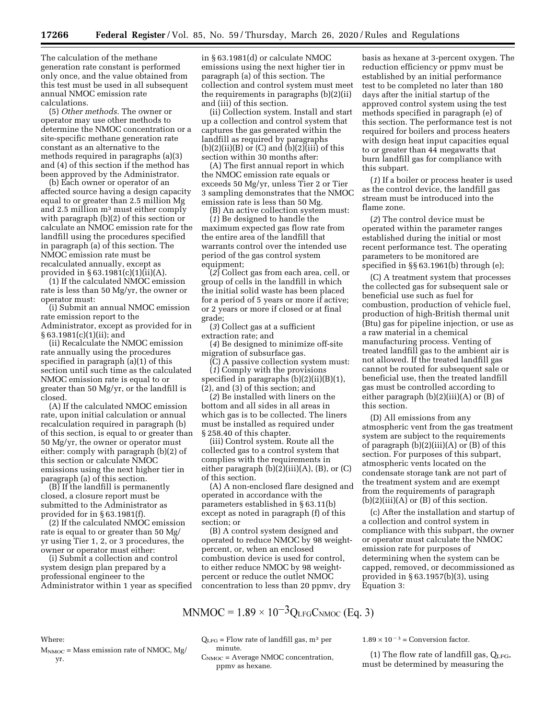The calculation of the methane generation rate constant is performed only once, and the value obtained from this test must be used in all subsequent annual NMOC emission rate calculations.

(5) *Other methods.* The owner or operator may use other methods to determine the NMOC concentration or a site-specific methane generation rate constant as an alternative to the methods required in paragraphs (a)(3) and (4) of this section if the method has been approved by the Administrator.

(b) Each owner or operator of an affected source having a design capacity equal to or greater than 2.5 million Mg and 2.5 million m3 must either comply with paragraph (b)(2) of this section or calculate an NMOC emission rate for the landfill using the procedures specified in paragraph (a) of this section. The NMOC emission rate must be recalculated annually, except as provided in § 63.1981(c)(1)(ii)(A).

(1) If the calculated NMOC emission rate is less than 50 Mg/yr, the owner or operator must:

(i) Submit an annual NMOC emission rate emission report to the Administrator, except as provided for in § 63.1981(c)(1)(ii); and

(ii) Recalculate the NMOC emission rate annually using the procedures specified in paragraph (a)(1) of this section until such time as the calculated NMOC emission rate is equal to or greater than 50 Mg/yr, or the landfill is closed.

(A) If the calculated NMOC emission rate, upon initial calculation or annual recalculation required in paragraph (b) of this section, is equal to or greater than 50 Mg/yr, the owner or operator must either: comply with paragraph (b)(2) of this section or calculate NMOC emissions using the next higher tier in paragraph (a) of this section.

(B) If the landfill is permanently closed, a closure report must be submitted to the Administrator as provided for in § 63.1981(f).

(2) If the calculated NMOC emission rate is equal to or greater than 50 Mg/ yr using Tier 1, 2, or 3 procedures, the owner or operator must either:

(i) Submit a collection and control system design plan prepared by a professional engineer to the Administrator within 1 year as specified

in § 63.1981(d) or calculate NMOC emissions using the next higher tier in paragraph (a) of this section. The collection and control system must meet the requirements in paragraphs (b)(2)(ii) and (iii) of this section.

(ii) Collection system. Install and start up a collection and control system that captures the gas generated within the landfill as required by paragraphs  $(b)(2)(ii)(B)$  or  $(C)$  and  $(b)(2)(iii)$  of this section within 30 months after:

(A) The first annual report in which the NMOC emission rate equals or exceeds 50 Mg/yr, unless Tier 2 or Tier 3 sampling demonstrates that the NMOC emission rate is less than 50 Mg.

(B) An active collection system must:

(*1*) Be designed to handle the maximum expected gas flow rate from the entire area of the landfill that warrants control over the intended use period of the gas control system equipment;

(*2*) Collect gas from each area, cell, or group of cells in the landfill in which the initial solid waste has been placed for a period of 5 years or more if active; or 2 years or more if closed or at final grade;

(*3*) Collect gas at a sufficient extraction rate; and

(*4*) Be designed to minimize off-site migration of subsurface gas.

(C) A passive collection system must:

(*1*) Comply with the provisions specified in paragraphs (b)(2)(ii)(B)(1), (2), and (3) of this section; and

(*2*) Be installed with liners on the bottom and all sides in all areas in which gas is to be collected. The liners must be installed as required under § 258.40 of this chapter.

(iii) Control system. Route all the collected gas to a control system that complies with the requirements in either paragraph  $(b)(2)(iii)(A)$ ,  $(B)$ , or  $(C)$ of this section.

(A) A non-enclosed flare designed and operated in accordance with the parameters established in § 63.11(b) except as noted in paragraph (f) of this section; or

(B) A control system designed and operated to reduce NMOC by 98 weightpercent, or, when an enclosed combustion device is used for control, to either reduce NMOC by 98 weightpercent or reduce the outlet NMOC concentration to less than 20 ppmv, dry

MNMOC =  $1.89 \times 10^{-3} Q_{LFG}C_{NMOC}$  (Eq. 3)

basis as hexane at 3-percent oxygen. The reduction efficiency or ppmv must be established by an initial performance test to be completed no later than 180 days after the initial startup of the approved control system using the test methods specified in paragraph (e) of this section. The performance test is not required for boilers and process heaters with design heat input capacities equal to or greater than 44 megawatts that burn landfill gas for compliance with this subpart.

(*1*) If a boiler or process heater is used as the control device, the landfill gas stream must be introduced into the flame zone.

(*2*) The control device must be operated within the parameter ranges established during the initial or most recent performance test. The operating parameters to be monitored are specified in §§ 63.1961(b) through (e);

(C) A treatment system that processes the collected gas for subsequent sale or beneficial use such as fuel for combustion, production of vehicle fuel, production of high-British thermal unit (Btu) gas for pipeline injection, or use as a raw material in a chemical manufacturing process. Venting of treated landfill gas to the ambient air is not allowed. If the treated landfill gas cannot be routed for subsequent sale or beneficial use, then the treated landfill gas must be controlled according to either paragraph (b)(2)(iii)(A) or (B) of this section.

(D) All emissions from any atmospheric vent from the gas treatment system are subject to the requirements of paragraph  $(b)(2)(iii)(A)$  or  $(B)$  of this section. For purposes of this subpart, atmospheric vents located on the condensate storage tank are not part of the treatment system and are exempt from the requirements of paragraph  $(b)(2)(iii)(A)$  or  $(B)$  of this section.

(c) After the installation and startup of a collection and control system in compliance with this subpart, the owner or operator must calculate the NMOC emission rate for purposes of determining when the system can be capped, removed, or decommissioned as provided in § 63.1957(b)(3), using Equation 3:

Where:

 $M_{\text{NMOC}} = \text{Mass emission rate of NMOC}, \text{Mg}/$ yr.

 $Q_{LFG}$  = Flow rate of landfill gas,  $m^3$  per minute.

 $C_{\text{NMOC}} =$  Average NMOC concentration, ppmv as hexane.

 $1.89 \times 10^{-3}$  = Conversion factor.

(1) The flow rate of landfill gas,  $Q_{LFG}$ , must be determined by measuring the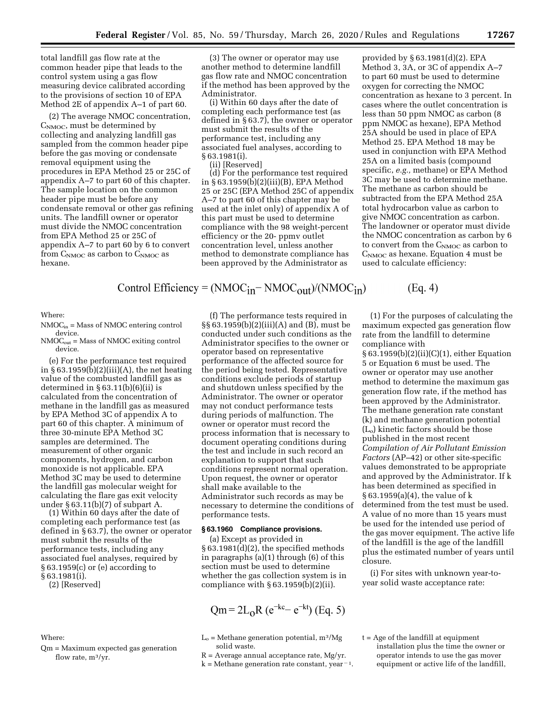total landfill gas flow rate at the common header pipe that leads to the control system using a gas flow measuring device calibrated according to the provisions of section 10 of EPA Method 2E of appendix A–1 of part 60.

(2) The average NMOC concentration,  $C_{\text{NMOC}}$ , must be determined by collecting and analyzing landfill gas sampled from the common header pipe before the gas moving or condensate removal equipment using the procedures in EPA Method 25 or 25C of appendix A–7 to part 60 of this chapter. The sample location on the common header pipe must be before any condensate removal or other gas refining units. The landfill owner or operator must divide the NMOC concentration from EPA Method 25 or 25C of appendix A–7 to part 60 by 6 to convert from  $C_{\text{NMOC}}$  as carbon to  $C_{\text{NMOC}}$  as hexane.

(3) The owner or operator may use another method to determine landfill gas flow rate and NMOC concentration if the method has been approved by the Administrator.

(i) Within 60 days after the date of completing each performance test (as defined in § 63.7), the owner or operator must submit the results of the performance test, including any associated fuel analyses, according to § 63.1981(i).

(ii) [Reserved]

(d) For the performance test required in § 63.1959(b)(2)(iii)(B), EPA Method 25 or 25C (EPA Method 25C of appendix A–7 to part 60 of this chapter may be used at the inlet only) of appendix A of this part must be used to determine compliance with the 98 weight-percent efficiency or the 20- ppmv outlet concentration level, unless another method to demonstrate compliance has been approved by the Administrator as

provided by § 63.1981(d)(2). EPA Method 3, 3A, or 3C of appendix A–7 to part 60 must be used to determine oxygen for correcting the NMOC concentration as hexane to 3 percent. In cases where the outlet concentration is less than 50 ppm NMOC as carbon (8 ppm NMOC as hexane), EPA Method 25A should be used in place of EPA Method 25. EPA Method 18 may be used in conjunction with EPA Method 25A on a limited basis (compound specific, *e.g.,* methane) or EPA Method 3C may be used to determine methane. The methane as carbon should be subtracted from the EPA Method 25A total hydrocarbon value as carbon to give NMOC concentration as carbon. The landowner or operator must divide the NMOC concentration as carbon by 6 to convert from the  $C_{\rm NMOC}$  as carbon to C<sub>NMOC</sub> as hexane. Equation 4 must be used to calculate efficiency:

Control Efficiency =  $(NMOC<sub>in</sub> - NMOC<sub>out</sub>)/(NMOC<sub>in</sub>)$ 

Where:

- $NMOC<sub>in</sub> = Mass of NMOC entering control$ device.
- $NMOC_{out}$  = Mass of NMOC exiting control device.

(e) For the performance test required in § 63.1959(b)(2)(iii)(A), the net heating value of the combusted landfill gas as determined in  $§ 63.11(b)(6)(ii)$  is calculated from the concentration of methane in the landfill gas as measured by EPA Method 3C of appendix A to part 60 of this chapter. A minimum of three 30-minute EPA Method 3C samples are determined. The measurement of other organic components, hydrogen, and carbon monoxide is not applicable. EPA Method 3C may be used to determine the landfill gas molecular weight for calculating the flare gas exit velocity under § 63.11(b)(7) of subpart A.

(1) Within 60 days after the date of completing each performance test (as defined in § 63.7), the owner or operator must submit the results of the performance tests, including any associated fuel analyses, required by § 63.1959(c) or (e) according to § 63.1981(i).

(2) [Reserved]

## Where:

Qm = Maximum expected gas generation flow rate,  $m^3/yr$ .

(f) The performance tests required in §§ 63.1959(b)(2)(iii)(A) and (B), must be conducted under such conditions as the Administrator specifies to the owner or operator based on representative performance of the affected source for the period being tested. Representative conditions exclude periods of startup and shutdown unless specified by the Administrator. The owner or operator may not conduct performance tests during periods of malfunction. The owner or operator must record the process information that is necessary to document operating conditions during the test and include in such record an explanation to support that such conditions represent normal operation. Upon request, the owner or operator shall make available to the Administrator such records as may be necessary to determine the conditions of performance tests.

## **§ 63.1960 Compliance provisions.**

(a) Except as provided in § 63.1981(d)(2), the specified methods in paragraphs (a)(1) through (6) of this section must be used to determine whether the gas collection system is in compliance with  $\S 63.1959(b)(2)(ii)$ .

$$
Qm = 2L_0R (e^{-kc} - e^{-kt})
$$
 (Eq. 5)

- $L<sub>o</sub>$  = Methane generation potential, m<sup>3</sup>/Mg solid waste.
- $R =$  Average annual acceptance rate, Mg/yr.
- $k =$  Methane generation rate constant, year<sup> $-1$ </sup>.

(1) For the purposes of calculating the maximum expected gas generation flow rate from the landfill to determine compliance with

 $(Eq. 4)$ 

§ 63.1959(b)(2)(ii)(C)(1), either Equation 5 or Equation 6 must be used. The owner or operator may use another method to determine the maximum gas generation flow rate, if the method has been approved by the Administrator. The methane generation rate constant (k) and methane generation potential  $(L<sub>o</sub>)$  kinetic factors should be those published in the most recent *Compilation of Air Pollutant Emission Factors* (AP–42) or other site-specific values demonstrated to be appropriate and approved by the Administrator. If k has been determined as specified in § 63.1959(a)(4), the value of k determined from the test must be used. A value of no more than 15 years must be used for the intended use period of the gas mover equipment. The active life of the landfill is the age of the landfill plus the estimated number of years until closure.

(i) For sites with unknown year-toyear solid waste acceptance rate:

 $t = Age of the landfill at equipment$ installation plus the time the owner or operator intends to use the gas mover equipment or active life of the landfill,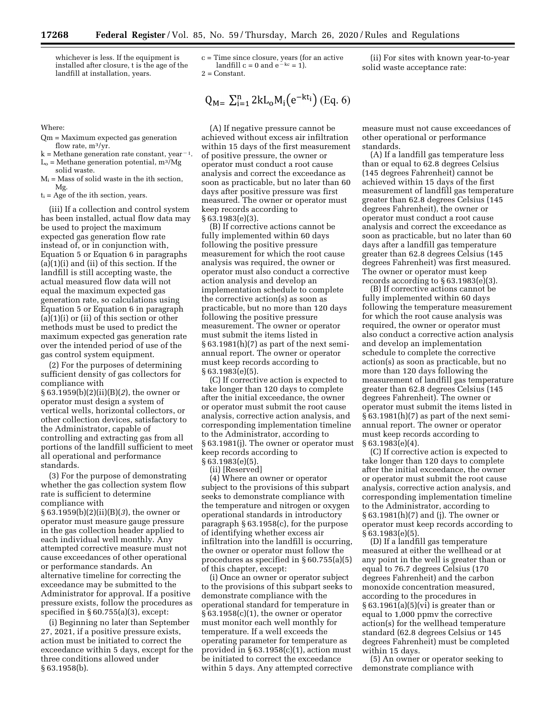Where:

Qm = Maximum expected gas generation flow rate, m3/yr.

landfill at installation, years.

- $k = M$ ethane generation rate constant, year<sup> $-1$ </sup>.
- $L<sub>o</sub>$  = Methane generation potential, m<sup>3</sup>/Mg solid waste.
- $M_i$  = Mass of solid waste in the ith section, Mg.
- $t_i$  = Age of the ith section, years.

(iii) If a collection and control system has been installed, actual flow data may be used to project the maximum expected gas generation flow rate instead of, or in conjunction with, Equation 5 or Equation 6 in paragraphs (a)(1)(i) and (ii) of this section. If the landfill is still accepting waste, the actual measured flow data will not equal the maximum expected gas generation rate, so calculations using Equation 5 or Equation 6 in paragraph  $(a)(1)(i)$  or  $(ii)$  of this section or other methods must be used to predict the maximum expected gas generation rate over the intended period of use of the gas control system equipment.

(2) For the purposes of determining sufficient density of gas collectors for compliance with § 63.1959(b)(2)(ii)(B)(*2*), the owner or operator must design a system of vertical wells, horizontal collectors, or other collection devices, satisfactory to the Administrator, capable of controlling and extracting gas from all portions of the landfill sufficient to meet all operational and performance standards.

(3) For the purpose of demonstrating whether the gas collection system flow rate is sufficient to determine compliance with § 63.1959(b)(2)(ii)(B)(*3*), the owner or

operator must measure gauge pressure in the gas collection header applied to each individual well monthly. Any attempted corrective measure must not cause exceedances of other operational or performance standards. An alternative timeline for correcting the exceedance may be submitted to the Administrator for approval. If a positive pressure exists, follow the procedures as specified in § 60.755(a)(3), except:

(i) Beginning no later than September 27, 2021, if a positive pressure exists, action must be initiated to correct the exceedance within 5 days, except for the three conditions allowed under § 63.1958(b).

c = Time since closure, years (for an active landfill  $c = 0$  and  $e^{-kc} = 1$ ). 2 = Constant.

$$
Q_{M} = \sum_{i=1}^{n} 2kL_0 M_i \left(e^{-kt_i}\right) \left(Eq. 6\right)
$$

(A) If negative pressure cannot be achieved without excess air infiltration within 15 days of the first measurement of positive pressure, the owner or operator must conduct a root cause analysis and correct the exceedance as soon as practicable, but no later than 60 days after positive pressure was first measured. The owner or operator must keep records according to § 63.1983(e)(3).

(B) If corrective actions cannot be fully implemented within 60 days following the positive pressure measurement for which the root cause analysis was required, the owner or operator must also conduct a corrective action analysis and develop an implementation schedule to complete the corrective action(s) as soon as practicable, but no more than 120 days following the positive pressure measurement. The owner or operator must submit the items listed in § 63.1981(h)(7) as part of the next semiannual report. The owner or operator must keep records according to § 63.1983(e)(5).

(C) If corrective action is expected to take longer than 120 days to complete after the initial exceedance, the owner or operator must submit the root cause analysis, corrective action analysis, and corresponding implementation timeline to the Administrator, according to § 63.1981(j). The owner or operator must keep records according to § 63.1983(e)(5).

(ii) [Reserved]

(4) Where an owner or operator subject to the provisions of this subpart seeks to demonstrate compliance with the temperature and nitrogen or oxygen operational standards in introductory paragraph § 63.1958(c), for the purpose of identifying whether excess air infiltration into the landfill is occurring, the owner or operator must follow the procedures as specified in § 60.755(a)(5) of this chapter, except:

(i) Once an owner or operator subject to the provisions of this subpart seeks to demonstrate compliance with the operational standard for temperature in § 63.1958(c)(1), the owner or operator must monitor each well monthly for temperature. If a well exceeds the operating parameter for temperature as provided in  $\S 63.1958(c)(1)$ , action must be initiated to correct the exceedance within 5 days. Any attempted corrective

(ii) For sites with known year-to-year solid waste acceptance rate:

measure must not cause exceedances of other operational or performance standards.

(A) If a landfill gas temperature less than or equal to 62.8 degrees Celsius (145 degrees Fahrenheit) cannot be achieved within 15 days of the first measurement of landfill gas temperature greater than 62.8 degrees Celsius (145 degrees Fahrenheit), the owner or operator must conduct a root cause analysis and correct the exceedance as soon as practicable, but no later than 60 days after a landfill gas temperature greater than 62.8 degrees Celsius (145 degrees Fahrenheit) was first measured. The owner or operator must keep records according to  $\S 63.1983(e)(3)$ .

(B) If corrective actions cannot be fully implemented within 60 days following the temperature measurement for which the root cause analysis was required, the owner or operator must also conduct a corrective action analysis and develop an implementation schedule to complete the corrective action(s) as soon as practicable, but no more than 120 days following the measurement of landfill gas temperature greater than 62.8 degrees Celsius (145 degrees Fahrenheit). The owner or operator must submit the items listed in  $§ 63.1981(h)(7)$  as part of the next semiannual report. The owner or operator must keep records according to § 63.1983(e)(4).

(C) If corrective action is expected to take longer than 120 days to complete after the initial exceedance, the owner or operator must submit the root cause analysis, corrective action analysis, and corresponding implementation timeline to the Administrator, according to § 63.1981(h)(7) and (j). The owner or operator must keep records according to § 63.1983(e)(5).

(D) If a landfill gas temperature measured at either the wellhead or at any point in the well is greater than or equal to 76.7 degrees Celsius (170 degrees Fahrenheit) and the carbon monoxide concentration measured, according to the procedures in § 63.1961(a)(5)(vi) is greater than or equal to 1,000 ppmv the corrective action(s) for the wellhead temperature standard (62.8 degrees Celsius or 145 degrees Fahrenheit) must be completed within 15 days.

(5) An owner or operator seeking to demonstrate compliance with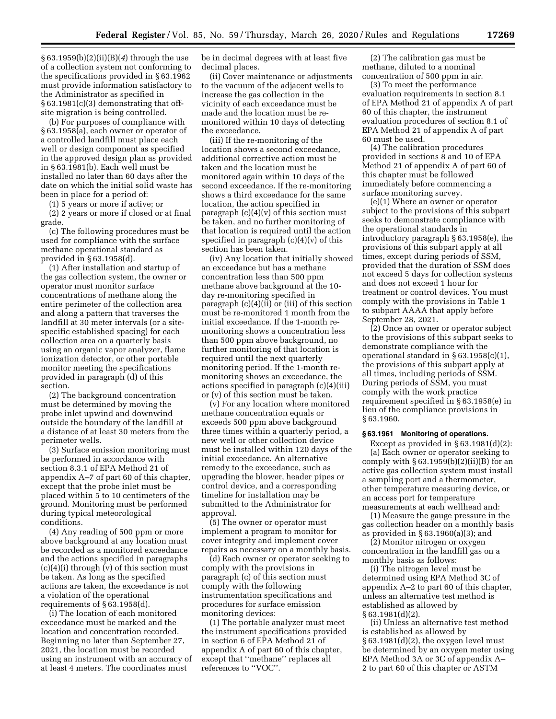§ 63.1959(b)(2)(ii)(B)(*4*) through the use of a collection system not conforming to the specifications provided in § 63.1962 must provide information satisfactory to the Administrator as specified in § 63.1981(c)(3) demonstrating that offsite migration is being controlled.

(b) For purposes of compliance with § 63.1958(a), each owner or operator of a controlled landfill must place each well or design component as specified in the approved design plan as provided in § 63.1981(b). Each well must be installed no later than 60 days after the date on which the initial solid waste has been in place for a period of:

(1) 5 years or more if active; or

(2) 2 years or more if closed or at final grade.

(c) The following procedures must be used for compliance with the surface methane operational standard as provided in § 63.1958(d).

(1) After installation and startup of the gas collection system, the owner or operator must monitor surface concentrations of methane along the entire perimeter of the collection area and along a pattern that traverses the landfill at 30 meter intervals (or a sitespecific established spacing) for each collection area on a quarterly basis using an organic vapor analyzer, flame ionization detector, or other portable monitor meeting the specifications provided in paragraph (d) of this section.

(2) The background concentration must be determined by moving the probe inlet upwind and downwind outside the boundary of the landfill at a distance of at least 30 meters from the perimeter wells.

(3) Surface emission monitoring must be performed in accordance with section 8.3.1 of EPA Method 21 of appendix A–7 of part 60 of this chapter, except that the probe inlet must be placed within 5 to 10 centimeters of the ground. Monitoring must be performed during typical meteorological conditions.

(4) Any reading of 500 ppm or more above background at any location must be recorded as a monitored exceedance and the actions specified in paragraphs  $(c)(4)(i)$  through  $(v)$  of this section must be taken. As long as the specified actions are taken, the exceedance is not a violation of the operational requirements of § 63.1958(d).

(i) The location of each monitored exceedance must be marked and the location and concentration recorded. Beginning no later than September 27, 2021, the location must be recorded using an instrument with an accuracy of at least 4 meters. The coordinates must

be in decimal degrees with at least five decimal places.

(ii) Cover maintenance or adjustments to the vacuum of the adjacent wells to increase the gas collection in the vicinity of each exceedance must be made and the location must be remonitored within 10 days of detecting the exceedance.

(iii) If the re-monitoring of the location shows a second exceedance, additional corrective action must be taken and the location must be monitored again within 10 days of the second exceedance. If the re-monitoring shows a third exceedance for the same location, the action specified in paragraph  $(c)(4)(v)$  of this section must be taken, and no further monitoring of that location is required until the action specified in paragraph (c)(4)(v) of this section has been taken.

(iv) Any location that initially showed an exceedance but has a methane concentration less than 500 ppm methane above background at the 10 day re-monitoring specified in paragraph (c)(4)(ii) or (iii) of this section must be re-monitored 1 month from the initial exceedance. If the 1-month remonitoring shows a concentration less than 500 ppm above background, no further monitoring of that location is required until the next quarterly monitoring period. If the 1-month remonitoring shows an exceedance, the actions specified in paragraph (c)(4)(iii) or (v) of this section must be taken.

(v) For any location where monitored methane concentration equals or exceeds 500 ppm above background three times within a quarterly period, a new well or other collection device must be installed within 120 days of the initial exceedance. An alternative remedy to the exceedance, such as upgrading the blower, header pipes or control device, and a corresponding timeline for installation may be submitted to the Administrator for approval.

(5) The owner or operator must implement a program to monitor for cover integrity and implement cover repairs as necessary on a monthly basis.

(d) Each owner or operator seeking to comply with the provisions in paragraph (c) of this section must comply with the following instrumentation specifications and procedures for surface emission monitoring devices:

(1) The portable analyzer must meet the instrument specifications provided in section 6 of EPA Method 21 of appendix A of part 60 of this chapter, except that ''methane'' replaces all references to ''VOC''.

(2) The calibration gas must be methane, diluted to a nominal concentration of 500 ppm in air.

(3) To meet the performance evaluation requirements in section 8.1 of EPA Method 21 of appendix A of part 60 of this chapter, the instrument evaluation procedures of section 8.1 of EPA Method 21 of appendix A of part 60 must be used.

(4) The calibration procedures provided in sections 8 and 10 of EPA Method 21 of appendix A of part 60 of this chapter must be followed immediately before commencing a surface monitoring survey.

(e)(1) Where an owner or operator subject to the provisions of this subpart seeks to demonstrate compliance with the operational standards in introductory paragraph § 63.1958(e), the provisions of this subpart apply at all times, except during periods of SSM, provided that the duration of SSM does not exceed 5 days for collection systems and does not exceed 1 hour for treatment or control devices. You must comply with the provisions in Table 1 to subpart AAAA that apply before September 28, 2021.

(2) Once an owner or operator subject to the provisions of this subpart seeks to demonstrate compliance with the operational standard in § 63.1958(c)(1), the provisions of this subpart apply at all times, including periods of SSM. During periods of SSM, you must comply with the work practice requirement specified in § 63.1958(e) in lieu of the compliance provisions in § 63.1960.

### **§ 63.1961 Monitoring of operations.**

Except as provided in  $\S 63.1981(d)(2)$ : (a) Each owner or operator seeking to comply with  $\S 63.1959(b)(2)(ii)(B)$  for an active gas collection system must install a sampling port and a thermometer, other temperature measuring device, or an access port for temperature measurements at each wellhead and:

(1) Measure the gauge pressure in the gas collection header on a monthly basis as provided in § 63.1960(a)(3); and

(2) Monitor nitrogen or oxygen concentration in the landfill gas on a monthly basis as follows:

(i) The nitrogen level must be determined using EPA Method 3C of appendix A–2 to part 60 of this chapter, unless an alternative test method is established as allowed by § 63.1981(d)(2).

(ii) Unless an alternative test method is established as allowed by § 63.1981(d)(2), the oxygen level must be determined by an oxygen meter using EPA Method 3A or 3C of appendix A– 2 to part 60 of this chapter or ASTM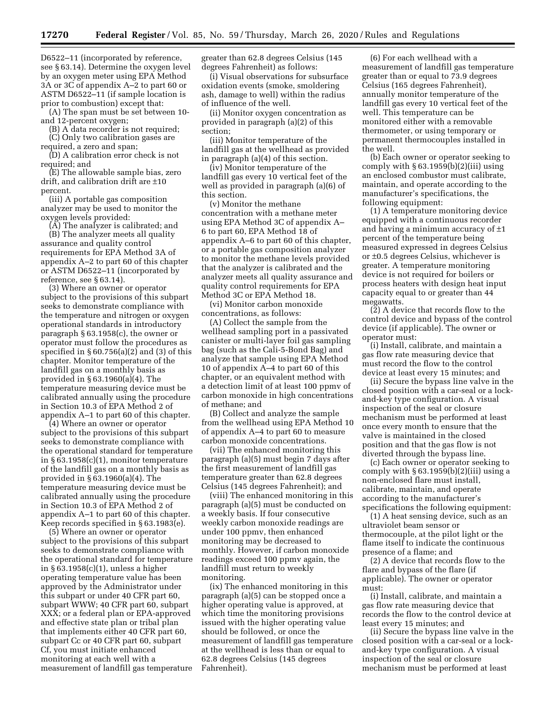D6522–11 (incorporated by reference, see § 63.14). Determine the oxygen level by an oxygen meter using EPA Method 3A or 3C of appendix A–2 to part 60 or ASTM D6522–11 (if sample location is prior to combustion) except that:

(A) The span must be set between 10 and 12-percent oxygen;

(B) A data recorder is not required; (C) Only two calibration gases are

required, a zero and span; (D) A calibration error check is not

required; and (E) The allowable sample bias, zero

drift, and calibration drift are ±10 percent.

(iii) A portable gas composition analyzer may be used to monitor the oxygen levels provided:

(A) The analyzer is calibrated; and (B) The analyzer meets all quality assurance and quality control requirements for EPA Method 3A of appendix A–2 to part 60 of this chapter or ASTM D6522–11 (incorporated by reference, see § 63.14).

(3) Where an owner or operator subject to the provisions of this subpart seeks to demonstrate compliance with the temperature and nitrogen or oxygen operational standards in introductory paragraph § 63.1958(c), the owner or operator must follow the procedures as specified in  $\S 60.756(a)(2)$  and (3) of this chapter. Monitor temperature of the landfill gas on a monthly basis as provided in § 63.1960(a)(4). The temperature measuring device must be calibrated annually using the procedure in Section 10.3 of EPA Method 2 of appendix A–1 to part 60 of this chapter.

(4) Where an owner or operator subject to the provisions of this subpart seeks to demonstrate compliance with the operational standard for temperature in § 63.1958(c)(1), monitor temperature of the landfill gas on a monthly basis as provided in § 63.1960(a)(4). The temperature measuring device must be calibrated annually using the procedure in Section 10.3 of EPA Method 2 of appendix A–1 to part 60 of this chapter. Keep records specified in § 63.1983(e).

(5) Where an owner or operator subject to the provisions of this subpart seeks to demonstrate compliance with the operational standard for temperature in § 63.1958(c)(1), unless a higher operating temperature value has been approved by the Administrator under this subpart or under 40 CFR part 60, subpart WWW; 40 CFR part 60, subpart XXX; or a federal plan or EPA-approved and effective state plan or tribal plan that implements either 40 CFR part 60, subpart Cc or 40 CFR part 60, subpart Cf, you must initiate enhanced monitoring at each well with a measurement of landfill gas temperature

greater than 62.8 degrees Celsius (145 degrees Fahrenheit) as follows:

(i) Visual observations for subsurface oxidation events (smoke, smoldering ash, damage to well) within the radius of influence of the well.

(ii) Monitor oxygen concentration as provided in paragraph (a)(2) of this section;

(iii) Monitor temperature of the landfill gas at the wellhead as provided in paragraph (a)(4) of this section.

(iv) Monitor temperature of the landfill gas every 10 vertical feet of the well as provided in paragraph (a)(6) of this section.

(v) Monitor the methane concentration with a methane meter using EPA Method 3C of appendix A– 6 to part 60, EPA Method 18 of appendix A–6 to part 60 of this chapter, or a portable gas composition analyzer to monitor the methane levels provided that the analyzer is calibrated and the analyzer meets all quality assurance and quality control requirements for EPA Method 3C or EPA Method 18.

(vi) Monitor carbon monoxide concentrations, as follows:

(A) Collect the sample from the wellhead sampling port in a passivated canister or multi-layer foil gas sampling bag (such as the Cali-5-Bond Bag) and analyze that sample using EPA Method 10 of appendix A–4 to part 60 of this chapter, or an equivalent method with a detection limit of at least 100 ppmv of carbon monoxide in high concentrations of methane; and

(B) Collect and analyze the sample from the wellhead using EPA Method 10 of appendix A–4 to part 60 to measure carbon monoxide concentrations.

(vii) The enhanced monitoring this paragraph (a)(5) must begin 7 days after the first measurement of landfill gas temperature greater than 62.8 degrees Celsius (145 degrees Fahrenheit); and

(viii) The enhanced monitoring in this paragraph (a)(5) must be conducted on a weekly basis. If four consecutive weekly carbon monoxide readings are under 100 ppmv, then enhanced monitoring may be decreased to monthly. However, if carbon monoxide readings exceed 100 ppmv again, the landfill must return to weekly monitoring.

(ix) The enhanced monitoring in this paragraph (a)(5) can be stopped once a higher operating value is approved, at which time the monitoring provisions issued with the higher operating value should be followed, or once the measurement of landfill gas temperature at the wellhead is less than or equal to 62.8 degrees Celsius (145 degrees Fahrenheit).

(6) For each wellhead with a measurement of landfill gas temperature greater than or equal to 73.9 degrees Celsius (165 degrees Fahrenheit), annually monitor temperature of the landfill gas every 10 vertical feet of the well. This temperature can be monitored either with a removable thermometer, or using temporary or permanent thermocouples installed in the well.

(b) Each owner or operator seeking to comply with  $\S 63.1959(b)(2)(iii)$  using an enclosed combustor must calibrate, maintain, and operate according to the manufacturer's specifications, the following equipment:

(1) A temperature monitoring device equipped with a continuous recorder and having a minimum accuracy of ±1 percent of the temperature being measured expressed in degrees Celsius or ±0.5 degrees Celsius, whichever is greater. A temperature monitoring device is not required for boilers or process heaters with design heat input capacity equal to or greater than 44 megawatts.

(2) A device that records flow to the control device and bypass of the control device (if applicable). The owner or operator must:

(i) Install, calibrate, and maintain a gas flow rate measuring device that must record the flow to the control device at least every 15 minutes; and

(ii) Secure the bypass line valve in the closed position with a car-seal or a lockand-key type configuration. A visual inspection of the seal or closure mechanism must be performed at least once every month to ensure that the valve is maintained in the closed position and that the gas flow is not diverted through the bypass line.

(c) Each owner or operator seeking to comply with  $\S 63.1959(b)(2)(iii)$  using a non-enclosed flare must install, calibrate, maintain, and operate according to the manufacturer's specifications the following equipment:

(1) A heat sensing device, such as an ultraviolet beam sensor or thermocouple, at the pilot light or the flame itself to indicate the continuous presence of a flame; and

(2) A device that records flow to the flare and bypass of the flare (if applicable). The owner or operator must:

(i) Install, calibrate, and maintain a gas flow rate measuring device that records the flow to the control device at least every 15 minutes; and

(ii) Secure the bypass line valve in the closed position with a car-seal or a lockand-key type configuration. A visual inspection of the seal or closure mechanism must be performed at least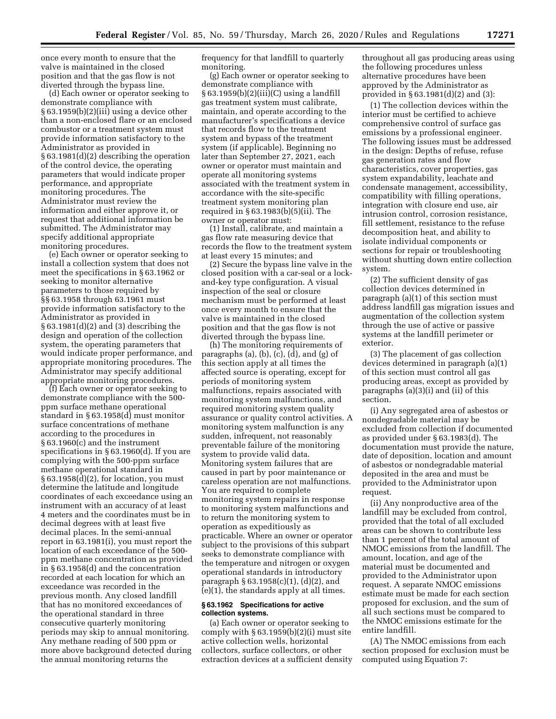once every month to ensure that the valve is maintained in the closed position and that the gas flow is not diverted through the bypass line.

(d) Each owner or operator seeking to demonstrate compliance with § 63.1959(b)(2)(iii) using a device other than a non-enclosed flare or an enclosed combustor or a treatment system must provide information satisfactory to the Administrator as provided in § 63.1981(d)(2) describing the operation of the control device, the operating parameters that would indicate proper performance, and appropriate monitoring procedures. The Administrator must review the information and either approve it, or request that additional information be submitted. The Administrator may specify additional appropriate monitoring procedures.

(e) Each owner or operator seeking to install a collection system that does not meet the specifications in § 63.1962 or seeking to monitor alternative parameters to those required by §§ 63.1958 through 63.1961 must provide information satisfactory to the Administrator as provided in § 63.1981(d)(2) and (3) describing the design and operation of the collection system, the operating parameters that would indicate proper performance, and appropriate monitoring procedures. The Administrator may specify additional appropriate monitoring procedures.

(f) Each owner or operator seeking to demonstrate compliance with the 500 ppm surface methane operational standard in § 63.1958(d) must monitor surface concentrations of methane according to the procedures in § 63.1960(c) and the instrument specifications in § 63.1960(d). If you are complying with the 500-ppm surface methane operational standard in § 63.1958(d)(2), for location, you must determine the latitude and longitude coordinates of each exceedance using an instrument with an accuracy of at least 4 meters and the coordinates must be in decimal degrees with at least five decimal places. In the semi-annual report in 63.1981(i), you must report the location of each exceedance of the 500 ppm methane concentration as provided in § 63.1958(d) and the concentration recorded at each location for which an exceedance was recorded in the previous month. Any closed landfill that has no monitored exceedances of the operational standard in three consecutive quarterly monitoring periods may skip to annual monitoring. Any methane reading of 500 ppm or more above background detected during the annual monitoring returns the

frequency for that landfill to quarterly monitoring.

(g) Each owner or operator seeking to demonstrate compliance with § 63.1959(b)(2)(iii)(C) using a landfill gas treatment system must calibrate, maintain, and operate according to the manufacturer's specifications a device that records flow to the treatment system and bypass of the treatment system (if applicable). Beginning no later than September 27, 2021, each owner or operator must maintain and operate all monitoring systems associated with the treatment system in accordance with the site-specific treatment system monitoring plan required in § 63.1983(b)(5)(ii). The owner or operator must:

(1) Install, calibrate, and maintain a gas flow rate measuring device that records the flow to the treatment system at least every 15 minutes; and

(2) Secure the bypass line valve in the closed position with a car-seal or a lockand-key type configuration. A visual inspection of the seal or closure mechanism must be performed at least once every month to ensure that the valve is maintained in the closed position and that the gas flow is not diverted through the bypass line.

(h) The monitoring requirements of paragraphs  $(a)$ ,  $(b)$ ,  $(c)$ ,  $(d)$ , and  $(g)$  of this section apply at all times the affected source is operating, except for periods of monitoring system malfunctions, repairs associated with monitoring system malfunctions, and required monitoring system quality assurance or quality control activities. A monitoring system malfunction is any sudden, infrequent, not reasonably preventable failure of the monitoring system to provide valid data. Monitoring system failures that are caused in part by poor maintenance or careless operation are not malfunctions. You are required to complete monitoring system repairs in response to monitoring system malfunctions and to return the monitoring system to operation as expeditiously as practicable. Where an owner or operator subject to the provisions of this subpart seeks to demonstrate compliance with the temperature and nitrogen or oxygen operational standards in introductory paragraph § 63.1958(c)(1), (d)(2), and (e)(1), the standards apply at all times.

#### **§ 63.1962 Specifications for active collection systems.**

(a) Each owner or operator seeking to comply with  $§ 63.1959(b)(2)(i)$  must site active collection wells, horizontal collectors, surface collectors, or other extraction devices at a sufficient density

throughout all gas producing areas using the following procedures unless alternative procedures have been approved by the Administrator as provided in § 63.1981(d)(2) and (3):

(1) The collection devices within the interior must be certified to achieve comprehensive control of surface gas emissions by a professional engineer. The following issues must be addressed in the design: Depths of refuse, refuse gas generation rates and flow characteristics, cover properties, gas system expandability, leachate and condensate management, accessibility, compatibility with filling operations, integration with closure end use, air intrusion control, corrosion resistance, fill settlement, resistance to the refuse decomposition heat, and ability to isolate individual components or sections for repair or troubleshooting without shutting down entire collection system.

(2) The sufficient density of gas collection devices determined in paragraph (a)(1) of this section must address landfill gas migration issues and augmentation of the collection system through the use of active or passive systems at the landfill perimeter or exterior.

(3) The placement of gas collection devices determined in paragraph (a)(1) of this section must control all gas producing areas, except as provided by paragraphs (a)(3)(i) and (ii) of this section.

(i) Any segregated area of asbestos or nondegradable material may be excluded from collection if documented as provided under § 63.1983(d). The documentation must provide the nature, date of deposition, location and amount of asbestos or nondegradable material deposited in the area and must be provided to the Administrator upon request.

(ii) Any nonproductive area of the landfill may be excluded from control, provided that the total of all excluded areas can be shown to contribute less than 1 percent of the total amount of NMOC emissions from the landfill. The amount, location, and age of the material must be documented and provided to the Administrator upon request. A separate NMOC emissions estimate must be made for each section proposed for exclusion, and the sum of all such sections must be compared to the NMOC emissions estimate for the entire landfill.

(A) The NMOC emissions from each section proposed for exclusion must be computed using Equation 7: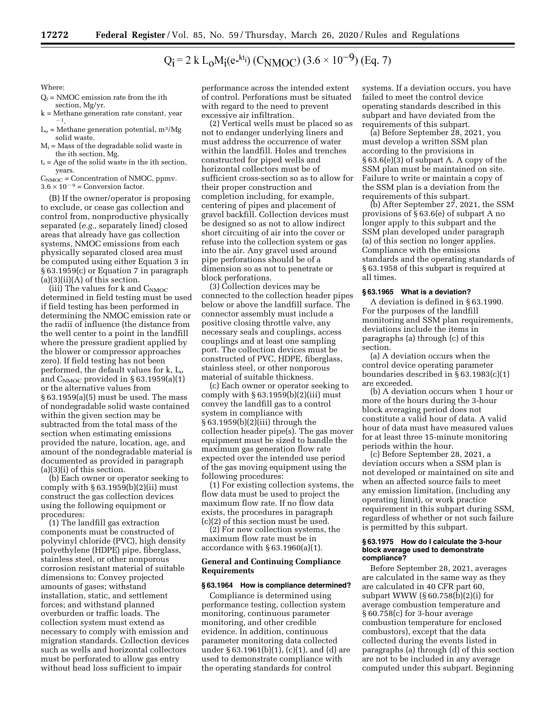# $Q_i = 2 k L_0 M_i(e^{-kt_i}) (C_{NMOC}) (3.6 \times 10^{-9}) (Eq. 7)$

Where:

- $Q_i$  = NMOC emission rate from the ith section, Mg/yr.
- k = Methane generation rate constant, year  $\frac{-1}{1}$ .
- $L<sub>o</sub>$  = Methane generation potential, m<sup>3</sup>/Mg solid waste.
- $M<sub>i</sub>$  = Mass of the degradable solid waste in the ith section, Mg.
- $t_i$  = Age of the solid waste in the ith section, years.
- $C_{\text{NMOC}} =$  Concentration of NMOC, ppmv.  $3.6 \times 10^{-9}$  = Conversion factor.

(B) If the owner/operator is proposing to exclude, or cease gas collection and control from, nonproductive physically separated (*e.g.,* separately lined) closed areas that already have gas collection systems, NMOC emissions from each physically separated closed area must be computed using either Equation 3 in § 63.1959(c) or Equation 7 in paragraph  $(a)(3)(ii)(A)$  of this section.

(iii) The values for  $k$  and  $C_{\text{NMOC}}$ determined in field testing must be used if field testing has been performed in determining the NMOC emission rate or the radii of influence (the distance from the well center to a point in the landfill where the pressure gradient applied by the blower or compressor approaches zero). If field testing has not been performed, the default values for k, Lo and C<sub>NMOC</sub> provided in § 63.1959(a)(1) or the alternative values from § 63.1959(a)(5) must be used. The mass of nondegradable solid waste contained within the given section may be subtracted from the total mass of the section when estimating emissions provided the nature, location, age, and amount of the nondegradable material is documented as provided in paragraph (a)(3)(i) of this section.

(b) Each owner or operator seeking to comply with  $\S 63.1959(b)(2)(ii)$  must construct the gas collection devices using the following equipment or procedures:

(1) The landfill gas extraction components must be constructed of polyvinyl chloride (PVC), high density polyethylene (HDPE) pipe, fiberglass, stainless steel, or other nonporous corrosion resistant material of suitable dimensions to: Convey projected amounts of gases; withstand installation, static, and settlement forces; and withstand planned overburden or traffic loads. The collection system must extend as necessary to comply with emission and migration standards. Collection devices such as wells and horizontal collectors must be perforated to allow gas entry without head loss sufficient to impair

performance across the intended extent of control. Perforations must be situated with regard to the need to prevent excessive air infiltration.

(2) Vertical wells must be placed so as not to endanger underlying liners and must address the occurrence of water within the landfill. Holes and trenches constructed for piped wells and horizontal collectors must be of sufficient cross-section so as to allow for their proper construction and completion including, for example, centering of pipes and placement of gravel backfill. Collection devices must be designed so as not to allow indirect short circuiting of air into the cover or refuse into the collection system or gas into the air. Any gravel used around pipe perforations should be of a dimension so as not to penetrate or block perforations.

(3) Collection devices may be connected to the collection header pipes below or above the landfill surface. The connector assembly must include a positive closing throttle valve, any necessary seals and couplings, access couplings and at least one sampling port. The collection devices must be constructed of PVC, HDPE, fiberglass, stainless steel, or other nonporous material of suitable thickness.

(c) Each owner or operator seeking to comply with  $§ 63.1959(b)(2)(iii)$  must convey the landfill gas to a control system in compliance with § 63.1959(b)(2)(iii) through the collection header pipe(s). The gas mover equipment must be sized to handle the maximum gas generation flow rate expected over the intended use period of the gas moving equipment using the following procedures:

(1) For existing collection systems, the flow data must be used to project the maximum flow rate. If no flow data exists, the procedures in paragraph (c)(2) of this section must be used.

(2) For new collection systems, the maximum flow rate must be in accordance with  $\S 63.1960(a)(1)$ .

## **General and Continuing Compliance Requirements**

#### **§ 63.1964 How is compliance determined?**

Compliance is determined using performance testing, collection system monitoring, continuous parameter monitoring, and other credible evidence. In addition, continuous parameter monitoring data collected under § 63.1961(b)(1), (c)(1), and (d) are used to demonstrate compliance with the operating standards for control

systems. If a deviation occurs, you have failed to meet the control device operating standards described in this subpart and have deviated from the requirements of this subpart.

(a) Before September 28, 2021, you must develop a written SSM plan according to the provisions in § 63.6(e)(3) of subpart A. A copy of the SSM plan must be maintained on site. Failure to write or maintain a copy of the SSM plan is a deviation from the requirements of this subpart.

(b) After September 27, 2021, the SSM provisions of § 63.6(e) of subpart A no longer apply to this subpart and the SSM plan developed under paragraph (a) of this section no longer applies. Compliance with the emissions standards and the operating standards of § 63.1958 of this subpart is required at all times.

## **§ 63.1965 What is a deviation?**

A deviation is defined in § 63.1990. For the purposes of the landfill monitoring and SSM plan requirements, deviations include the items in paragraphs (a) through (c) of this section.

(a) A deviation occurs when the control device operating parameter boundaries described in  $\S$  63.1983(c)(1) are exceeded.

(b) A deviation occurs when 1 hour or more of the hours during the 3-hour block averaging period does not constitute a valid hour of data. A valid hour of data must have measured values for at least three 15-minute monitoring periods within the hour.

(c) Before September 28, 2021, a deviation occurs when a SSM plan is not developed or maintained on site and when an affected source fails to meet any emission limitation, (including any operating limit), or work practice requirement in this subpart during SSM, regardless of whether or not such failure is permitted by this subpart.

#### **§ 63.1975 How do I calculate the 3-hour block average used to demonstrate compliance?**

Before September 28, 2021, averages are calculated in the same way as they are calculated in 40 CFR part 60, subpart WWW (§ 60.758(b)(2)(i) for average combustion temperature and § 60.758(c) for 3-hour average combustion temperature for enclosed combustors), except that the data collected during the events listed in paragraphs (a) through (d) of this section are not to be included in any average computed under this subpart. Beginning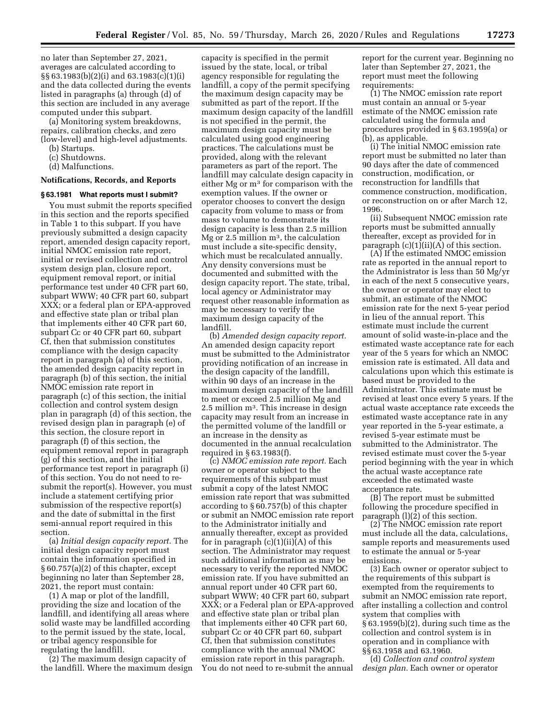no later than September 27, 2021, averages are calculated according to §§ 63.1983(b)(2)(i) and 63.1983(c)(1)(i) and the data collected during the events listed in paragraphs (a) through (d) of this section are included in any average computed under this subpart.

(a) Monitoring system breakdowns, repairs, calibration checks, and zero (low-level) and high-level adjustments.

- (b) Startups.
- (c) Shutdowns.
- (d) Malfunctions.

## **Notifications, Records, and Reports**

#### **§ 63.1981 What reports must I submit?**

You must submit the reports specified in this section and the reports specified in Table 1 to this subpart. If you have previously submitted a design capacity report, amended design capacity report, initial NMOC emission rate report, initial or revised collection and control system design plan, closure report, equipment removal report, or initial performance test under 40 CFR part 60, subpart WWW; 40 CFR part 60, subpart XXX; or a federal plan or EPA-approved and effective state plan or tribal plan that implements either 40 CFR part 60, subpart Cc or 40 CFR part 60, subpart Cf, then that submission constitutes compliance with the design capacity report in paragraph (a) of this section, the amended design capacity report in paragraph (b) of this section, the initial NMOC emission rate report in paragraph (c) of this section, the initial collection and control system design plan in paragraph (d) of this section, the revised design plan in paragraph (e) of this section, the closure report in paragraph (f) of this section, the equipment removal report in paragraph (g) of this section, and the initial performance test report in paragraph (i) of this section. You do not need to resubmit the report(s). However, you must include a statement certifying prior submission of the respective report(s) and the date of submittal in the first semi-annual report required in this section.

(a) *Initial design capacity report.* The initial design capacity report must contain the information specified in § 60.757(a)(2) of this chapter, except beginning no later than September 28, 2021, the report must contain:

(1) A map or plot of the landfill, providing the size and location of the landfill, and identifying all areas where solid waste may be landfilled according to the permit issued by the state, local, or tribal agency responsible for regulating the landfill.

(2) The maximum design capacity of the landfill. Where the maximum design

capacity is specified in the permit issued by the state, local, or tribal agency responsible for regulating the landfill, a copy of the permit specifying the maximum design capacity may be submitted as part of the report. If the maximum design capacity of the landfill is not specified in the permit, the maximum design capacity must be calculated using good engineering practices. The calculations must be provided, along with the relevant parameters as part of the report. The landfill may calculate design capacity in either Mg or m3 for comparison with the exemption values. If the owner or operator chooses to convert the design capacity from volume to mass or from mass to volume to demonstrate its design capacity is less than 2.5 million Mg or 2.5 million  $m^3$ , the calculation must include a site-specific density, which must be recalculated annually. Any density conversions must be documented and submitted with the design capacity report. The state, tribal, local agency or Administrator may request other reasonable information as may be necessary to verify the maximum design capacity of the landfill.

(b) *Amended design capacity report.*  An amended design capacity report must be submitted to the Administrator providing notification of an increase in the design capacity of the landfill, within 90 days of an increase in the maximum design capacity of the landfill to meet or exceed 2.5 million Mg and 2.5 million m3. This increase in design capacity may result from an increase in the permitted volume of the landfill or an increase in the density as documented in the annual recalculation required in § 63.1983(f).

(c) *NMOC emission rate report.* Each owner or operator subject to the requirements of this subpart must submit a copy of the latest NMOC emission rate report that was submitted according to § 60.757(b) of this chapter or submit an NMOC emission rate report to the Administrator initially and annually thereafter, except as provided for in paragraph  $(c)(1)(ii)(A)$  of this section. The Administrator may request such additional information as may be necessary to verify the reported NMOC emission rate. If you have submitted an annual report under 40 CFR part 60, subpart WWW; 40 CFR part 60, subpart XXX; or a Federal plan or EPA-approved and effective state plan or tribal plan that implements either 40 CFR part 60, subpart Cc or 40 CFR part 60, subpart Cf, then that submission constitutes compliance with the annual NMOC emission rate report in this paragraph. You do not need to re-submit the annual

report for the current year. Beginning no later than September 27, 2021, the report must meet the following requirements:

(1) The NMOC emission rate report must contain an annual or 5-year estimate of the NMOC emission rate calculated using the formula and procedures provided in § 63.1959(a) or (b), as applicable.

(i) The initial NMOC emission rate report must be submitted no later than 90 days after the date of commenced construction, modification, or reconstruction for landfills that commence construction, modification, or reconstruction on or after March 12, 1996.

(ii) Subsequent NMOC emission rate reports must be submitted annually thereafter, except as provided for in paragraph  $(c)(1)(ii)(A)$  of this section.

(A) If the estimated NMOC emission rate as reported in the annual report to the Administrator is less than 50 Mg/yr in each of the next 5 consecutive years, the owner or operator may elect to submit, an estimate of the NMOC emission rate for the next 5-year period in lieu of the annual report. This estimate must include the current amount of solid waste-in-place and the estimated waste acceptance rate for each year of the 5 years for which an NMOC emission rate is estimated. All data and calculations upon which this estimate is based must be provided to the Administrator. This estimate must be revised at least once every 5 years. If the actual waste acceptance rate exceeds the estimated waste acceptance rate in any year reported in the 5-year estimate, a revised 5-year estimate must be submitted to the Administrator. The revised estimate must cover the 5-year period beginning with the year in which the actual waste acceptance rate exceeded the estimated waste acceptance rate.

(B) The report must be submitted following the procedure specified in paragraph (l)(2) of this section.

(2) The NMOC emission rate report must include all the data, calculations, sample reports and measurements used to estimate the annual or 5-year emissions.

(3) Each owner or operator subject to the requirements of this subpart is exempted from the requirements to submit an NMOC emission rate report, after installing a collection and control system that complies with § 63.1959(b)(2), during such time as the collection and control system is in operation and in compliance with §§ 63.1958 and 63.1960.

(d) *Collection and control system design plan.* Each owner or operator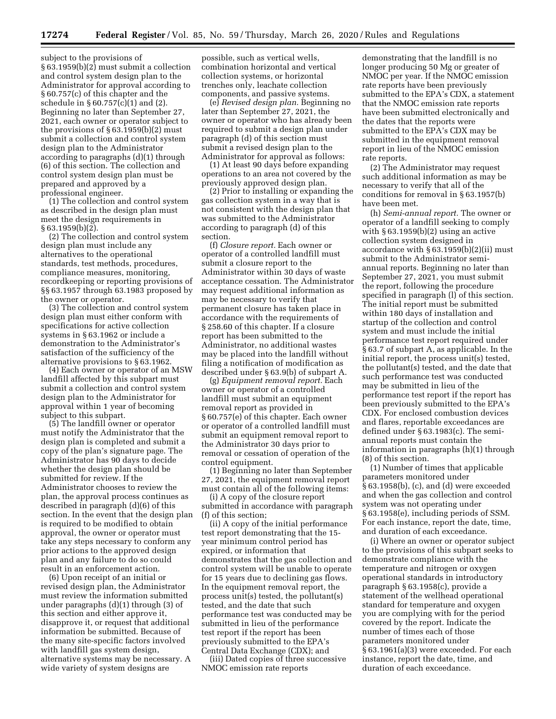subject to the provisions of § 63.1959(b)(2) must submit a collection and control system design plan to the Administrator for approval according to § 60.757(c) of this chapter and the schedule in § 60.757(c)(1) and (2). Beginning no later than September 27, 2021, each owner or operator subject to the provisions of  $\S 63.1959(b)(2)$  must submit a collection and control system design plan to the Administrator according to paragraphs (d)(1) through (6) of this section. The collection and control system design plan must be prepared and approved by a professional engineer.

(1) The collection and control system as described in the design plan must meet the design requirements in  $§ 63.1959(b)(2).$ 

(2) The collection and control system design plan must include any alternatives to the operational standards, test methods, procedures, compliance measures, monitoring, recordkeeping or reporting provisions of §§ 63.1957 through 63.1983 proposed by the owner or operator.

(3) The collection and control system design plan must either conform with specifications for active collection systems in § 63.1962 or include a demonstration to the Administrator's satisfaction of the sufficiency of the alternative provisions to § 63.1962.

(4) Each owner or operator of an MSW landfill affected by this subpart must submit a collection and control system design plan to the Administrator for approval within 1 year of becoming subject to this subpart.

(5) The landfill owner or operator must notify the Administrator that the design plan is completed and submit a copy of the plan's signature page. The Administrator has 90 days to decide whether the design plan should be submitted for review. If the Administrator chooses to review the plan, the approval process continues as described in paragraph (d)(6) of this section. In the event that the design plan is required to be modified to obtain approval, the owner or operator must take any steps necessary to conform any prior actions to the approved design plan and any failure to do so could result in an enforcement action.

(6) Upon receipt of an initial or revised design plan, the Administrator must review the information submitted under paragraphs (d)(1) through (3) of this section and either approve it, disapprove it, or request that additional information be submitted. Because of the many site-specific factors involved with landfill gas system design, alternative systems may be necessary. A wide variety of system designs are

possible, such as vertical wells, combination horizontal and vertical collection systems, or horizontal trenches only, leachate collection components, and passive systems.

(e) *Revised design plan.* Beginning no later than September 27, 2021, the owner or operator who has already been required to submit a design plan under paragraph (d) of this section must submit a revised design plan to the Administrator for approval as follows:

(1) At least 90 days before expanding operations to an area not covered by the previously approved design plan.

(2) Prior to installing or expanding the gas collection system in a way that is not consistent with the design plan that was submitted to the Administrator according to paragraph (d) of this section.

(f) *Closure report.* Each owner or operator of a controlled landfill must submit a closure report to the Administrator within 30 days of waste acceptance cessation. The Administrator may request additional information as may be necessary to verify that permanent closure has taken place in accordance with the requirements of § 258.60 of this chapter. If a closure report has been submitted to the Administrator, no additional wastes may be placed into the landfill without filing a notification of modification as described under § 63.9(b) of subpart A.

(g) *Equipment removal report.* Each owner or operator of a controlled landfill must submit an equipment removal report as provided in § 60.757(e) of this chapter. Each owner or operator of a controlled landfill must submit an equipment removal report to the Administrator 30 days prior to removal or cessation of operation of the control equipment.

(1) Beginning no later than September 27, 2021, the equipment removal report must contain all of the following items:

(i) A copy of the closure report submitted in accordance with paragraph (f) of this section;

(ii) A copy of the initial performance test report demonstrating that the 15 year minimum control period has expired, or information that demonstrates that the gas collection and control system will be unable to operate for 15 years due to declining gas flows. In the equipment removal report, the process unit(s) tested, the pollutant(s) tested, and the date that such performance test was conducted may be submitted in lieu of the performance test report if the report has been previously submitted to the EPA's Central Data Exchange (CDX); and

(iii) Dated copies of three successive NMOC emission rate reports

demonstrating that the landfill is no longer producing 50 Mg or greater of NMOC per year. If the NMOC emission rate reports have been previously submitted to the EPA's CDX, a statement that the NMOC emission rate reports have been submitted electronically and the dates that the reports were submitted to the EPA's CDX may be submitted in the equipment removal report in lieu of the NMOC emission rate reports.

(2) The Administrator may request such additional information as may be necessary to verify that all of the conditions for removal in § 63.1957(b) have been met.

(h) *Semi-annual report.* The owner or operator of a landfill seeking to comply with § 63.1959(b)(2) using an active collection system designed in accordance with § 63.1959(b)(2)(ii) must submit to the Administrator semiannual reports. Beginning no later than September 27, 2021, you must submit the report, following the procedure specified in paragraph (l) of this section. The initial report must be submitted within 180 days of installation and startup of the collection and control system and must include the initial performance test report required under § 63.7 of subpart A, as applicable. In the initial report, the process unit(s) tested, the pollutant(s) tested, and the date that such performance test was conducted may be submitted in lieu of the performance test report if the report has been previously submitted to the EPA's CDX. For enclosed combustion devices and flares, reportable exceedances are defined under § 63.1983(c). The semiannual reports must contain the information in paragraphs (h)(1) through (8) of this section.

(1) Number of times that applicable parameters monitored under § 63.1958(b), (c), and (d) were exceeded and when the gas collection and control system was not operating under § 63.1958(e), including periods of SSM. For each instance, report the date, time, and duration of each exceedance.

(i) Where an owner or operator subject to the provisions of this subpart seeks to demonstrate compliance with the temperature and nitrogen or oxygen operational standards in introductory paragraph § 63.1958(c), provide a statement of the wellhead operational standard for temperature and oxygen you are complying with for the period covered by the report. Indicate the number of times each of those parameters monitored under § 63.1961(a)(3) were exceeded. For each instance, report the date, time, and duration of each exceedance.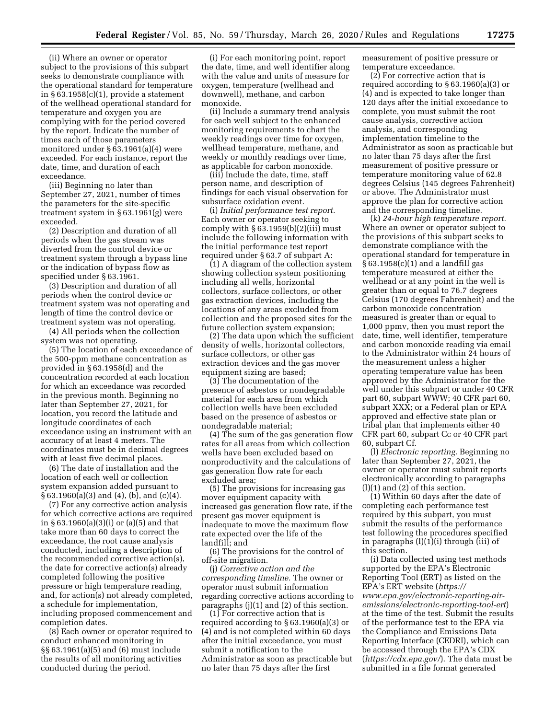(ii) Where an owner or operator subject to the provisions of this subpart seeks to demonstrate compliance with the operational standard for temperature in § 63.1958(c)(1), provide a statement of the wellhead operational standard for temperature and oxygen you are complying with for the period covered by the report. Indicate the number of times each of those parameters monitored under § 63.1961(a)(4) were exceeded. For each instance, report the date, time, and duration of each exceedance.

(iii) Beginning no later than September 27, 2021, number of times the parameters for the site-specific treatment system in § 63.1961(g) were exceeded.

(2) Description and duration of all periods when the gas stream was diverted from the control device or treatment system through a bypass line or the indication of bypass flow as specified under § 63.1961.

(3) Description and duration of all periods when the control device or treatment system was not operating and length of time the control device or treatment system was not operating.

(4) All periods when the collection system was not operating.

(5) The location of each exceedance of the 500-ppm methane concentration as provided in § 63.1958(d) and the concentration recorded at each location for which an exceedance was recorded in the previous month. Beginning no later than September 27, 2021, for location, you record the latitude and longitude coordinates of each exceedance using an instrument with an accuracy of at least 4 meters. The coordinates must be in decimal degrees with at least five decimal places.

(6) The date of installation and the location of each well or collection system expansion added pursuant to § 63.1960(a)(3) and (4), (b), and (c)(4).

(7) For any corrective action analysis for which corrective actions are required in § 63.1960(a)(3)(i) or (a)(5) and that take more than 60 days to correct the exceedance, the root cause analysis conducted, including a description of the recommended corrective action(s), the date for corrective action(s) already completed following the positive pressure or high temperature reading, and, for action(s) not already completed, a schedule for implementation, including proposed commencement and completion dates.

(8) Each owner or operator required to conduct enhanced monitoring in §§ 63.1961(a)(5) and (6) must include the results of all monitoring activities conducted during the period.

(i) For each monitoring point, report the date, time, and well identifier along with the value and units of measure for oxygen, temperature (wellhead and downwell), methane, and carbon monoxide.

(ii) Include a summary trend analysis for each well subject to the enhanced monitoring requirements to chart the weekly readings over time for oxygen, wellhead temperature, methane, and weekly or monthly readings over time, as applicable for carbon monoxide.

(iii) Include the date, time, staff person name, and description of findings for each visual observation for subsurface oxidation event.

(i) *Initial performance test report.*  Each owner or operator seeking to comply with  $§ 63.1959(b)(2)(iii)$  must include the following information with the initial performance test report required under § 63.7 of subpart A:

(1) A diagram of the collection system showing collection system positioning including all wells, horizontal collectors, surface collectors, or other gas extraction devices, including the locations of any areas excluded from collection and the proposed sites for the future collection system expansion;

(2) The data upon which the sufficient density of wells, horizontal collectors, surface collectors, or other gas extraction devices and the gas mover equipment sizing are based;

(3) The documentation of the presence of asbestos or nondegradable material for each area from which collection wells have been excluded based on the presence of asbestos or nondegradable material;

(4) The sum of the gas generation flow rates for all areas from which collection wells have been excluded based on nonproductivity and the calculations of gas generation flow rate for each excluded area;

(5) The provisions for increasing gas mover equipment capacity with increased gas generation flow rate, if the present gas mover equipment is inadequate to move the maximum flow rate expected over the life of the landfill; and

(6) The provisions for the control of off-site migration.

(j) *Corrective action and the corresponding timeline.* The owner or operator must submit information regarding corrective actions according to paragraphs (j)(1) and (2) of this section.

(1) For corrective action that is required according to § 63.1960(a)(3) or (4) and is not completed within 60 days after the initial exceedance, you must submit a notification to the Administrator as soon as practicable but no later than 75 days after the first

measurement of positive pressure or temperature exceedance.

(2) For corrective action that is required according to § 63.1960(a)(3) or (4) and is expected to take longer than 120 days after the initial exceedance to complete, you must submit the root cause analysis, corrective action analysis, and corresponding implementation timeline to the Administrator as soon as practicable but no later than 75 days after the first measurement of positive pressure or temperature monitoring value of 62.8 degrees Celsius (145 degrees Fahrenheit) or above. The Administrator must approve the plan for corrective action and the corresponding timeline.

(k) *24-hour high temperature report.*  Where an owner or operator subject to the provisions of this subpart seeks to demonstrate compliance with the operational standard for temperature in § 63.1958(c)(1) and a landfill gas temperature measured at either the wellhead or at any point in the well is greater than or equal to 76.7 degrees Celsius (170 degrees Fahrenheit) and the carbon monoxide concentration measured is greater than or equal to 1,000 ppmv, then you must report the date, time, well identifier, temperature and carbon monoxide reading via email to the Administrator within 24 hours of the measurement unless a higher operating temperature value has been approved by the Administrator for the well under this subpart or under 40 CFR part 60, subpart WWW; 40 CFR part 60, subpart XXX; or a Federal plan or EPA approved and effective state plan or tribal plan that implements either 40 CFR part 60, subpart Cc or 40 CFR part 60, subpart Cf.

(l) *Electronic reporting.* Beginning no later than September 27, 2021, the owner or operator must submit reports electronically according to paragraphs (l)(1) and (2) of this section.

(1) Within 60 days after the date of completing each performance test required by this subpart, you must submit the results of the performance test following the procedures specified in paragraphs (l)(1)(i) through (iii) of this section.

(i) Data collected using test methods supported by the EPA's Electronic Reporting Tool (ERT) as listed on the EPA's ERT website (*https:// www.epa.gov/electronic-reporting-airemissions/electronic-reporting-tool-ert*) at the time of the test. Submit the results of the performance test to the EPA via the Compliance and Emissions Data Reporting Interface (CEDRI), which can be accessed through the EPA's CDX (*https://cdx.epa.gov/*). The data must be submitted in a file format generated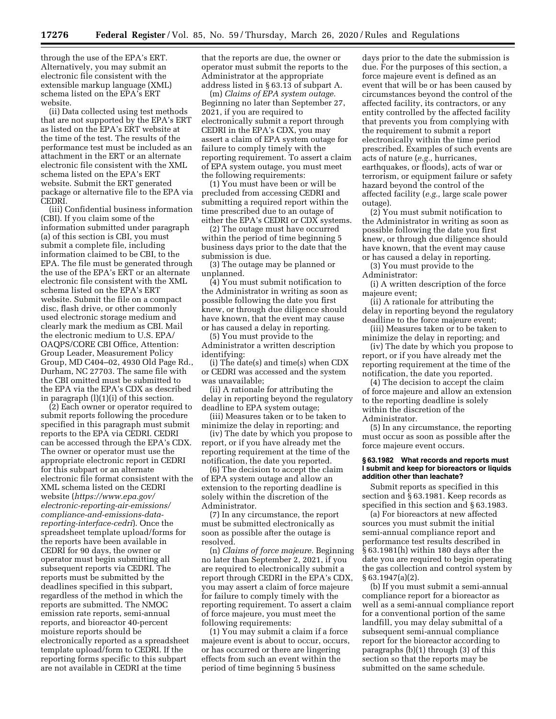through the use of the EPA's ERT. Alternatively, you may submit an electronic file consistent with the extensible markup language (XML) schema listed on the EPA's ERT website.

(ii) Data collected using test methods that are not supported by the EPA's ERT as listed on the EPA's ERT website at the time of the test. The results of the performance test must be included as an attachment in the ERT or an alternate electronic file consistent with the XML schema listed on the EPA's ERT website. Submit the ERT generated package or alternative file to the EPA via CEDRI.

(iii) Confidential business information (CBI). If you claim some of the information submitted under paragraph (a) of this section is CBI, you must submit a complete file, including information claimed to be CBI, to the EPA. The file must be generated through the use of the EPA's ERT or an alternate electronic file consistent with the XML schema listed on the EPA's ERT website. Submit the file on a compact disc, flash drive, or other commonly used electronic storage medium and clearly mark the medium as CBI. Mail the electronic medium to U.S. EPA/ OAQPS/CORE CBI Office, Attention: Group Leader, Measurement Policy Group, MD C404–02, 4930 Old Page Rd., Durham, NC 27703. The same file with the CBI omitted must be submitted to the EPA via the EPA's CDX as described in paragraph (l)(1)(i) of this section.

(2) Each owner or operator required to submit reports following the procedure specified in this paragraph must submit reports to the EPA via CEDRI. CEDRI can be accessed through the EPA's CDX. The owner or operator must use the appropriate electronic report in CEDRI for this subpart or an alternate electronic file format consistent with the XML schema listed on the CEDRI website (*https://www.epa.gov/ electronic-reporting-air-emissions/ compliance-and-emissions-datareporting-interface-cedri*). Once the spreadsheet template upload/forms for the reports have been available in CEDRI for 90 days, the owner or operator must begin submitting all subsequent reports via CEDRI. The reports must be submitted by the deadlines specified in this subpart, regardless of the method in which the reports are submitted. The NMOC emission rate reports, semi-annual reports, and bioreactor 40-percent moisture reports should be electronically reported as a spreadsheet template upload/form to CEDRI. If the reporting forms specific to this subpart are not available in CEDRI at the time

that the reports are due, the owner or operator must submit the reports to the Administrator at the appropriate address listed in § 63.13 of subpart A.

(m) *Claims of EPA system outage.*  Beginning no later than September 27, 2021, if you are required to electronically submit a report through CEDRI in the EPA's CDX, you may assert a claim of EPA system outage for failure to comply timely with the reporting requirement. To assert a claim of EPA system outage, you must meet the following requirements:

(1) You must have been or will be precluded from accessing CEDRI and submitting a required report within the time prescribed due to an outage of either the EPA's CEDRI or CDX systems.

(2) The outage must have occurred within the period of time beginning 5 business days prior to the date that the submission is due.

(3) The outage may be planned or unplanned.

(4) You must submit notification to the Administrator in writing as soon as possible following the date you first knew, or through due diligence should have known, that the event may cause or has caused a delay in reporting.

(5) You must provide to the Administrator a written description identifying:

(i) The date(s) and time(s) when CDX or CEDRI was accessed and the system was unavailable;

(ii) A rationale for attributing the delay in reporting beyond the regulatory deadline to EPA system outage;

(iii) Measures taken or to be taken to minimize the delay in reporting; and

(iv) The date by which you propose to report, or if you have already met the reporting requirement at the time of the notification, the date you reported.

(6) The decision to accept the claim of EPA system outage and allow an extension to the reporting deadline is solely within the discretion of the Administrator.

(7) In any circumstance, the report must be submitted electronically as soon as possible after the outage is resolved.

(n) *Claims of force majeure.* Beginning no later than September 2, 2021, if you are required to electronically submit a report through CEDRI in the EPA's CDX, you may assert a claim of force majeure for failure to comply timely with the reporting requirement. To assert a claim of force majeure, you must meet the following requirements:

(1) You may submit a claim if a force majeure event is about to occur, occurs, or has occurred or there are lingering effects from such an event within the period of time beginning 5 business

days prior to the date the submission is due. For the purposes of this section, a force majeure event is defined as an event that will be or has been caused by circumstances beyond the control of the affected facility, its contractors, or any entity controlled by the affected facility that prevents you from complying with the requirement to submit a report electronically within the time period prescribed. Examples of such events are acts of nature (*e.g.,* hurricanes, earthquakes, or floods), acts of war or terrorism, or equipment failure or safety hazard beyond the control of the affected facility (*e.g.,* large scale power outage).

(2) You must submit notification to the Administrator in writing as soon as possible following the date you first knew, or through due diligence should have known, that the event may cause or has caused a delay in reporting.

(3) You must provide to the Administrator:

(i) A written description of the force majeure event;

(ii) A rationale for attributing the delay in reporting beyond the regulatory deadline to the force majeure event;

(iii) Measures taken or to be taken to minimize the delay in reporting; and

(iv) The date by which you propose to report, or if you have already met the reporting requirement at the time of the notification, the date you reported.

(4) The decision to accept the claim of force majeure and allow an extension to the reporting deadline is solely within the discretion of the Administrator.

(5) In any circumstance, the reporting must occur as soon as possible after the force majeure event occurs.

#### **§ 63.1982 What records and reports must I submit and keep for bioreactors or liquids addition other than leachate?**

Submit reports as specified in this section and § 63.1981. Keep records as specified in this section and § 63.1983.

(a) For bioreactors at new affected sources you must submit the initial semi-annual compliance report and performance test results described in § 63.1981(h) within 180 days after the date you are required to begin operating the gas collection and control system by § 63.1947(a)(2).

(b) If you must submit a semi-annual compliance report for a bioreactor as well as a semi-annual compliance report for a conventional portion of the same landfill, you may delay submittal of a subsequent semi-annual compliance report for the bioreactor according to paragraphs (b)(1) through (3) of this section so that the reports may be submitted on the same schedule.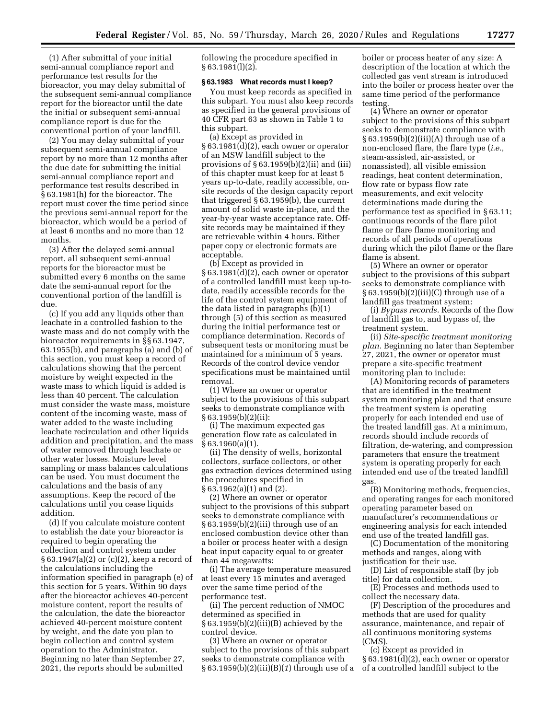(1) After submittal of your initial semi-annual compliance report and performance test results for the bioreactor, you may delay submittal of the subsequent semi-annual compliance report for the bioreactor until the date the initial or subsequent semi-annual compliance report is due for the conventional portion of your landfill.

(2) You may delay submittal of your subsequent semi-annual compliance report by no more than 12 months after the due date for submitting the initial semi-annual compliance report and performance test results described in § 63.1981(h) for the bioreactor. The report must cover the time period since the previous semi-annual report for the bioreactor, which would be a period of at least 6 months and no more than 12 months.

(3) After the delayed semi-annual report, all subsequent semi-annual reports for the bioreactor must be submitted every 6 months on the same date the semi-annual report for the conventional portion of the landfill is due.

(c) If you add any liquids other than leachate in a controlled fashion to the waste mass and do not comply with the bioreactor requirements in §§ 63.1947, 63.1955(b), and paragraphs (a) and (b) of this section, you must keep a record of calculations showing that the percent moisture by weight expected in the waste mass to which liquid is added is less than 40 percent. The calculation must consider the waste mass, moisture content of the incoming waste, mass of water added to the waste including leachate recirculation and other liquids addition and precipitation, and the mass of water removed through leachate or other water losses. Moisture level sampling or mass balances calculations can be used. You must document the calculations and the basis of any assumptions. Keep the record of the calculations until you cease liquids addition.

(d) If you calculate moisture content to establish the date your bioreactor is required to begin operating the collection and control system under § 63.1947(a)(2) or (c)(2), keep a record of the calculations including the information specified in paragraph (e) of this section for 5 years. Within 90 days after the bioreactor achieves 40-percent moisture content, report the results of the calculation, the date the bioreactor achieved 40-percent moisture content by weight, and the date you plan to begin collection and control system operation to the Administrator. Beginning no later than September 27, 2021, the reports should be submitted

following the procedure specified in § 63.1981(l)(2).

## **§ 63.1983 What records must I keep?**

You must keep records as specified in this subpart. You must also keep records as specified in the general provisions of 40 CFR part 63 as shown in Table 1 to this subpart.

(a) Except as provided in § 63.1981(d)(2), each owner or operator of an MSW landfill subject to the provisions of  $\S 63.1959(b)(2)(ii)$  and (iii) of this chapter must keep for at least 5 years up-to-date, readily accessible, onsite records of the design capacity report that triggered § 63.1959(b), the current amount of solid waste in-place, and the year-by-year waste acceptance rate. Offsite records may be maintained if they are retrievable within 4 hours. Either paper copy or electronic formats are acceptable.

(b) Except as provided in § 63.1981(d)(2), each owner or operator of a controlled landfill must keep up-todate, readily accessible records for the life of the control system equipment of the data listed in paragraphs (b)(1) through (5) of this section as measured during the initial performance test or compliance determination. Records of subsequent tests or monitoring must be maintained for a minimum of 5 years. Records of the control device vendor specifications must be maintained until removal.

(1) Where an owner or operator subject to the provisions of this subpart seeks to demonstrate compliance with § 63.1959(b)(2)(ii):

(i) The maximum expected gas generation flow rate as calculated in § 63.1960(a)(1).

(ii) The density of wells, horizontal collectors, surface collectors, or other gas extraction devices determined using the procedures specified in § 63.1962(a)(1) and (2).

(2) Where an owner or operator subject to the provisions of this subpart seeks to demonstrate compliance with § 63.1959(b)(2)(iii) through use of an enclosed combustion device other than a boiler or process heater with a design heat input capacity equal to or greater than 44 megawatts:

(i) The average temperature measured at least every 15 minutes and averaged over the same time period of the performance test.

(ii) The percent reduction of NMOC determined as specified in § 63.1959(b)(2)(iii)(B) achieved by the control device.

(3) Where an owner or operator subject to the provisions of this subpart seeks to demonstrate compliance with § 63.1959(b)(2)(iii)(B)(*1*) through use of a boiler or process heater of any size: A description of the location at which the collected gas vent stream is introduced into the boiler or process heater over the same time period of the performance testing.

(4) Where an owner or operator subject to the provisions of this subpart seeks to demonstrate compliance with § 63.1959(b)(2)(iii)(A) through use of a non-enclosed flare, the flare type (*i.e.,*  steam-assisted, air-assisted, or nonassisted), all visible emission readings, heat content determination, flow rate or bypass flow rate measurements, and exit velocity determinations made during the performance test as specified in § 63.11; continuous records of the flare pilot flame or flare flame monitoring and records of all periods of operations during which the pilot flame or the flare flame is absent.

(5) Where an owner or operator subject to the provisions of this subpart seeks to demonstrate compliance with § 63.1959(b)(2)(iii)(C) through use of a landfill gas treatment system:

(i) *Bypass records.* Records of the flow of landfill gas to, and bypass of, the treatment system.

(ii) *Site-specific treatment monitoring plan.* Beginning no later than September 27, 2021, the owner or operator must prepare a site-specific treatment monitoring plan to include:

(A) Monitoring records of parameters that are identified in the treatment system monitoring plan and that ensure the treatment system is operating properly for each intended end use of the treated landfill gas. At a minimum, records should include records of filtration, de-watering, and compression parameters that ensure the treatment system is operating properly for each intended end use of the treated landfill gas.

(B) Monitoring methods, frequencies, and operating ranges for each monitored operating parameter based on manufacturer's recommendations or engineering analysis for each intended end use of the treated landfill gas.

(C) Documentation of the monitoring methods and ranges, along with justification for their use.

(D) List of responsible staff (by job title) for data collection.

(E) Processes and methods used to collect the necessary data.

(F) Description of the procedures and methods that are used for quality assurance, maintenance, and repair of all continuous monitoring systems (CMS).

(c) Except as provided in § 63.1981(d)(2), each owner or operator of a controlled landfill subject to the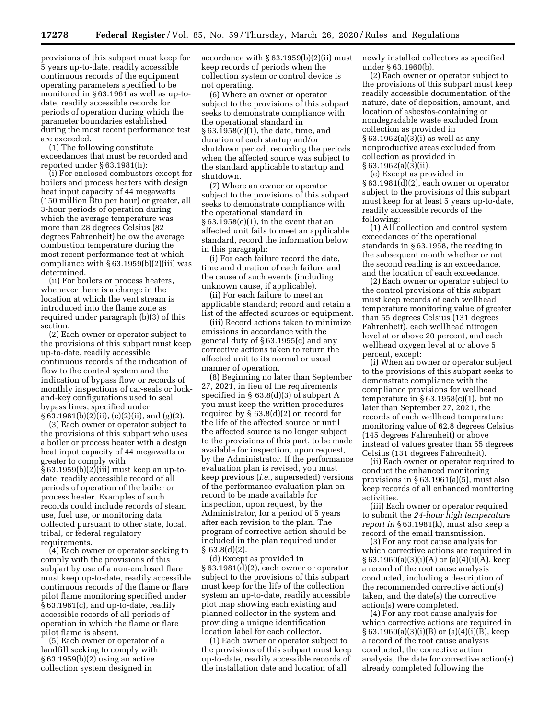provisions of this subpart must keep for 5 years up-to-date, readily accessible continuous records of the equipment operating parameters specified to be monitored in § 63.1961 as well as up-todate, readily accessible records for periods of operation during which the parameter boundaries established during the most recent performance test are exceeded.

(1) The following constitute exceedances that must be recorded and reported under § 63.1981(h):

(i) For enclosed combustors except for boilers and process heaters with design heat input capacity of 44 megawatts (150 million Btu per hour) or greater, all 3-hour periods of operation during which the average temperature was more than 28 degrees Celsius (82 degrees Fahrenheit) below the average combustion temperature during the most recent performance test at which compliance with  $\S 63.1959(b)(2)(iii)$  was determined.

(ii) For boilers or process heaters, whenever there is a change in the location at which the vent stream is introduced into the flame zone as required under paragraph (b)(3) of this section.

(2) Each owner or operator subject to the provisions of this subpart must keep up-to-date, readily accessible continuous records of the indication of flow to the control system and the indication of bypass flow or records of monthly inspections of car-seals or lockand-key configurations used to seal bypass lines, specified under § 63.1961(b)(2)(ii), (c)(2)(ii), and (g)(2).

(3) Each owner or operator subject to the provisions of this subpart who uses a boiler or process heater with a design heat input capacity of 44 megawatts or greater to comply with § 63.1959(b)(2)(iii) must keep an up-todate, readily accessible record of all periods of operation of the boiler or process heater. Examples of such records could include records of steam use, fuel use, or monitoring data collected pursuant to other state, local, tribal, or federal regulatory requirements.

(4) Each owner or operator seeking to comply with the provisions of this subpart by use of a non-enclosed flare must keep up-to-date, readily accessible continuous records of the flame or flare pilot flame monitoring specified under § 63.1961(c), and up-to-date, readily accessible records of all periods of operation in which the flame or flare pilot flame is absent.

(5) Each owner or operator of a landfill seeking to comply with § 63.1959(b)(2) using an active collection system designed in

accordance with § 63.1959(b)(2)(ii) must keep records of periods when the collection system or control device is not operating.

(6) Where an owner or operator subject to the provisions of this subpart seeks to demonstrate compliance with the operational standard in § 63.1958(e)(1), the date, time, and duration of each startup and/or shutdown period, recording the periods when the affected source was subject to the standard applicable to startup and shutdown.

(7) Where an owner or operator subject to the provisions of this subpart seeks to demonstrate compliance with the operational standard in § 63.1958(e)(1), in the event that an affected unit fails to meet an applicable standard, record the information below in this paragraph:

(i) For each failure record the date, time and duration of each failure and the cause of such events (including unknown cause, if applicable).

(ii) For each failure to meet an applicable standard; record and retain a list of the affected sources or equipment.

(iii) Record actions taken to minimize emissions in accordance with the general duty of § 63.1955(c) and any corrective actions taken to return the affected unit to its normal or usual manner of operation.

(8) Beginning no later than September 27, 2021, in lieu of the requirements specified in § 63.8(d)(3) of subpart A you must keep the written procedures required by § 63.8(d)(2) on record for the life of the affected source or until the affected source is no longer subject to the provisions of this part, to be made available for inspection, upon request, by the Administrator. If the performance evaluation plan is revised, you must keep previous (*i.e.,* superseded) versions of the performance evaluation plan on record to be made available for inspection, upon request, by the Administrator, for a period of 5 years after each revision to the plan. The program of corrective action should be included in the plan required under § 63.8(d)(2).

(d) Except as provided in § 63.1981(d)(2), each owner or operator subject to the provisions of this subpart must keep for the life of the collection system an up-to-date, readily accessible plot map showing each existing and planned collector in the system and providing a unique identification location label for each collector.

(1) Each owner or operator subject to the provisions of this subpart must keep up-to-date, readily accessible records of the installation date and location of all

newly installed collectors as specified under § 63.1960(b).

(2) Each owner or operator subject to the provisions of this subpart must keep readily accessible documentation of the nature, date of deposition, amount, and location of asbestos-containing or nondegradable waste excluded from collection as provided in § 63.1962(a)(3)(i) as well as any nonproductive areas excluded from collection as provided in  $§ 63.1962(a)(3)(ii).$ 

(e) Except as provided in § 63.1981(d)(2), each owner or operator subject to the provisions of this subpart must keep for at least 5 years up-to-date, readily accessible records of the following:

(1) All collection and control system exceedances of the operational standards in § 63.1958, the reading in the subsequent month whether or not the second reading is an exceedance, and the location of each exceedance.

(2) Each owner or operator subject to the control provisions of this subpart must keep records of each wellhead temperature monitoring value of greater than 55 degrees Celsius (131 degrees Fahrenheit), each wellhead nitrogen level at or above 20 percent, and each wellhead oxygen level at or above 5 percent, except:

(i) When an owner or operator subject to the provisions of this subpart seeks to demonstrate compliance with the compliance provisions for wellhead temperature in  $\S 63.1958(c)(1)$ , but no later than September 27, 2021, the records of each wellhead temperature monitoring value of 62.8 degrees Celsius (145 degrees Fahrenheit) or above instead of values greater than 55 degrees Celsius (131 degrees Fahrenheit).

(ii) Each owner or operator required to conduct the enhanced monitoring provisions in § 63.1961(a)(5), must also keep records of all enhanced monitoring activities.

(iii) Each owner or operator required to submit the *24-hour high temperature report in* § 63.1981(k), must also keep a record of the email transmission.

(3) For any root cause analysis for which corrective actions are required in  $§ 63.1960(a)(3)(i)(A)$  or  $(a)(4)(i)(A)$ , keep a record of the root cause analysis conducted, including a description of the recommended corrective action(s) taken, and the date(s) the corrective action(s) were completed.

(4) For any root cause analysis for which corrective actions are required in § 63.1960(a)(3)(i)(B) or (a)(4)(i)(B), keep a record of the root cause analysis conducted, the corrective action analysis, the date for corrective action(s) already completed following the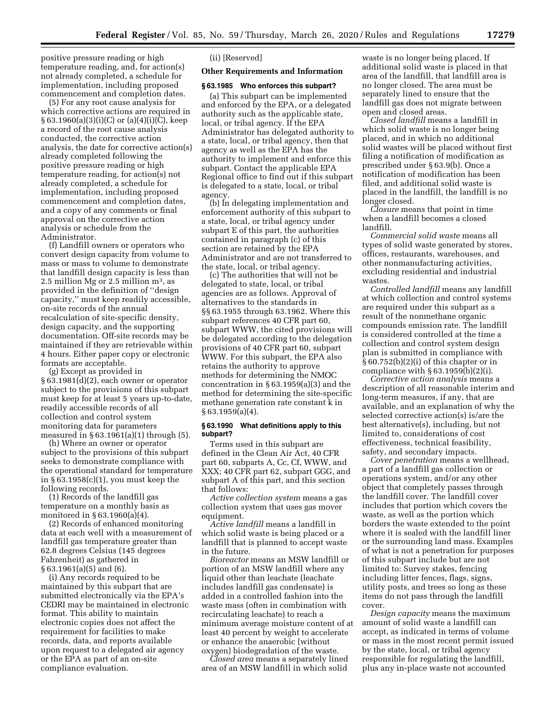positive pressure reading or high temperature reading, and, for action(s) not already completed, a schedule for implementation, including proposed commencement and completion dates.

(5) For any root cause analysis for which corrective actions are required in § 63.1960(a)(3)(i)(C) or (a)(4)(i)(C), keep a record of the root cause analysis conducted, the corrective action analysis, the date for corrective action(s) already completed following the positive pressure reading or high temperature reading, for action(s) not already completed, a schedule for implementation, including proposed commencement and completion dates, and a copy of any comments or final approval on the corrective action analysis or schedule from the Administrator.

(f) Landfill owners or operators who convert design capacity from volume to mass or mass to volume to demonstrate that landfill design capacity is less than 2.5 million Mg or 2.5 million  $m^3$ , as provided in the definition of ''design capacity,'' must keep readily accessible, on-site records of the annual recalculation of site-specific density, design capacity, and the supporting documentation. Off-site records may be maintained if they are retrievable within 4 hours. Either paper copy or electronic formats are acceptable.

(g) Except as provided in § 63.1981(d)(2), each owner or operator subject to the provisions of this subpart must keep for at least 5 years up-to-date, readily accessible records of all collection and control system monitoring data for parameters measured in  $\S 63.1961(a)(1)$  through  $(5)$ .

(h) Where an owner or operator subject to the provisions of this subpart seeks to demonstrate compliance with the operational standard for temperature in § 63.1958(c)(1), you must keep the following records.

(1) Records of the landfill gas temperature on a monthly basis as monitored in § 63.1960(a)(4).

(2) Records of enhanced monitoring data at each well with a measurement of landfill gas temperature greater than 62.8 degrees Celsius (145 degrees Fahrenheit) as gathered in § 63.1961(a)(5) and (6).

(i) Any records required to be maintained by this subpart that are submitted electronically via the EPA's CEDRI may be maintained in electronic format. This ability to maintain electronic copies does not affect the requirement for facilities to make records, data, and reports available upon request to a delegated air agency or the EPA as part of an on-site compliance evaluation.

(ii) [Reserved]

#### **Other Requirements and Information**

#### **§ 63.1985 Who enforces this subpart?**

(a) This subpart can be implemented and enforced by the EPA, or a delegated authority such as the applicable state, local, or tribal agency. If the EPA Administrator has delegated authority to a state, local, or tribal agency, then that agency as well as the EPA has the authority to implement and enforce this subpart. Contact the applicable EPA Regional office to find out if this subpart is delegated to a state, local, or tribal agency.

(b) In delegating implementation and enforcement authority of this subpart to a state, local, or tribal agency under subpart E of this part, the authorities contained in paragraph (c) of this section are retained by the EPA Administrator and are not transferred to the state, local, or tribal agency.

(c) The authorities that will not be delegated to state, local, or tribal agencies are as follows. Approval of alternatives to the standards in §§ 63.1955 through 63.1962. Where this subpart references 40 CFR part 60, subpart WWW, the cited provisions will be delegated according to the delegation provisions of 40 CFR part 60, subpart WWW. For this subpart, the EPA also retains the authority to approve methods for determining the NMOC concentration in § 63.1959(a)(3) and the method for determining the site-specific methane generation rate constant k in § 63.1959(a)(4).

#### **§ 63.1990 What definitions apply to this subpart?**

Terms used in this subpart are defined in the Clean Air Act, 40 CFR part 60, subparts A, Cc, Cf, WWW, and XXX; 40 CFR part 62, subpart GGG, and subpart A of this part, and this section that follows:

*Active collection system* means a gas collection system that uses gas mover equipment.

*Active landfill* means a landfill in which solid waste is being placed or a landfill that is planned to accept waste in the future.

*Bioreactor* means an MSW landfill or portion of an MSW landfill where any liquid other than leachate (leachate includes landfill gas condensate) is added in a controlled fashion into the waste mass (often in combination with recirculating leachate) to reach a minimum average moisture content of at least 40 percent by weight to accelerate or enhance the anaerobic (without oxygen) biodegradation of the waste.

*Closed area* means a separately lined area of an MSW landfill in which solid

waste is no longer being placed. If additional solid waste is placed in that area of the landfill, that landfill area is no longer closed. The area must be separately lined to ensure that the landfill gas does not migrate between open and closed areas.

*Closed landfill* means a landfill in which solid waste is no longer being placed, and in which no additional solid wastes will be placed without first filing a notification of modification as prescribed under § 63.9(b). Once a notification of modification has been filed, and additional solid waste is placed in the landfill, the landfill is no longer closed.

*Closure* means that point in time when a landfill becomes a closed landfill.

*Commercial solid waste* means all types of solid waste generated by stores, offices, restaurants, warehouses, and other nonmanufacturing activities, excluding residential and industrial wastes.

*Controlled landfill* means any landfill at which collection and control systems are required under this subpart as a result of the nonmethane organic compounds emission rate. The landfill is considered controlled at the time a collection and control system design plan is submitted in compliance with § 60.752(b)(2)(i) of this chapter or in compliance with  $\S 63.1959(b)(2)(i)$ .

*Corrective action analysis* means a description of all reasonable interim and long-term measures, if any, that are available, and an explanation of why the selected corrective action(s) is/are the best alternative(s), including, but not limited to, considerations of cost effectiveness, technical feasibility, safety, and secondary impacts.

*Cover penetration* means a wellhead, a part of a landfill gas collection or operations system, and/or any other object that completely passes through the landfill cover. The landfill cover includes that portion which covers the waste, as well as the portion which borders the waste extended to the point where it is sealed with the landfill liner or the surrounding land mass. Examples of what is not a penetration for purposes of this subpart include but are not limited to: Survey stakes, fencing including litter fences, flags, signs, utility posts, and trees so long as these items do not pass through the landfill cover.

*Design capacity* means the maximum amount of solid waste a landfill can accept, as indicated in terms of volume or mass in the most recent permit issued by the state, local, or tribal agency responsible for regulating the landfill, plus any in-place waste not accounted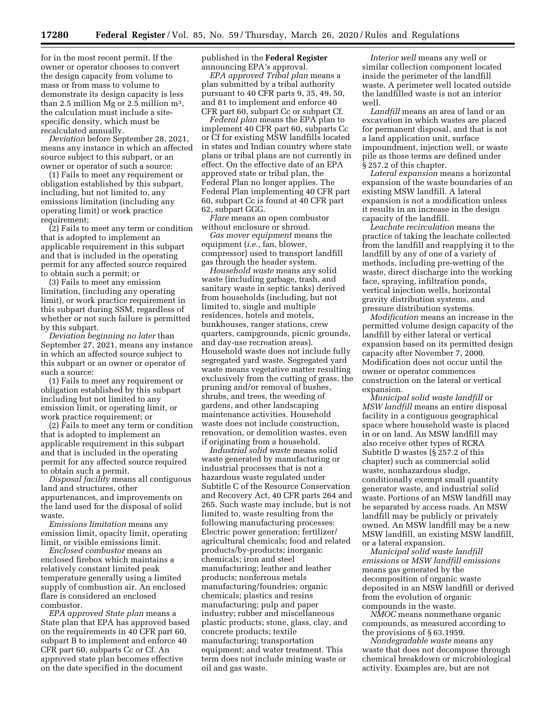for in the most recent permit. If the owner or operator chooses to convert the design capacity from volume to mass or from mass to volume to demonstrate its design capacity is less than 2.5 million Mg or 2.5 million m3, the calculation must include a sitespecific density, which must be recalculated annually.

*Deviation* before September 28, 2021, means any instance in which an affected source subject to this subpart, or an owner or operator of such a source:

(1) Fails to meet any requirement or obligation established by this subpart, including, but not limited to, any emissions limitation (including any operating limit) or work practice requirement;

(2) Fails to meet any term or condition that is adopted to implement an applicable requirement in this subpart and that is included in the operating permit for any affected source required to obtain such a permit; or

(3) Fails to meet any emission limitation, (including any operating limit), or work practice requirement in this subpart during SSM, regardless of whether or not such failure is permitted by this subpart.

*Deviation beginning no later* than September 27, 2021, means any instance in which an affected source subject to this subpart or an owner or operator of such a source:

(1) Fails to meet any requirement or obligation established by this subpart including but not limited to any emission limit, or operating limit, or work practice requirement; or

(2) Fails to meet any term or condition that is adopted to implement an applicable requirement in this subpart and that is included in the operating permit for any affected source required to obtain such a permit.

*Disposal facility* means all contiguous land and structures, other appurtenances, and improvements on the land used for the disposal of solid waste.

*Emissions limitation* means any emission limit, opacity limit, operating limit, or visible emissions limit.

*Enclosed combustor* means an enclosed firebox which maintains a relatively constant limited peak temperature generally using a limited supply of combustion air. An enclosed flare is considered an enclosed combustor.

*EPA approved State plan* means a State plan that EPA has approved based on the requirements in 40 CFR part 60, subpart B to implement and enforce 40 CFR part 60, subparts Cc or Cf. An approved state plan becomes effective on the date specified in the document

published in the **Federal Register**  announcing EPA's approval.

*EPA approved Tribal plan* means a plan submitted by a tribal authority pursuant to 40 CFR parts 9, 35, 49, 50, and 81 to implement and enforce 40 CFR part 60, subpart Cc or subpart Cf.

*Federal plan* means the EPA plan to implement 40 CFR part 60, subparts Cc or Cf for existing MSW landfills located in states and Indian country where state plans or tribal plans are not currently in effect. On the effective date of an EPA approved state or tribal plan, the Federal Plan no longer applies. The Federal Plan implementing 40 CFR part 60, subpart Cc is found at 40 CFR part 62, subpart GGG.

*Flare* means an open combustor without enclosure or shroud.

*Gas mover equipment* means the equipment (*i.e.,* fan, blower, compressor) used to transport landfill gas through the header system.

*Household waste* means any solid waste (including garbage, trash, and sanitary waste in septic tanks) derived from households (including, but not limited to, single and multiple residences, hotels and motels, bunkhouses, ranger stations, crew quarters, campgrounds, picnic grounds, and day-use recreation areas). Household waste does not include fully segregated yard waste. Segregated yard waste means vegetative matter resulting exclusively from the cutting of grass, the pruning and/or removal of bushes, shrubs, and trees, the weeding of gardens, and other landscaping maintenance activities. Household waste does not include construction, renovation, or demolition wastes, even if originating from a household.

*Industrial solid waste* means solid waste generated by manufacturing or industrial processes that is not a hazardous waste regulated under Subtitle C of the Resource Conservation and Recovery Act, 40 CFR parts 264 and 265. Such waste may include, but is not limited to, waste resulting from the following manufacturing processes: Electric power generation; fertilizer/ agricultural chemicals; food and related products/by-products; inorganic chemicals; iron and steel manufacturing; leather and leather products; nonferrous metals manufacturing/foundries; organic chemicals; plastics and resins manufacturing; pulp and paper industry; rubber and miscellaneous plastic products; stone, glass, clay, and concrete products; textile manufacturing; transportation equipment; and water treatment. This term does not include mining waste or oil and gas waste.

*Interior well* means any well or similar collection component located inside the perimeter of the landfill waste. A perimeter well located outside the landfilled waste is not an interior well.

*Landfill* means an area of land or an excavation in which wastes are placed for permanent disposal, and that is not a land application unit, surface impoundment, injection well, or waste pile as those terms are defined under § 257.2 of this chapter.

*Lateral expansion* means a horizontal expansion of the waste boundaries of an existing MSW landfill. A lateral expansion is not a modification unless it results in an increase in the design capacity of the landfill.

*Leachate recirculation* means the practice of taking the leachate collected from the landfill and reapplying it to the landfill by any of one of a variety of methods, including pre-wetting of the waste, direct discharge into the working face, spraying, infiltration ponds, vertical injection wells, horizontal gravity distribution systems, and pressure distribution systems.

*Modification* means an increase in the permitted volume design capacity of the landfill by either lateral or vertical expansion based on its permitted design capacity after November 7, 2000. Modification does not occur until the owner or operator commences construction on the lateral or vertical expansion.

*Municipal solid waste landfill* or *MSW landfill* means an entire disposal facility in a contiguous geographical space where household waste is placed in or on land. An MSW landfill may also receive other types of RCRA Subtitle D wastes (§ 257.2 of this chapter) such as commercial solid waste, nonhazardous sludge, conditionally exempt small quantity generator waste, and industrial solid waste. Portions of an MSW landfill may be separated by access roads. An MSW landfill may be publicly or privately owned. An MSW landfill may be a new MSW landfill, an existing MSW landfill, or a lateral expansion.

*Municipal solid waste landfill emissions* or *MSW landfill emissions*  means gas generated by the decomposition of organic waste deposited in an MSW landfill or derived from the evolution of organic compounds in the waste.

*NMOC* means nonmethane organic compounds, as measured according to the provisions of § 63.1959.

*Nondegradable waste* means any waste that does not decompose through chemical breakdown or microbiological activity. Examples are, but are not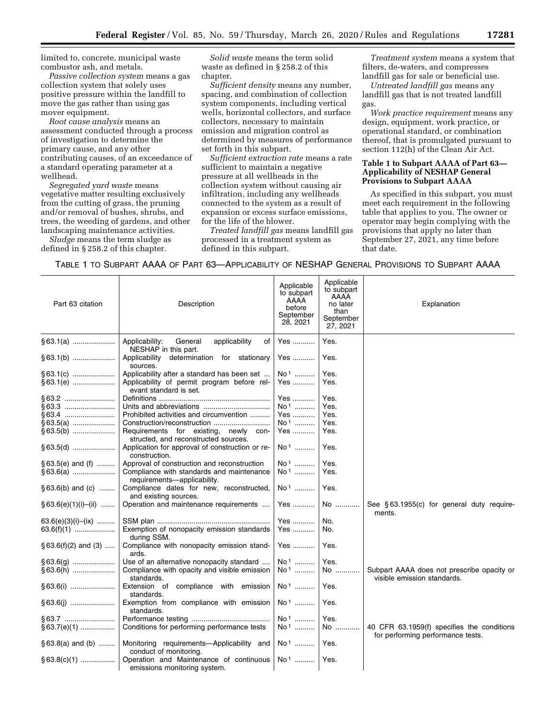limited to, concrete, municipal waste combustor ash, and metals.

*Passive collection system* means a gas collection system that solely uses positive pressure within the landfill to move the gas rather than using gas mover equipment.

*Root cause analysis* means an assessment conducted through a process of investigation to determine the primary cause, and any other contributing causes, of an exceedance of a standard operating parameter at a wellhead.

*Segregated yard waste* means vegetative matter resulting exclusively from the cutting of grass, the pruning and/or removal of bushes, shrubs, and trees, the weeding of gardens, and other landscaping maintenance activities.

*Sludge* means the term sludge as defined in § 258.2 of this chapter.

*Solid waste* means the term solid waste as defined in § 258.2 of this chapter.

*Sufficient density* means any number, spacing, and combination of collection system components, including vertical wells, horizontal collectors, and surface collectors, necessary to maintain emission and migration control as determined by measures of performance set forth in this subpart.

*Sufficient extraction rate* means a rate sufficient to maintain a negative pressure at all wellheads in the collection system without causing air infiltration, including any wellheads connected to the system as a result of expansion or excess surface emissions, for the life of the blower.

*Treated landfill gas* means landfill gas processed in a treatment system as defined in this subpart.

*Treatment system* means a system that filters, de-waters, and compresses landfill gas for sale or beneficial use.

*Untreated landfill gas* means any landfill gas that is not treated landfill gas.

*Work practice requirement* means any design, equipment, work practice, or operational standard, or combination thereof, that is promulgated pursuant to section 112(h) of the Clean Air Act.

## **Table 1 to Subpart AAAA of Part 63— Applicability of NESHAP General Provisions to Subpart AAAA**

As specified in this subpart, you must meet each requirement in the following table that applies to you. The owner or operator may begin complying with the provisions that apply no later than September 27, 2021, any time before that date.

## TABLE 1 TO SUBPART AAAA OF PART 63—APPLICABILITY OF NESHAP GENERAL PROVISIONS TO SUBPART AAAA

| Part 63 citation         | Description                                                                       | Applicable<br>to subpart<br>AAAA<br>before<br>September<br>28, 2021 | Applicable<br>to subpart<br>AAAA<br>no later<br>than<br>September<br>27, 2021 | Explanation                                                                     |
|--------------------------|-----------------------------------------------------------------------------------|---------------------------------------------------------------------|-------------------------------------------------------------------------------|---------------------------------------------------------------------------------|
| $§ 63.1(a)$              | General<br>Applicability:<br>applicability<br>οf                                  | Yes                                                                 | Yes.                                                                          |                                                                                 |
| $§ 63.1(b)$              | NESHAP in this part.<br>Applicability<br>determination for stationary<br>sources. | Yes                                                                 | Yes.                                                                          |                                                                                 |
| § 63.1(c)                | Applicability after a standard has been set                                       | No <sup>1</sup>                                                     | Yes.                                                                          |                                                                                 |
| §63.1(e)                 | Applicability of permit program before rel-<br>evant standard is set.             | Yes                                                                 | Yes.                                                                          |                                                                                 |
|                          |                                                                                   | Yes                                                                 | Yes.                                                                          |                                                                                 |
| §63.3                    |                                                                                   | No <sup>1</sup>                                                     | Yes.                                                                          |                                                                                 |
| §63.4                    | Prohibited activities and circumvention                                           | Yes                                                                 | Yes.                                                                          |                                                                                 |
| $§ 63.5(a)$              |                                                                                   | No <sup>1</sup>                                                     | Yes.                                                                          |                                                                                 |
| $§63.5(b)$               | Requirements for existing, newly con-                                             | Yes                                                                 | Yes.                                                                          |                                                                                 |
|                          | structed, and reconstructed sources.                                              |                                                                     |                                                                               |                                                                                 |
| $§ 63.5(d)$              | Application for approval of construction or re-<br>construction.                  | No <sup>1</sup>                                                     | Yes.                                                                          |                                                                                 |
| $§ 63.5(e)$ and (f)      | Approval of construction and reconstruction                                       | No <sup>1</sup>                                                     | Yes.                                                                          |                                                                                 |
| $§ 63.6(a)$              | Compliance with standards and maintenance                                         | No <sup>1</sup>                                                     | Yes.                                                                          |                                                                                 |
|                          | requirements-applicability.                                                       |                                                                     |                                                                               |                                                                                 |
| $§ 63.6(b)$ and (c)      | Compliance dates for new, reconstructed,<br>and existing sources.                 | $No1$                                                               | Yes.                                                                          |                                                                                 |
| $§ 63.6(e)(1)(i)–(ii)$   | Operation and maintenance requirements                                            | Yes                                                                 | No                                                                            | See §63.1955(c) for general duty require-<br>ments.                             |
| $63.6(e)(3)(i)$ - $(ix)$ |                                                                                   | Yes                                                                 | No.                                                                           |                                                                                 |
| $63.6(f)(1)$             | Exemption of nonopacity emission standards<br>during SSM.                         | Yes                                                                 | No.                                                                           |                                                                                 |
| $§ 63.6(f)(2)$ and (3)   | Compliance with nonopacity emission stand-<br>ards.                               | Yes                                                                 | Yes.                                                                          |                                                                                 |
| $§ 63.6(g)$              | Use of an alternative nonopacity standard                                         | No <sup>1</sup>                                                     | Yes.                                                                          |                                                                                 |
| $§ 63.6(h)$              | Compliance with opacity and visible emission                                      | No <sup>1</sup>                                                     | No                                                                            | Subpart AAAA does not prescribe opacity or                                      |
|                          | standards.                                                                        |                                                                     |                                                                               | visible emission standards.                                                     |
|                          | Extension of compliance with emission<br>standards.                               | No <sup>1</sup>                                                     | Yes.                                                                          |                                                                                 |
|                          | Exemption from compliance with emission<br>standards.                             | $No1$                                                               | Yes.                                                                          |                                                                                 |
| §63.7                    |                                                                                   | No <sup>1</sup>                                                     | Yes.                                                                          |                                                                                 |
| $§63.7(e)(1)$            | Conditions for performing performance tests                                       | No <sup>1</sup>                                                     | No                                                                            | 40 CFR 63.1959(f) specifies the conditions<br>for performing performance tests. |
| $§ 63.8(a)$ and (b)      | Monitoring requirements-Applicability and<br>conduct of monitoring.               | $No1$                                                               | Yes.                                                                          |                                                                                 |
| $\S 63.8(c)(1)$          | Operation and Maintenance of continuous<br>emissions monitoring system.           | $No1$                                                               | Yes.                                                                          |                                                                                 |